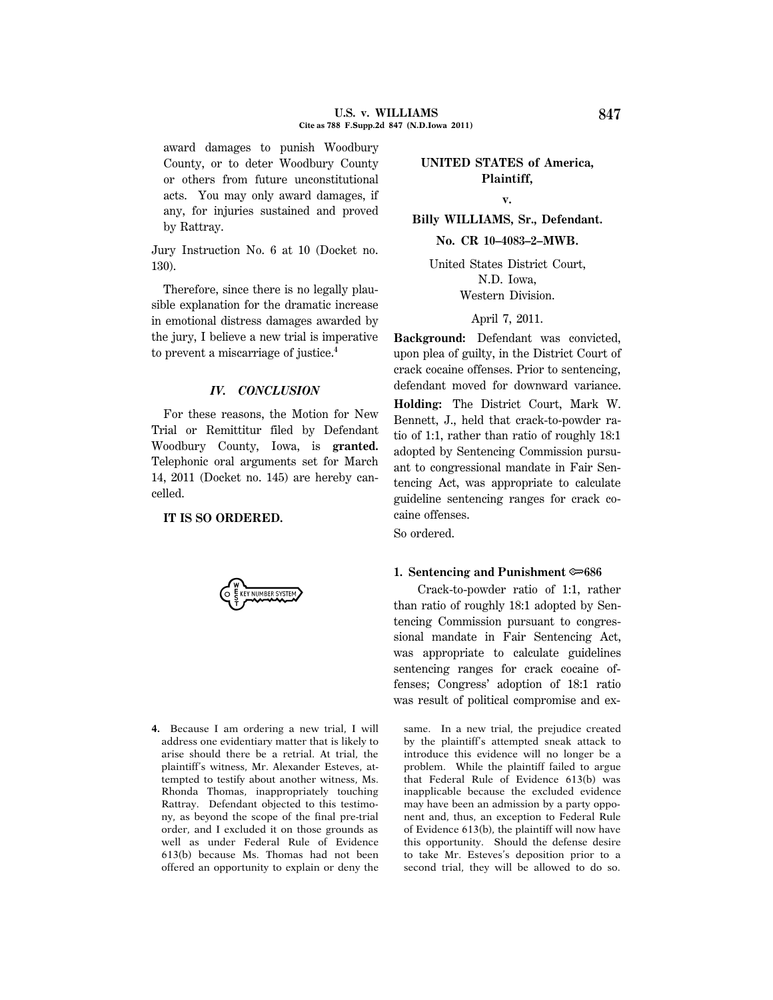award damages to punish Woodbury County, or to deter Woodbury County or others from future unconstitutional acts. You may only award damages, if any, for injuries sustained and proved by Rattray.

Jury Instruction No. 6 at 10 (Docket no. 130).

Therefore, since there is no legally plausible explanation for the dramatic increase in emotional distress damages awarded by the jury, I believe a new trial is imperative to prevent a miscarriage of justice.**<sup>4</sup>**

### *IV. CONCLUSION*

For these reasons, the Motion for New Trial or Remittitur filed by Defendant Woodbury County, Iowa, is **granted.** Telephonic oral arguments set for March 14, 2011 (Docket no. 145) are hereby cancelled.

### **IT IS SO ORDERED.**

Y NUMBER SYSTEM

**4.** Because I am ordering a new trial, I will address one evidentiary matter that is likely to arise should there be a retrial. At trial, the plaintiff's witness, Mr. Alexander Esteves, attempted to testify about another witness, Ms. Rhonda Thomas, inappropriately touching Rattray. Defendant objected to this testimony, as beyond the scope of the final pre-trial order, and I excluded it on those grounds as well as under Federal Rule of Evidence 613(b) because Ms. Thomas had not been offered an opportunity to explain or deny the

# **UNITED STATES of America, Plaintiff,**

## **v.**

**Billy WILLIAMS, Sr., Defendant.**

**No. CR 10–4083–2–MWB.**

United States District Court, N.D. Iowa, Western Division.

# April 7, 2011.

**Background:** Defendant was convicted, upon plea of guilty, in the District Court of crack cocaine offenses. Prior to sentencing, defendant moved for downward variance.

**Holding:** The District Court, Mark W. Bennett, J., held that crack-to-powder ratio of 1:1, rather than ratio of roughly 18:1 adopted by Sentencing Commission pursuant to congressional mandate in Fair Sentencing Act, was appropriate to calculate guideline sentencing ranges for crack cocaine offenses.

So ordered.

## **1. Sentencing and Punishment**  $\approx 686$

Crack-to-powder ratio of 1:1, rather than ratio of roughly 18:1 adopted by Sentencing Commission pursuant to congressional mandate in Fair Sentencing Act, was appropriate to calculate guidelines sentencing ranges for crack cocaine offenses; Congress' adoption of 18:1 ratio was result of political compromise and ex-

same. In a new trial, the prejudice created by the plaintiff's attempted sneak attack to introduce this evidence will no longer be a problem. While the plaintiff failed to argue that Federal Rule of Evidence 613(b) was inapplicable because the excluded evidence may have been an admission by a party opponent and, thus, an exception to Federal Rule of Evidence 613(b), the plaintiff will now have this opportunity. Should the defense desire to take Mr. Esteves's deposition prior to a second trial, they will be allowed to do so.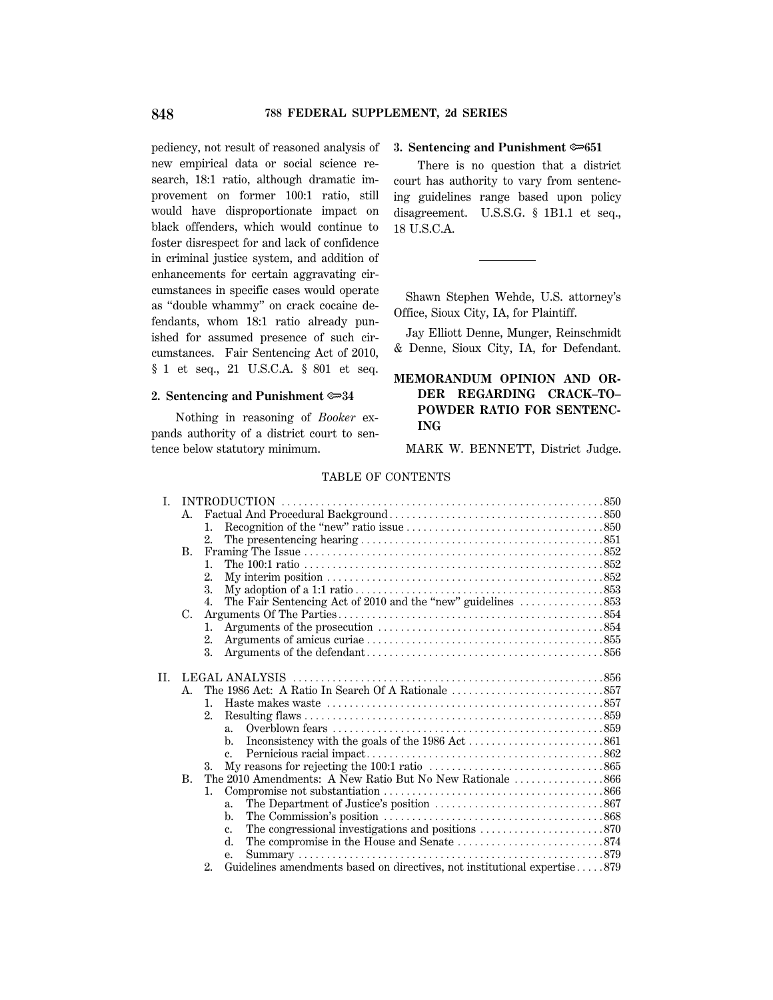pediency, not result of reasoned analysis of new empirical data or social science research, 18:1 ratio, although dramatic improvement on former 100:1 ratio, still would have disproportionate impact on black offenders, which would continue to foster disrespect for and lack of confidence in criminal justice system, and addition of enhancements for certain aggravating circumstances in specific cases would operate as ''double whammy'' on crack cocaine defendants, whom 18:1 ratio already punished for assumed presence of such circumstances. Fair Sentencing Act of 2010, § 1 et seq., 21 U.S.C.A. § 801 et seq.

### **2. Sentencing and Punishment** O**34**

Nothing in reasoning of *Booker* expands authority of a district court to sentence below statutory minimum.

#### **3. Sentencing and Punishment**  $\infty$ **651**

There is no question that a district court has authority to vary from sentencing guidelines range based upon policy disagreement. U.S.S.G. § 1B1.1 et seq., 18 U.S.C.A.

Shawn Stephen Wehde, U.S. attorney's Office, Sioux City, IA, for Plaintiff.

Jay Elliott Denne, Munger, Reinschmidt & Denne, Sioux City, IA, for Defendant.

# **MEMORANDUM OPINION AND OR-DER REGARDING CRACK–TO– POWDER RATIO FOR SENTENC-ING**

MARK W. BENNETT, District Judge.

#### TABLE OF CONTENTS

| $\mathbf{I}$ |             |                      |                                                                           |
|--------------|-------------|----------------------|---------------------------------------------------------------------------|
|              | A.          |                      |                                                                           |
|              |             | 1.                   |                                                                           |
|              |             | 2.                   |                                                                           |
|              | В.          |                      |                                                                           |
|              |             | $\mathbf{1}_{\cdot}$ |                                                                           |
|              |             | 2.                   |                                                                           |
|              |             | 3.                   |                                                                           |
|              |             | 4.                   |                                                                           |
| C.           |             |                      |                                                                           |
|              |             | 1.                   |                                                                           |
|              |             | 2.                   |                                                                           |
|              |             | 3.                   |                                                                           |
|              |             |                      |                                                                           |
| H.           |             |                      |                                                                           |
|              | $A_{\cdot}$ |                      |                                                                           |
|              |             | $\mathbf{1}$         |                                                                           |
|              |             | $2_{-}$              |                                                                           |
|              |             |                      | $a_{-}$                                                                   |
|              |             |                      | b.                                                                        |
|              |             |                      |                                                                           |
|              |             | 3.                   |                                                                           |
|              | <b>B.</b>   |                      |                                                                           |
|              |             | 1.                   |                                                                           |
|              |             |                      | a.                                                                        |
|              |             |                      | b.                                                                        |
|              |             |                      | $c_{\cdot}$                                                               |
|              |             |                      | d.                                                                        |
|              |             |                      | е.                                                                        |
|              |             | 2.                   | Guidelines amendments based on directives, not institutional expertise879 |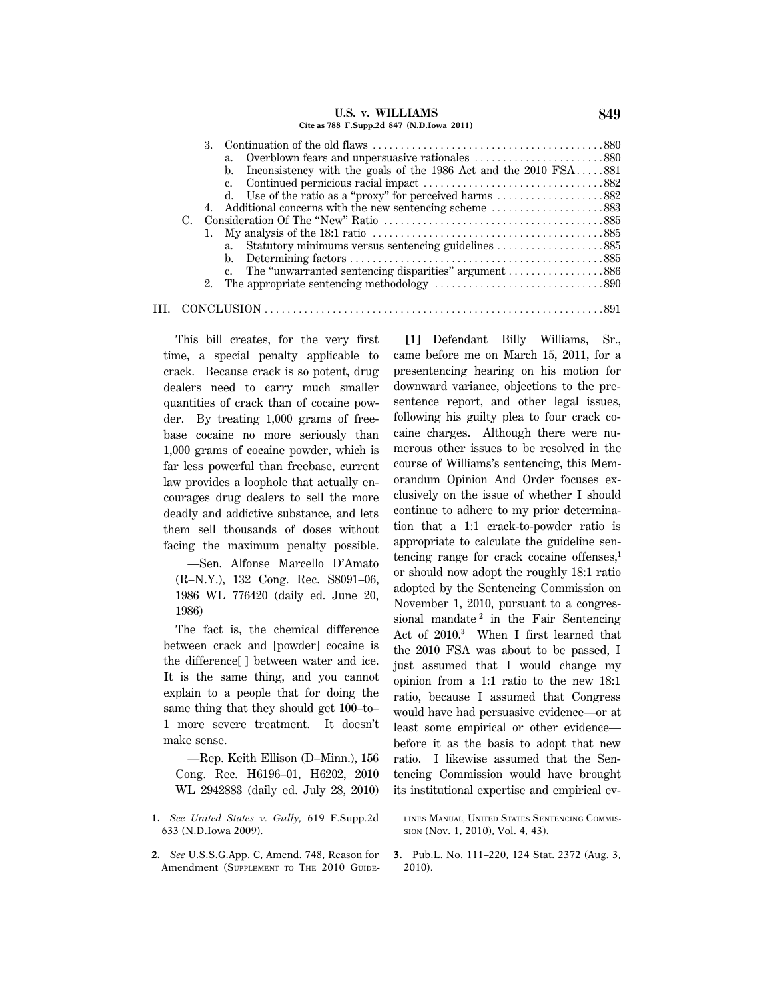#### **U.S. v. WILLIAMS 849 Cite as 788 F.Supp.2d 847 (N.D.Iowa 2011)**

| $C_{\cdot}$ | 3.<br>b. Inconsistency with the goals of the 1986 Act and the $2010$ FSA881<br>c.<br>d. Use of the ratio as a "proxy" for perceived harms $\dots \dots \dots \dots \dots$ 882<br>a.<br>c. The "unwarranted sentencing disparities" argument 886 |
|-------------|-------------------------------------------------------------------------------------------------------------------------------------------------------------------------------------------------------------------------------------------------|
|             |                                                                                                                                                                                                                                                 |
|             | 2. The appropriate sentencing methodology $\dots\dots\dots\dots\dots\dots\dots\dots\dots$                                                                                                                                                       |
|             |                                                                                                                                                                                                                                                 |

This bill creates, for the very first time, a special penalty applicable to crack. Because crack is so potent, drug dealers need to carry much smaller quantities of crack than of cocaine powder. By treating 1,000 grams of freebase cocaine no more seriously than 1,000 grams of cocaine powder, which is far less powerful than freebase, current law provides a loophole that actually encourages drug dealers to sell the more deadly and addictive substance, and lets them sell thousands of doses without facing the maximum penalty possible.

—Sen. Alfonse Marcello D'Amato (R–N.Y.), 132 Cong. Rec. S8091–06, 1986 WL 776420 (daily ed. June 20, 1986)

The fact is, the chemical difference between crack and [powder] cocaine is the difference[ ] between water and ice. It is the same thing, and you cannot explain to a people that for doing the same thing that they should get 100–to– 1 more severe treatment. It doesn't make sense.

—Rep. Keith Ellison (D–Minn.), 156 Cong. Rec. H6196–01, H6202, 2010 WL 2942883 (daily ed. July 28, 2010)

**1.** *See United States v. Gully,* 619 F.Supp.2d 633 (N.D.Iowa 2009).

**2.** *See* U.S.S.G.App. C, Amend. 748, Reason for Amendment (SUPPLEMENT TO THE 2010 GUIDE-

**[1]** Defendant Billy Williams, Sr., came before me on March 15, 2011, for a presentencing hearing on his motion for downward variance, objections to the presentence report, and other legal issues, following his guilty plea to four crack cocaine charges. Although there were numerous other issues to be resolved in the course of Williams's sentencing, this Memorandum Opinion And Order focuses exclusively on the issue of whether I should continue to adhere to my prior determination that a 1:1 crack-to-powder ratio is appropriate to calculate the guideline sentencing range for crack cocaine offenses,**<sup>1</sup>** or should now adopt the roughly 18:1 ratio adopted by the Sentencing Commission on November 1, 2010, pursuant to a congressional mandate **<sup>2</sup>** in the Fair Sentencing Act of 2010.**<sup>3</sup>** When I first learned that the 2010 FSA was about to be passed, I just assumed that I would change my opinion from a 1:1 ratio to the new 18:1 ratio, because I assumed that Congress would have had persuasive evidence—or at least some empirical or other evidence before it as the basis to adopt that new ratio. I likewise assumed that the Sentencing Commission would have brought its institutional expertise and empirical ev-

LINES MANUAL, UNITED STATES SENTENCING COMMIS-SION (Nov. 1, 2010), Vol. 4, 43).

**3.** Pub.L. No. 111–220, 124 Stat. 2372 (Aug. 3, 2010).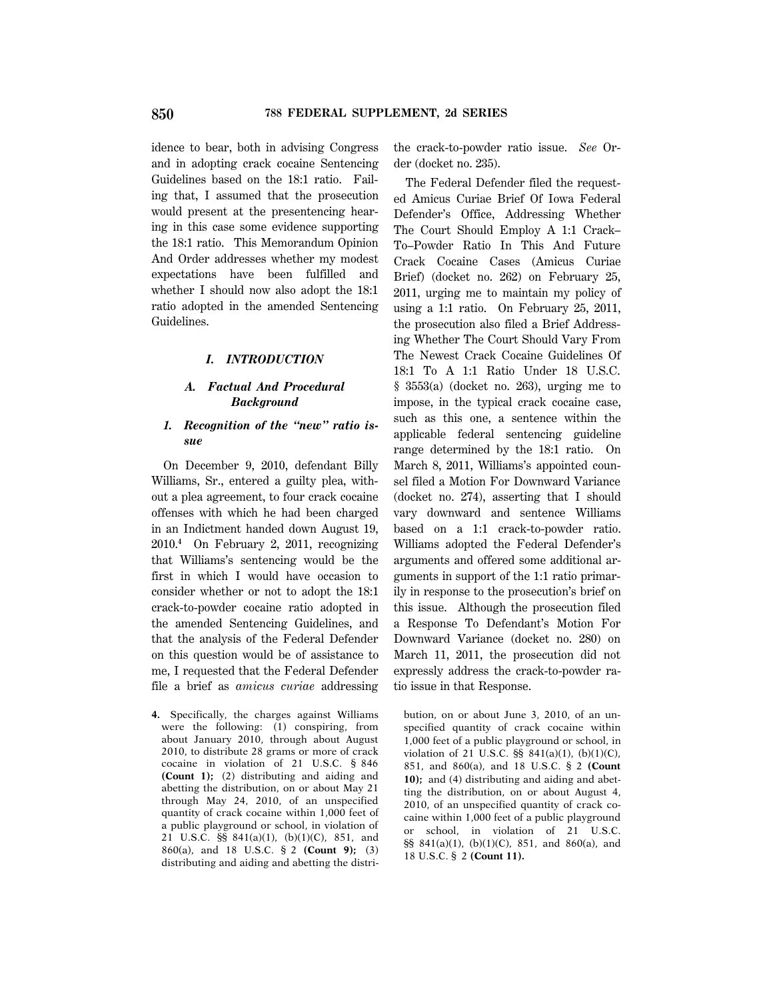idence to bear, both in advising Congress and in adopting crack cocaine Sentencing Guidelines based on the 18:1 ratio. Failing that, I assumed that the prosecution would present at the presentencing hearing in this case some evidence supporting the 18:1 ratio. This Memorandum Opinion And Order addresses whether my modest expectations have been fulfilled and whether I should now also adopt the 18:1 ratio adopted in the amended Sentencing Guidelines.

#### *I. INTRODUCTION*

## *A. Factual And Procedural Background*

## *1. Recognition of the ''new'' ratio issue*

On December 9, 2010, defendant Billy Williams, Sr., entered a guilty plea, without a plea agreement, to four crack cocaine offenses with which he had been charged in an Indictment handed down August 19, 2010.**<sup>4</sup>** On February 2, 2011, recognizing that Williams's sentencing would be the first in which I would have occasion to consider whether or not to adopt the 18:1 crack-to-powder cocaine ratio adopted in the amended Sentencing Guidelines, and that the analysis of the Federal Defender on this question would be of assistance to me, I requested that the Federal Defender file a brief as *amicus curiae* addressing

**4.** Specifically, the charges against Williams were the following: (1) conspiring, from about January 2010, through about August 2010, to distribute 28 grams or more of crack cocaine in violation of 21 U.S.C. § 846 **(Count 1);** (2) distributing and aiding and abetting the distribution, on or about May 21 through May 24, 2010, of an unspecified quantity of crack cocaine within 1,000 feet of a public playground or school, in violation of 21 U.S.C. §§ 841(a)(1), (b)(1)(C), 851, and 860(a), and 18 U.S.C. § 2 **(Count 9);** (3) distributing and aiding and abetting the distrithe crack-to-powder ratio issue. *See* Order (docket no. 235).

The Federal Defender filed the requested Amicus Curiae Brief Of Iowa Federal Defender's Office, Addressing Whether The Court Should Employ A 1:1 Crack– To–Powder Ratio In This And Future Crack Cocaine Cases (Amicus Curiae Brief) (docket no. 262) on February 25, 2011, urging me to maintain my policy of using a 1:1 ratio. On February 25, 2011, the prosecution also filed a Brief Addressing Whether The Court Should Vary From The Newest Crack Cocaine Guidelines Of 18:1 To A 1:1 Ratio Under 18 U.S.C.  $§$  3553(a) (docket no. 263), urging me to impose, in the typical crack cocaine case, such as this one, a sentence within the applicable federal sentencing guideline range determined by the 18:1 ratio. On March 8, 2011, Williams's appointed counsel filed a Motion For Downward Variance (docket no. 274), asserting that I should vary downward and sentence Williams based on a 1:1 crack-to-powder ratio. Williams adopted the Federal Defender's arguments and offered some additional arguments in support of the 1:1 ratio primarily in response to the prosecution's brief on this issue. Although the prosecution filed a Response To Defendant's Motion For Downward Variance (docket no. 280) on March 11, 2011, the prosecution did not expressly address the crack-to-powder ratio issue in that Response.

bution, on or about June 3, 2010, of an unspecified quantity of crack cocaine within 1,000 feet of a public playground or school, in violation of 21 U.S.C.  $\S$ § 841(a)(1), (b)(1)(C), 851, and 860(a), and 18 U.S.C. § 2 **(Count 10);** and (4) distributing and aiding and abetting the distribution, on or about August 4, 2010, of an unspecified quantity of crack cocaine within 1,000 feet of a public playground or school, in violation of 21 U.S.C. §§ 841(a)(1), (b)(1)(C), 851, and 860(a), and 18 U.S.C. § 2 **(Count 11).**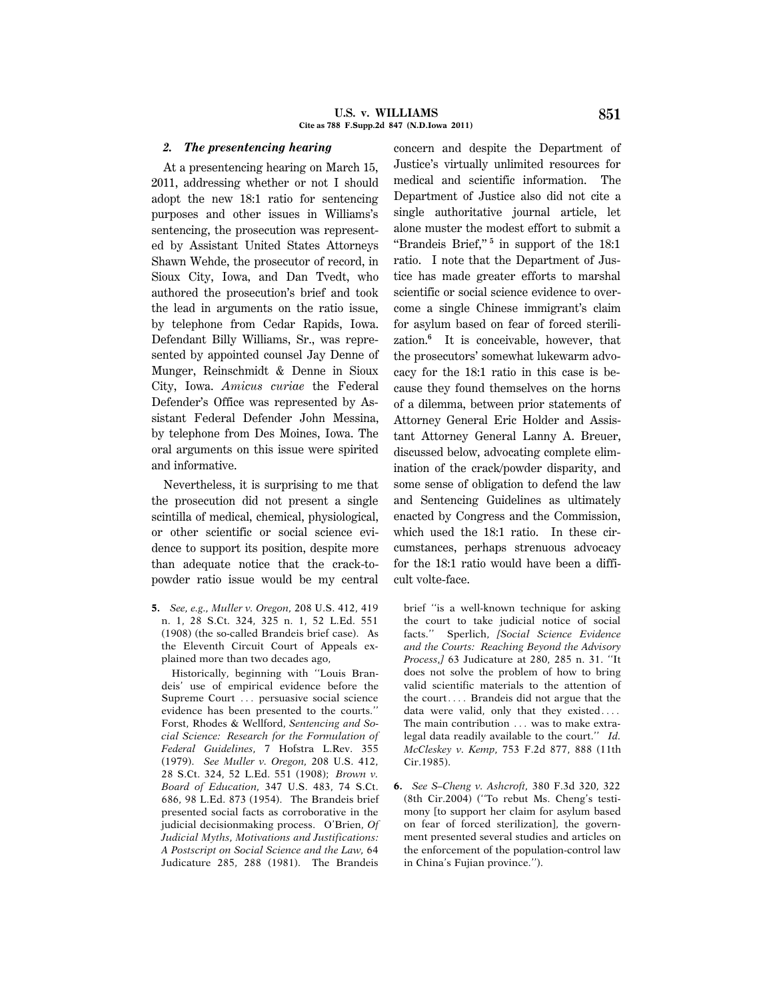#### **U.S. v. WILLIAMS 851 Cite as 788 F.Supp.2d 847 (N.D.Iowa 2011)**

### *2. The presentencing hearing*

At a presentencing hearing on March 15, 2011, addressing whether or not I should adopt the new 18:1 ratio for sentencing purposes and other issues in Williams's sentencing, the prosecution was represented by Assistant United States Attorneys Shawn Wehde, the prosecutor of record, in Sioux City, Iowa, and Dan Tvedt, who authored the prosecution's brief and took the lead in arguments on the ratio issue, by telephone from Cedar Rapids, Iowa. Defendant Billy Williams, Sr., was represented by appointed counsel Jay Denne of Munger, Reinschmidt & Denne in Sioux City, Iowa. *Amicus curiae* the Federal Defender's Office was represented by Assistant Federal Defender John Messina, by telephone from Des Moines, Iowa. The oral arguments on this issue were spirited and informative.

Nevertheless, it is surprising to me that the prosecution did not present a single scintilla of medical, chemical, physiological, or other scientific or social science evidence to support its position, despite more than adequate notice that the crack-topowder ratio issue would be my central

**5.** *See, e.g., Muller v. Oregon,* 208 U.S. 412, 419 n. 1, 28 S.Ct. 324, 325 n. 1, 52 L.Ed. 551 (1908) (the so-called Brandeis brief case). As the Eleventh Circuit Court of Appeals explained more than two decades ago,

Historically, beginning with ''Louis Brandeis' use of empirical evidence before the Supreme Court ... persuasive social science evidence has been presented to the courts.'' Forst, Rhodes & Wellford, *Sentencing and Social Science: Research for the Formulation of Federal Guidelines,* 7 Hofstra L.Rev. 355 (1979). *See Muller v. Oregon,* 208 U.S. 412, 28 S.Ct. 324, 52 L.Ed. 551 (1908); *Brown v. Board of Education,* 347 U.S. 483, 74 S.Ct. 686, 98 L.Ed. 873 (1954). The Brandeis brief presented social facts as corroborative in the judicial decisionmaking process. O'Brien, *Of Judicial Myths, Motivations and Justifications: A Postscript on Social Science and the Law,* 64 Judicature 285, 288 (1981). The Brandeis concern and despite the Department of Justice's virtually unlimited resources for medical and scientific information. The Department of Justice also did not cite a single authoritative journal article, let alone muster the modest effort to submit a "Brandeis Brief,"<sup>5</sup> in support of the 18:1 ratio. I note that the Department of Justice has made greater efforts to marshal scientific or social science evidence to overcome a single Chinese immigrant's claim for asylum based on fear of forced sterilization.**<sup>6</sup>** It is conceivable, however, that the prosecutors' somewhat lukewarm advocacy for the 18:1 ratio in this case is because they found themselves on the horns of a dilemma, between prior statements of Attorney General Eric Holder and Assistant Attorney General Lanny A. Breuer, discussed below, advocating complete elimination of the crack/powder disparity, and some sense of obligation to defend the law and Sentencing Guidelines as ultimately enacted by Congress and the Commission, which used the 18:1 ratio. In these circumstances, perhaps strenuous advocacy for the 18:1 ratio would have been a difficult volte-face.

brief ''is a well-known technique for asking the court to take judicial notice of social facts.'' Sperlich, *[Social Science Evidence and the Courts: Reaching Beyond the Advisory Process,]* 63 Judicature at 280, 285 n. 31. ''It does not solve the problem of how to bring valid scientific materials to the attention of the court $\ldots$  Brandeis did not argue that the data were valid, only that they existed.... The main contribution ... was to make extralegal data readily available to the court.'' *Id. McCleskey v. Kemp,* 753 F.2d 877, 888 (11th Cir.1985).

**6.** *See S–Cheng v. Ashcroft,* 380 F.3d 320, 322 (8th Cir.2004) (''To rebut Ms. Cheng's testimony [to support her claim for asylum based on fear of forced sterilization], the government presented several studies and articles on the enforcement of the population-control law in China's Fujian province.'').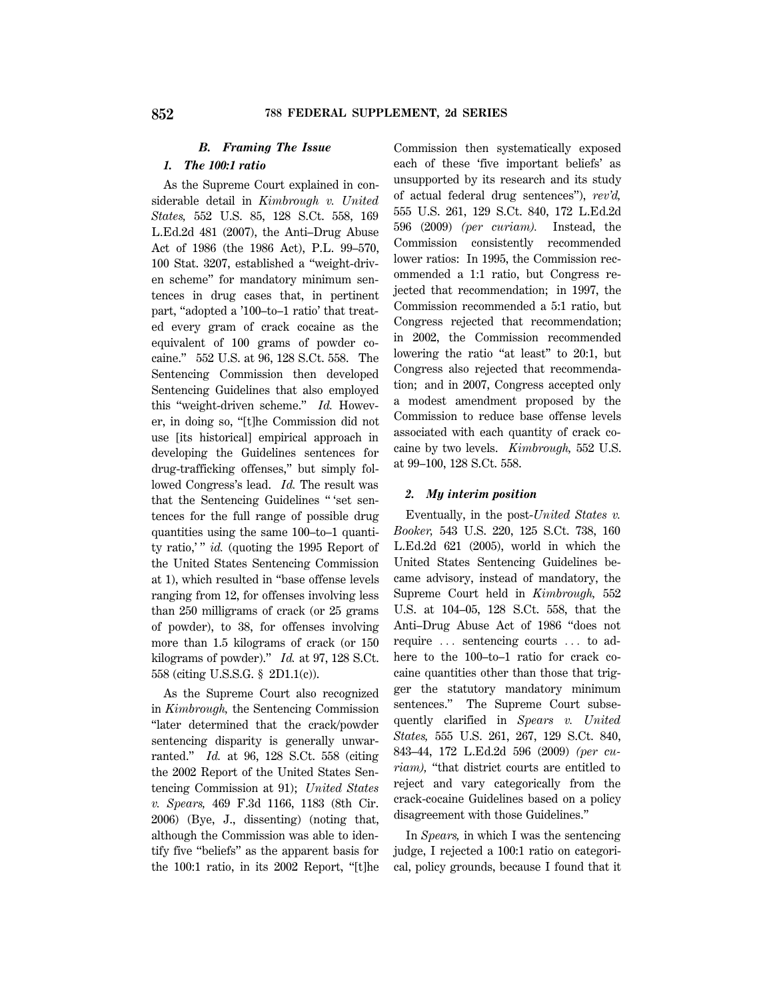# *B. Framing The Issue*

# *1. The 100:1 ratio*

As the Supreme Court explained in considerable detail in *Kimbrough v. United States,* 552 U.S. 85, 128 S.Ct. 558, 169 L.Ed.2d 481 (2007), the Anti–Drug Abuse Act of 1986 (the 1986 Act), P.L. 99–570, 100 Stat. 3207, established a ''weight-driven scheme'' for mandatory minimum sentences in drug cases that, in pertinent part, "adopted a '100-to-1 ratio' that treated every gram of crack cocaine as the equivalent of 100 grams of powder cocaine.'' 552 U.S. at 96, 128 S.Ct. 558. The Sentencing Commission then developed Sentencing Guidelines that also employed this ''weight-driven scheme.'' *Id.* However, in doing so, ''[t]he Commission did not use [its historical] empirical approach in developing the Guidelines sentences for drug-trafficking offenses,'' but simply followed Congress's lead. *Id.* The result was that the Sentencing Guidelines '' 'set sentences for the full range of possible drug quantities using the same 100–to–1 quantity ratio,'" *id.* (quoting the 1995 Report of the United States Sentencing Commission at 1), which resulted in ''base offense levels ranging from 12, for offenses involving less than 250 milligrams of crack (or 25 grams of powder), to 38, for offenses involving more than 1.5 kilograms of crack (or 150 kilograms of powder).'' *Id.* at 97, 128 S.Ct. 558 (citing U.S.S.G. § 2D1.1(c)).

As the Supreme Court also recognized in *Kimbrough,* the Sentencing Commission ''later determined that the crack/powder sentencing disparity is generally unwarranted.'' *Id.* at 96, 128 S.Ct. 558 (citing the 2002 Report of the United States Sentencing Commission at 91); *United States v. Spears,* 469 F.3d 1166, 1183 (8th Cir. 2006) (Bye, J., dissenting) (noting that, although the Commission was able to identify five ''beliefs'' as the apparent basis for the 100:1 ratio, in its 2002 Report, ''[t]he

Commission then systematically exposed each of these 'five important beliefs' as unsupported by its research and its study of actual federal drug sentences''), *rev'd,* 555 U.S. 261, 129 S.Ct. 840, 172 L.Ed.2d 596 (2009) *(per curiam).* Instead, the Commission consistently recommended lower ratios: In 1995, the Commission recommended a 1:1 ratio, but Congress rejected that recommendation; in 1997, the Commission recommended a 5:1 ratio, but Congress rejected that recommendation; in 2002, the Commission recommended lowering the ratio "at least" to 20:1, but Congress also rejected that recommendation; and in 2007, Congress accepted only a modest amendment proposed by the Commission to reduce base offense levels associated with each quantity of crack cocaine by two levels. *Kimbrough,* 552 U.S. at 99–100, 128 S.Ct. 558.

#### *2. My interim position*

Eventually, in the post-*United States v. Booker,* 543 U.S. 220, 125 S.Ct. 738, 160 L.Ed.2d 621 (2005), world in which the United States Sentencing Guidelines became advisory, instead of mandatory, the Supreme Court held in *Kimbrough,* 552 U.S. at 104–05, 128 S.Ct. 558, that the Anti–Drug Abuse Act of 1986 ''does not require  $\ldots$  sentencing courts  $\ldots$  to adhere to the 100–to–1 ratio for crack cocaine quantities other than those that trigger the statutory mandatory minimum sentences.'' The Supreme Court subsequently clarified in *Spears v. United States,* 555 U.S. 261, 267, 129 S.Ct. 840, 843–44, 172 L.Ed.2d 596 (2009) *(per curiam*), "that district courts are entitled to reject and vary categorically from the crack-cocaine Guidelines based on a policy disagreement with those Guidelines.''

In *Spears,* in which I was the sentencing judge, I rejected a 100:1 ratio on categorical, policy grounds, because I found that it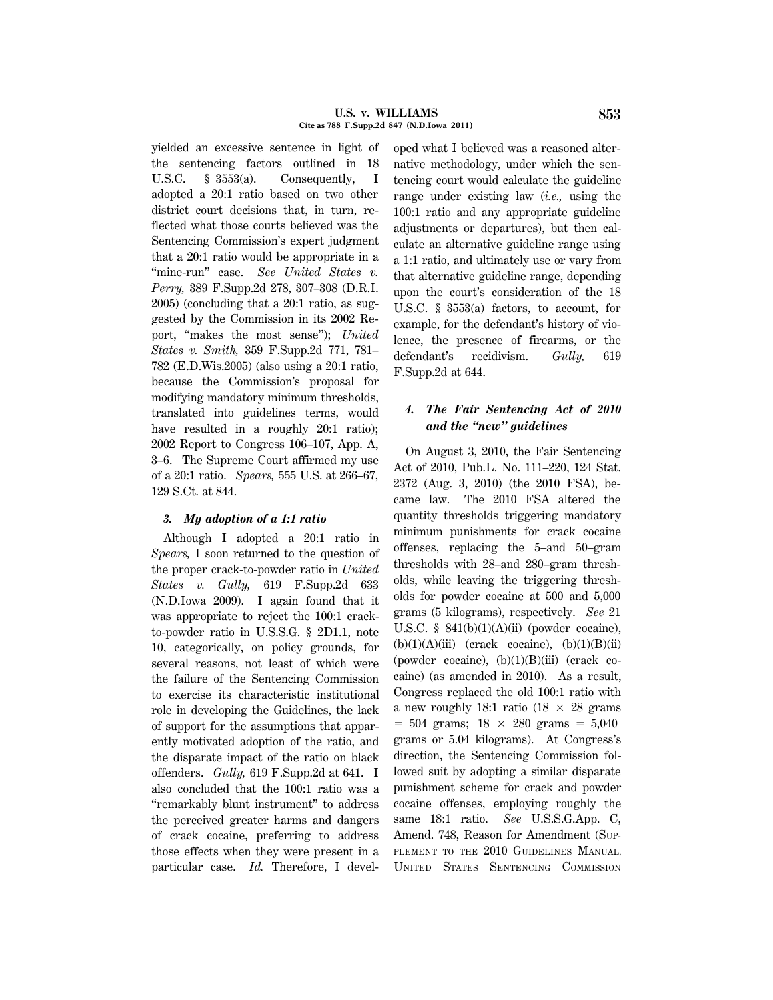yielded an excessive sentence in light of the sentencing factors outlined in 18 U.S.C. § 3553(a). Consequently, I adopted a 20:1 ratio based on two other district court decisions that, in turn, reflected what those courts believed was the Sentencing Commission's expert judgment that a 20:1 ratio would be appropriate in a "mine-run" case. *See United States v. Perry,* 389 F.Supp.2d 278, 307–308 (D.R.I. 2005) (concluding that a 20:1 ratio, as suggested by the Commission in its 2002 Report, ''makes the most sense''); *United States v. Smith,* 359 F.Supp.2d 771, 781– 782 (E.D.Wis.2005) (also using a 20:1 ratio, because the Commission's proposal for modifying mandatory minimum thresholds, translated into guidelines terms, would have resulted in a roughly 20:1 ratio); 2002 Report to Congress 106–107, App. A, 3–6. The Supreme Court affirmed my use of a 20:1 ratio. *Spears,* 555 U.S. at 266–67, 129 S.Ct. at 844.

## *3. My adoption of a 1:1 ratio*

Although I adopted a 20:1 ratio in *Spears,* I soon returned to the question of the proper crack-to-powder ratio in *United States v. Gully,* 619 F.Supp.2d 633 (N.D.Iowa 2009). I again found that it was appropriate to reject the 100:1 crackto-powder ratio in U.S.S.G. § 2D1.1, note 10, categorically, on policy grounds, for several reasons, not least of which were the failure of the Sentencing Commission to exercise its characteristic institutional role in developing the Guidelines, the lack of support for the assumptions that apparently motivated adoption of the ratio, and the disparate impact of the ratio on black offenders. *Gully,* 619 F.Supp.2d at 641. I also concluded that the 100:1 ratio was a ''remarkably blunt instrument'' to address the perceived greater harms and dangers of crack cocaine, preferring to address those effects when they were present in a particular case. *Id.* Therefore, I developed what I believed was a reasoned alternative methodology, under which the sentencing court would calculate the guideline range under existing law (*i.e.,* using the 100:1 ratio and any appropriate guideline adjustments or departures), but then calculate an alternative guideline range using a 1:1 ratio, and ultimately use or vary from that alternative guideline range, depending upon the court's consideration of the 18 U.S.C. § 3553(a) factors, to account, for example, for the defendant's history of violence, the presence of firearms, or the defendant's recidivism. *Gully,* 619 F.Supp.2d at 644.

# *4. The Fair Sentencing Act of 2010 and the ''new'' guidelines*

On August 3, 2010, the Fair Sentencing Act of 2010, Pub.L. No. 111–220, 124 Stat. 2372 (Aug. 3, 2010) (the 2010 FSA), became law. The 2010 FSA altered the quantity thresholds triggering mandatory minimum punishments for crack cocaine offenses, replacing the 5–and 50–gram thresholds with 28–and 280–gram thresholds, while leaving the triggering thresholds for powder cocaine at 500 and 5,000 grams (5 kilograms), respectively. *See* 21 U.S.C.  $§$  841(b)(1)(A)(ii) (powder cocaine),  $(b)(1)(A)(iii)$  (crack cocaine),  $(b)(1)(B)(ii)$ (powder cocaine),  $(b)(1)(B)(iii)$  (crack cocaine) (as amended in 2010). As a result, Congress replaced the old 100:1 ratio with a new roughly 18:1 ratio  $(18 \times 28 \text{ grams})$  $= 504$  grams;  $18 \times 280$  grams  $= 5,040$ grams or 5.04 kilograms). At Congress's direction, the Sentencing Commission followed suit by adopting a similar disparate punishment scheme for crack and powder cocaine offenses, employing roughly the same 18:1 ratio. *See* U.S.S.G.App. C, Amend. 748, Reason for Amendment (SUP-PLEMENT TO THE 2010 GUIDELINES MANUAL, UNITED STATES SENTENCING COMMISSION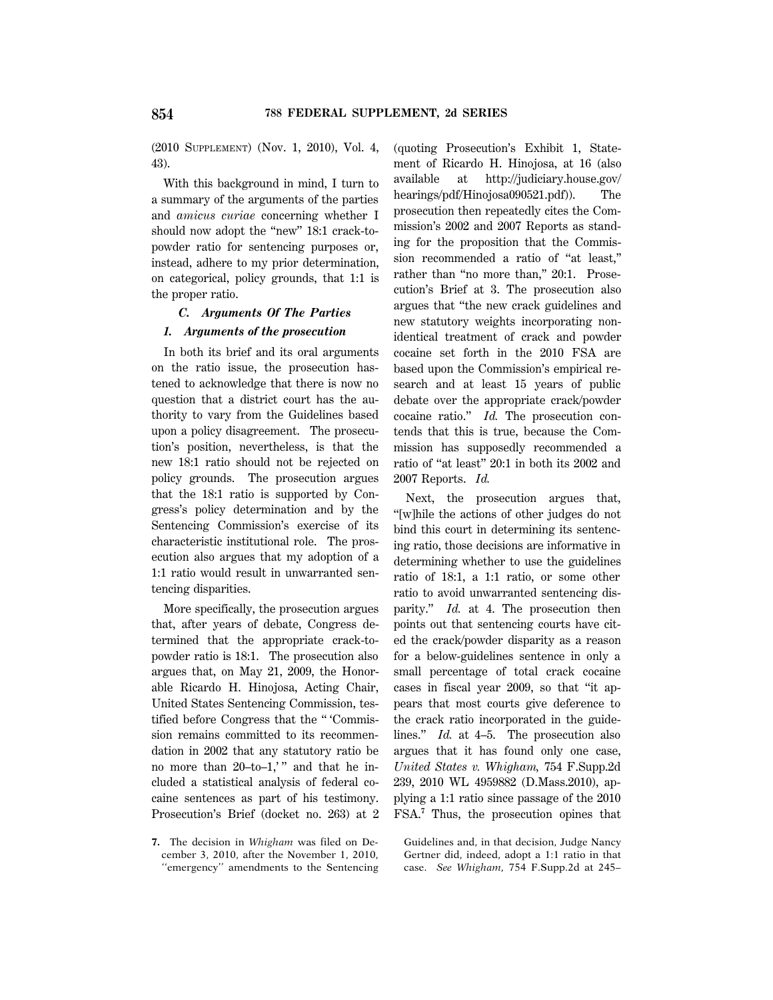(2010 SUPPLEMENT) (Nov. 1, 2010), Vol. 4, 43).

With this background in mind, I turn to a summary of the arguments of the parties and *amicus curiae* concerning whether I should now adopt the "new" 18:1 crack-topowder ratio for sentencing purposes or, instead, adhere to my prior determination, on categorical, policy grounds, that 1:1 is the proper ratio.

## *C. Arguments Of The Parties*

### *1. Arguments of the prosecution*

In both its brief and its oral arguments on the ratio issue, the prosecution hastened to acknowledge that there is now no question that a district court has the authority to vary from the Guidelines based upon a policy disagreement. The prosecution's position, nevertheless, is that the new 18:1 ratio should not be rejected on policy grounds. The prosecution argues that the 18:1 ratio is supported by Congress's policy determination and by the Sentencing Commission's exercise of its characteristic institutional role. The prosecution also argues that my adoption of a 1:1 ratio would result in unwarranted sentencing disparities.

More specifically, the prosecution argues that, after years of debate, Congress determined that the appropriate crack-topowder ratio is 18:1. The prosecution also argues that, on May 21, 2009, the Honorable Ricardo H. Hinojosa, Acting Chair, United States Sentencing Commission, testified before Congress that the '' 'Commission remains committed to its recommendation in 2002 that any statutory ratio be no more than  $20$ -to-1,'" and that he included a statistical analysis of federal cocaine sentences as part of his testimony. Prosecution's Brief (docket no. 263) at 2

**7.** The decision in *Whigham* was filed on December 3, 2010, after the November 1, 2010, ''emergency'' amendments to the Sentencing (quoting Prosecution's Exhibit 1, Statement of Ricardo H. Hinojosa, at 16 (also available at http://judiciary.house.gov/ hearings/pdf/Hinojosa090521.pdf)). The prosecution then repeatedly cites the Commission's 2002 and 2007 Reports as standing for the proposition that the Commission recommended a ratio of ''at least,'' rather than "no more than," 20:1. Prosecution's Brief at 3. The prosecution also argues that ''the new crack guidelines and new statutory weights incorporating nonidentical treatment of crack and powder cocaine set forth in the 2010 FSA are based upon the Commission's empirical research and at least 15 years of public debate over the appropriate crack/powder cocaine ratio.'' *Id.* The prosecution contends that this is true, because the Commission has supposedly recommended a ratio of ''at least'' 20:1 in both its 2002 and 2007 Reports. *Id.*

Next, the prosecution argues that, ''[w]hile the actions of other judges do not bind this court in determining its sentencing ratio, those decisions are informative in determining whether to use the guidelines ratio of 18:1, a 1:1 ratio, or some other ratio to avoid unwarranted sentencing disparity.'' *Id.* at 4. The prosecution then points out that sentencing courts have cited the crack/powder disparity as a reason for a below-guidelines sentence in only a small percentage of total crack cocaine cases in fiscal year 2009, so that ''it appears that most courts give deference to the crack ratio incorporated in the guidelines.'' *Id.* at 4–5. The prosecution also argues that it has found only one case, *United States v. Whigham,* 754 F.Supp.2d 239, 2010 WL 4959882 (D.Mass.2010), applying a 1:1 ratio since passage of the 2010 FSA.**<sup>7</sup>** Thus, the prosecution opines that

Guidelines and, in that decision, Judge Nancy Gertner did, indeed, adopt a 1:1 ratio in that case. *See Whigham,* 754 F.Supp.2d at 245–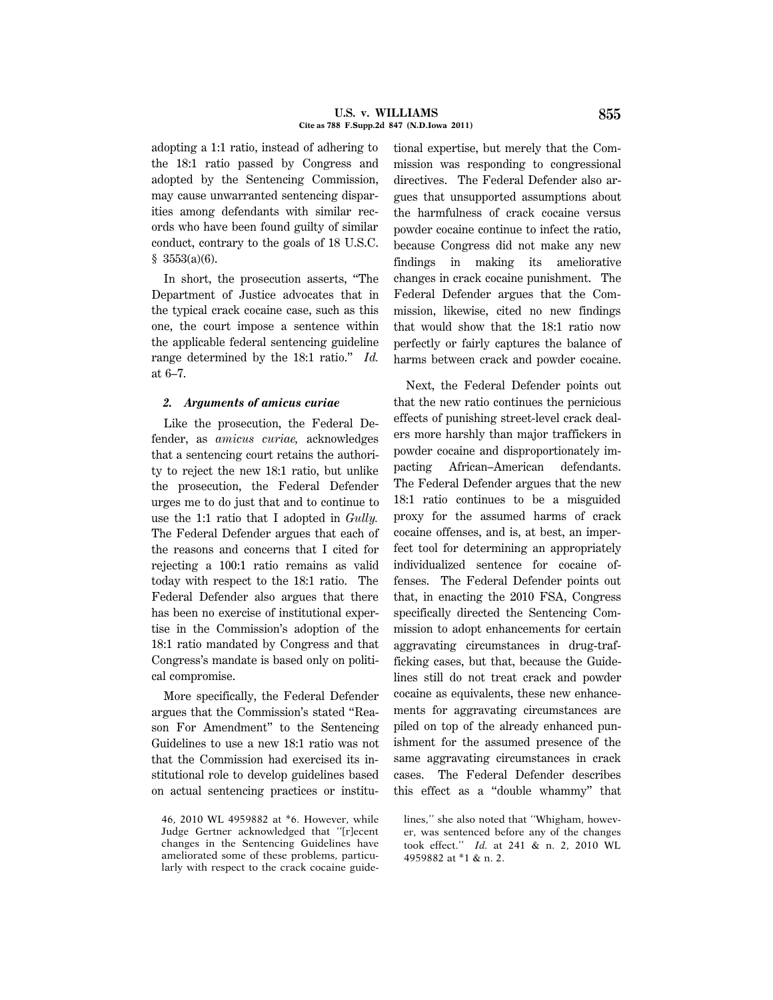adopting a 1:1 ratio, instead of adhering to the 18:1 ratio passed by Congress and adopted by the Sentencing Commission, may cause unwarranted sentencing disparities among defendants with similar records who have been found guilty of similar conduct, contrary to the goals of 18 U.S.C.  $$3553(a)(6).$ 

In short, the prosecution asserts, ''The Department of Justice advocates that in the typical crack cocaine case, such as this one, the court impose a sentence within the applicable federal sentencing guideline range determined by the 18:1 ratio.'' *Id.* at 6–7.

### *2. Arguments of amicus curiae*

Like the prosecution, the Federal Defender, as *amicus curiae,* acknowledges that a sentencing court retains the authority to reject the new 18:1 ratio, but unlike the prosecution, the Federal Defender urges me to do just that and to continue to use the 1:1 ratio that I adopted in *Gully.* The Federal Defender argues that each of the reasons and concerns that I cited for rejecting a 100:1 ratio remains as valid today with respect to the 18:1 ratio. The Federal Defender also argues that there has been no exercise of institutional expertise in the Commission's adoption of the 18:1 ratio mandated by Congress and that Congress's mandate is based only on political compromise.

More specifically, the Federal Defender argues that the Commission's stated ''Reason For Amendment'' to the Sentencing Guidelines to use a new 18:1 ratio was not that the Commission had exercised its institutional role to develop guidelines based on actual sentencing practices or institutional expertise, but merely that the Commission was responding to congressional directives. The Federal Defender also argues that unsupported assumptions about the harmfulness of crack cocaine versus powder cocaine continue to infect the ratio, because Congress did not make any new findings in making its ameliorative changes in crack cocaine punishment. The Federal Defender argues that the Commission, likewise, cited no new findings that would show that the 18:1 ratio now perfectly or fairly captures the balance of harms between crack and powder cocaine.

Next, the Federal Defender points out that the new ratio continues the pernicious effects of punishing street-level crack dealers more harshly than major traffickers in powder cocaine and disproportionately impacting African–American defendants. The Federal Defender argues that the new 18:1 ratio continues to be a misguided proxy for the assumed harms of crack cocaine offenses, and is, at best, an imperfect tool for determining an appropriately individualized sentence for cocaine offenses. The Federal Defender points out that, in enacting the 2010 FSA, Congress specifically directed the Sentencing Commission to adopt enhancements for certain aggravating circumstances in drug-trafficking cases, but that, because the Guidelines still do not treat crack and powder cocaine as equivalents, these new enhancements for aggravating circumstances are piled on top of the already enhanced punishment for the assumed presence of the same aggravating circumstances in crack cases. The Federal Defender describes this effect as a ''double whammy'' that

<sup>46, 2010</sup> WL 4959882 at \*6. However, while Judge Gertner acknowledged that ''[r]ecent changes in the Sentencing Guidelines have ameliorated some of these problems, particularly with respect to the crack cocaine guide-

lines,'' she also noted that ''Whigham, however, was sentenced before any of the changes took effect.'' *Id.* at 241 & n. 2, 2010 WL 4959882 at \*1 & n. 2.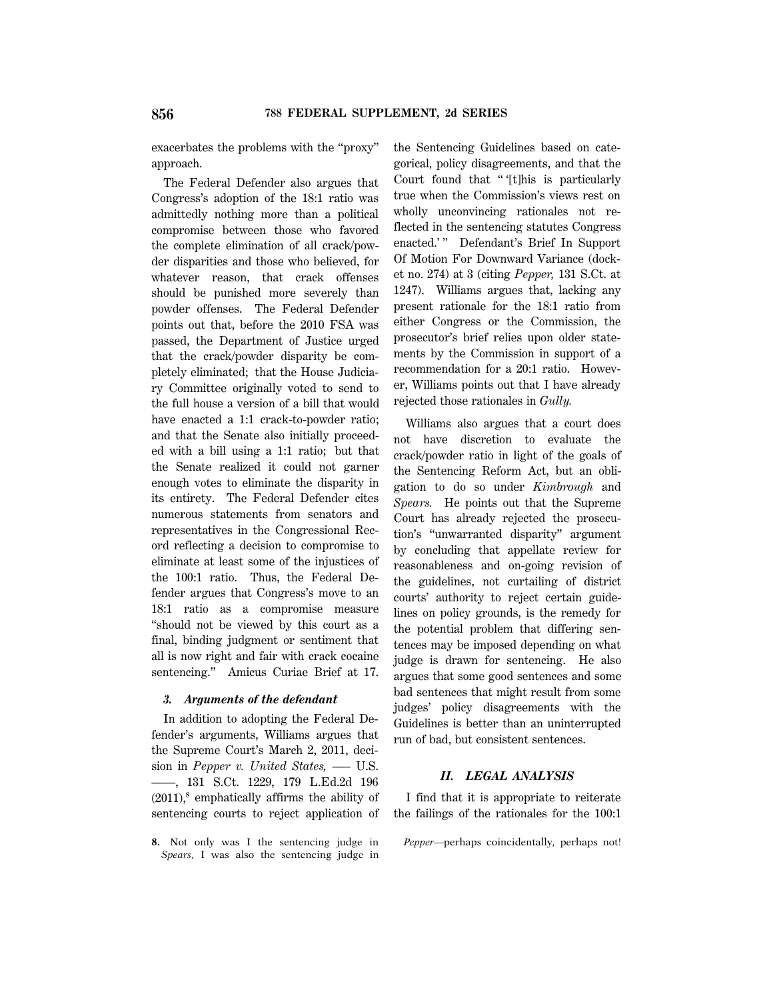exacerbates the problems with the ''proxy'' approach.

The Federal Defender also argues that Congress's adoption of the 18:1 ratio was admittedly nothing more than a political compromise between those who favored the complete elimination of all crack/powder disparities and those who believed, for whatever reason, that crack offenses should be punished more severely than powder offenses. The Federal Defender points out that, before the 2010 FSA was passed, the Department of Justice urged that the crack/powder disparity be completely eliminated; that the House Judiciary Committee originally voted to send to the full house a version of a bill that would have enacted a 1:1 crack-to-powder ratio; and that the Senate also initially proceeded with a bill using a 1:1 ratio; but that the Senate realized it could not garner enough votes to eliminate the disparity in its entirety. The Federal Defender cites numerous statements from senators and representatives in the Congressional Record reflecting a decision to compromise to eliminate at least some of the injustices of the 100:1 ratio. Thus, the Federal Defender argues that Congress's move to an 18:1 ratio as a compromise measure ''should not be viewed by this court as a final, binding judgment or sentiment that all is now right and fair with crack cocaine sentencing.'' Amicus Curiae Brief at 17.

### *3. Arguments of the defendant*

In addition to adopting the Federal Defender's arguments, Williams argues that the Supreme Court's March 2, 2011, decision in *Pepper v. United States*, — U.S. ––––, 131 S.Ct. 1229, 179 L.Ed.2d 196 (2011),**<sup>8</sup>** emphatically affirms the ability of sentencing courts to reject application of

**8.** Not only was I the sentencing judge in *Spears,* I was also the sentencing judge in the Sentencing Guidelines based on categorical, policy disagreements, and that the Court found that "'[t]his is particularly true when the Commission's views rest on wholly unconvincing rationales not reflected in the sentencing statutes Congress enacted.'" Defendant's Brief In Support Of Motion For Downward Variance (docket no. 274) at 3 (citing *Pepper,* 131 S.Ct. at 1247). Williams argues that, lacking any present rationale for the 18:1 ratio from either Congress or the Commission, the prosecutor's brief relies upon older statements by the Commission in support of a recommendation for a 20:1 ratio. However, Williams points out that I have already rejected those rationales in *Gully.*

Williams also argues that a court does not have discretion to evaluate the crack/powder ratio in light of the goals of the Sentencing Reform Act, but an obligation to do so under *Kimbrough* and *Spears.* He points out that the Supreme Court has already rejected the prosecution's ''unwarranted disparity'' argument by concluding that appellate review for reasonableness and on-going revision of the guidelines, not curtailing of district courts' authority to reject certain guidelines on policy grounds, is the remedy for the potential problem that differing sentences may be imposed depending on what judge is drawn for sentencing. He also argues that some good sentences and some bad sentences that might result from some judges' policy disagreements with the Guidelines is better than an uninterrupted run of bad, but consistent sentences.

### *II. LEGAL ANALYSIS*

I find that it is appropriate to reiterate the failings of the rationales for the 100:1

*Pepper*—perhaps coincidentally, perhaps not!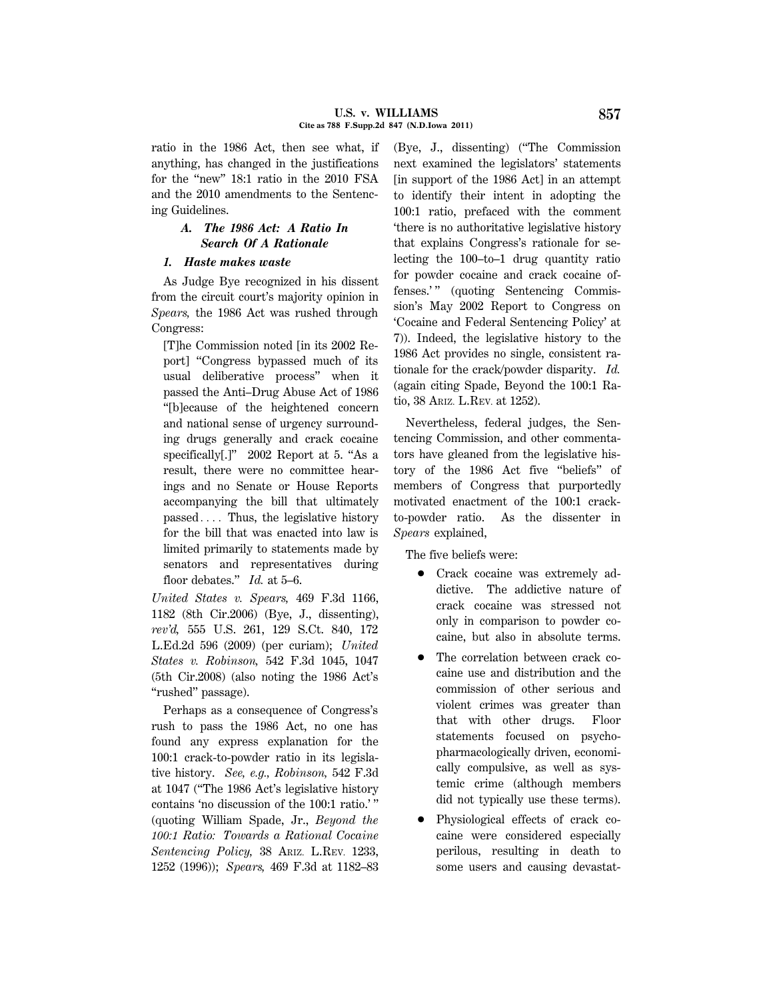ratio in the 1986 Act, then see what, if anything, has changed in the justifications for the "new" 18:1 ratio in the 2010 FSA and the 2010 amendments to the Sentencing Guidelines.

# *A. The 1986 Act: A Ratio In Search Of A Rationale*

## *1. Haste makes waste*

As Judge Bye recognized in his dissent from the circuit court's majority opinion in *Spears,* the 1986 Act was rushed through Congress:

[T]he Commission noted [in its 2002 Report] ''Congress bypassed much of its usual deliberative process'' when it passed the Anti–Drug Abuse Act of 1986 ''[b]ecause of the heightened concern and national sense of urgency surrounding drugs generally and crack cocaine specifically[.]" 2002 Report at 5. "As a result, there were no committee hearings and no Senate or House Reports accompanying the bill that ultimately  $passed...$  Thus, the legislative history for the bill that was enacted into law is limited primarily to statements made by senators and representatives during floor debates.'' *Id.* at 5–6.

*United States v. Spears,* 469 F.3d 1166, 1182 (8th Cir.2006) (Bye, J., dissenting), *rev'd,* 555 U.S. 261, 129 S.Ct. 840, 172 L.Ed.2d 596 (2009) (per curiam); *United States v. Robinson,* 542 F.3d 1045, 1047 (5th Cir.2008) (also noting the 1986 Act's "rushed" passage).

Perhaps as a consequence of Congress's rush to pass the 1986 Act, no one has found any express explanation for the 100:1 crack-to-powder ratio in its legislative history. *See, e.g., Robinson,* 542 F.3d at 1047 (''The 1986 Act's legislative history contains 'no discussion of the 100:1 ratio.' '' (quoting William Spade, Jr., *Beyond the 100:1 Ratio: Towards a Rational Cocaine Sentencing Policy,* 38 ARIZ. L.REV. 1233, 1252 (1996)); *Spears,* 469 F.3d at 1182–83 (Bye, J., dissenting) (''The Commission next examined the legislators' statements [in support of the 1986 Act] in an attempt to identify their intent in adopting the 100:1 ratio, prefaced with the comment 'there is no authoritative legislative history that explains Congress's rationale for selecting the 100–to–1 drug quantity ratio for powder cocaine and crack cocaine offenses.'" (quoting Sentencing Commission's May 2002 Report to Congress on 'Cocaine and Federal Sentencing Policy' at 7)). Indeed, the legislative history to the 1986 Act provides no single, consistent rationale for the crack/powder disparity. *Id.* (again citing Spade, Beyond the 100:1 Ratio, 38 ARIZ. L.REV. at 1252).

Nevertheless, federal judges, the Sentencing Commission, and other commentators have gleaned from the legislative history of the 1986 Act five ''beliefs'' of members of Congress that purportedly motivated enactment of the 100:1 crackto-powder ratio. As the dissenter in *Spears* explained,

The five beliefs were:

- 1 Crack cocaine was extremely addictive. The addictive nature of crack cocaine was stressed not only in comparison to powder cocaine, but also in absolute terms.
- The correlation between crack cocaine use and distribution and the commission of other serious and violent crimes was greater than that with other drugs. Floor statements focused on psychopharmacologically driven, economically compulsive, as well as systemic crime (although members did not typically use these terms).
- Physiological effects of crack cocaine were considered especially perilous, resulting in death to some users and causing devastat-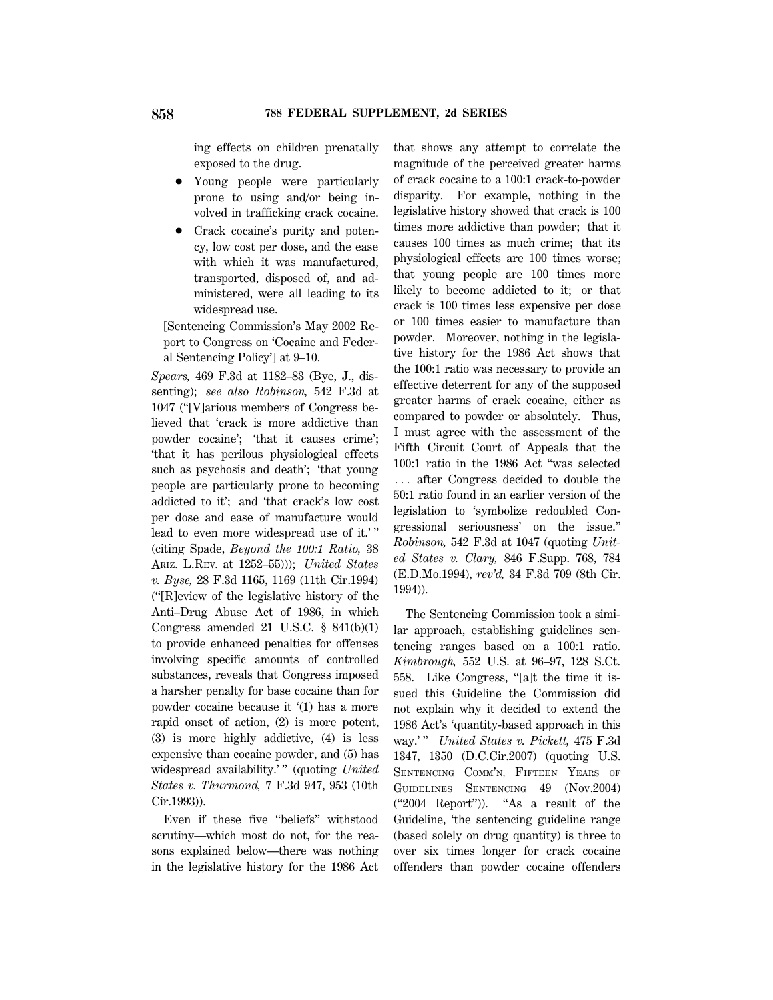ing effects on children prenatally exposed to the drug.

- Young people were particularly prone to using and/or being involved in trafficking crack cocaine.
- Crack cocaine's purity and potency, low cost per dose, and the ease with which it was manufactured, transported, disposed of, and administered, were all leading to its widespread use.

[Sentencing Commission's May 2002 Report to Congress on 'Cocaine and Federal Sentencing Policy'] at 9–10.

*Spears,* 469 F.3d at 1182–83 (Bye, J., dissenting); *see also Robinson,* 542 F.3d at 1047 (''[V]arious members of Congress believed that 'crack is more addictive than powder cocaine'; 'that it causes crime'; 'that it has perilous physiological effects such as psychosis and death'; 'that young people are particularly prone to becoming addicted to it'; and 'that crack's low cost per dose and ease of manufacture would lead to even more widespread use of it.' '' (citing Spade, *Beyond the 100:1 Ratio,* 38 ARIZ. L.REV. at 1252–55))); *United States v. Byse,* 28 F.3d 1165, 1169 (11th Cir.1994) (''[R]eview of the legislative history of the Anti–Drug Abuse Act of 1986, in which Congress amended 21 U.S.C. § 841(b)(1) to provide enhanced penalties for offenses involving specific amounts of controlled substances, reveals that Congress imposed a harsher penalty for base cocaine than for powder cocaine because it '(1) has a more rapid onset of action, (2) is more potent, (3) is more highly addictive, (4) is less expensive than cocaine powder, and (5) has widespread availability.'" (quoting *United States v. Thurmond,* 7 F.3d 947, 953 (10th Cir.1993)).

Even if these five ''beliefs'' withstood scrutiny—which most do not, for the reasons explained below—there was nothing in the legislative history for the 1986 Act that shows any attempt to correlate the magnitude of the perceived greater harms of crack cocaine to a 100:1 crack-to-powder disparity. For example, nothing in the legislative history showed that crack is 100 times more addictive than powder; that it causes 100 times as much crime; that its physiological effects are 100 times worse; that young people are 100 times more likely to become addicted to it; or that crack is 100 times less expensive per dose or 100 times easier to manufacture than powder. Moreover, nothing in the legislative history for the 1986 Act shows that the 100:1 ratio was necessary to provide an effective deterrent for any of the supposed greater harms of crack cocaine, either as compared to powder or absolutely. Thus, I must agree with the assessment of the Fifth Circuit Court of Appeals that the 100:1 ratio in the 1986 Act ''was selected ... after Congress decided to double the 50:1 ratio found in an earlier version of the legislation to 'symbolize redoubled Congressional seriousness' on the issue.'' *Robinson,* 542 F.3d at 1047 (quoting *United States v. Clary,* 846 F.Supp. 768, 784 (E.D.Mo.1994), *rev'd,* 34 F.3d 709 (8th Cir. 1994)).

The Sentencing Commission took a similar approach, establishing guidelines sentencing ranges based on a 100:1 ratio. *Kimbrough,* 552 U.S. at 96–97, 128 S.Ct. 558. Like Congress, "[a]t the time it issued this Guideline the Commission did not explain why it decided to extend the 1986 Act's 'quantity-based approach in this way.' '' *United States v. Pickett,* 475 F.3d 1347, 1350 (D.C.Cir.2007) (quoting U.S. SENTENCING COMM'N, FIFTEEN YEARS OF GUIDELINES SENTENCING 49 (Nov.2004) (''2004 Report'')). ''As a result of the Guideline, 'the sentencing guideline range (based solely on drug quantity) is three to over six times longer for crack cocaine offenders than powder cocaine offenders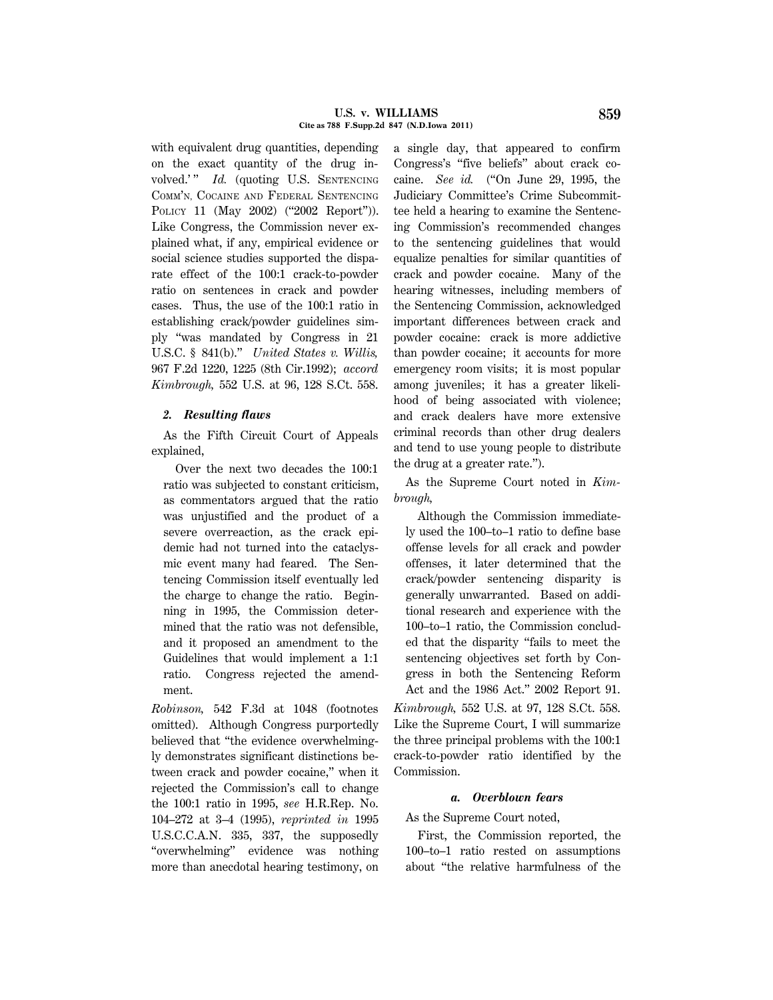#### **U.S. v. WILLIAMS 859 Cite as 788 F.Supp.2d 847 (N.D.Iowa 2011)**

with equivalent drug quantities, depending on the exact quantity of the drug involved.'" *Id.* (quoting U.S. SENTENCING COMM'N, COCAINE AND FEDERAL SENTENCING POLICY 11 (May 2002) ("2002 Report")). Like Congress, the Commission never explained what, if any, empirical evidence or social science studies supported the disparate effect of the 100:1 crack-to-powder ratio on sentences in crack and powder cases. Thus, the use of the 100:1 ratio in establishing crack/powder guidelines simply ''was mandated by Congress in 21 U.S.C. § 841(b).'' *United States v. Willis,* 967 F.2d 1220, 1225 (8th Cir.1992); *accord Kimbrough,* 552 U.S. at 96, 128 S.Ct. 558.

### *2. Resulting flaws*

As the Fifth Circuit Court of Appeals explained,

Over the next two decades the 100:1 ratio was subjected to constant criticism, as commentators argued that the ratio was unjustified and the product of a severe overreaction, as the crack epidemic had not turned into the cataclysmic event many had feared. The Sentencing Commission itself eventually led the charge to change the ratio. Beginning in 1995, the Commission determined that the ratio was not defensible, and it proposed an amendment to the Guidelines that would implement a 1:1 ratio. Congress rejected the amendment.

*Robinson,* 542 F.3d at 1048 (footnotes omitted). Although Congress purportedly believed that ''the evidence overwhelmingly demonstrates significant distinctions between crack and powder cocaine,'' when it rejected the Commission's call to change the 100:1 ratio in 1995, *see* H.R.Rep. No. 104–272 at 3–4 (1995), *reprinted in* 1995 U.S.C.C.A.N. 335, 337, the supposedly ''overwhelming'' evidence was nothing more than anecdotal hearing testimony, on a single day, that appeared to confirm Congress's ''five beliefs'' about crack cocaine. *See id.* (''On June 29, 1995, the Judiciary Committee's Crime Subcommittee held a hearing to examine the Sentencing Commission's recommended changes to the sentencing guidelines that would equalize penalties for similar quantities of crack and powder cocaine. Many of the hearing witnesses, including members of the Sentencing Commission, acknowledged important differences between crack and powder cocaine: crack is more addictive than powder cocaine; it accounts for more emergency room visits; it is most popular among juveniles; it has a greater likelihood of being associated with violence; and crack dealers have more extensive criminal records than other drug dealers and tend to use young people to distribute the drug at a greater rate.'').

As the Supreme Court noted in *Kimbrough,*

Although the Commission immediately used the 100–to–1 ratio to define base offense levels for all crack and powder offenses, it later determined that the crack/powder sentencing disparity is generally unwarranted. Based on additional research and experience with the 100–to–1 ratio, the Commission concluded that the disparity ''fails to meet the sentencing objectives set forth by Congress in both the Sentencing Reform Act and the 1986 Act.'' 2002 Report 91.

*Kimbrough,* 552 U.S. at 97, 128 S.Ct. 558. Like the Supreme Court, I will summarize the three principal problems with the 100:1 crack-to-powder ratio identified by the Commission.

#### *a. Overblown fears*

As the Supreme Court noted,

First, the Commission reported, the 100–to–1 ratio rested on assumptions about ''the relative harmfulness of the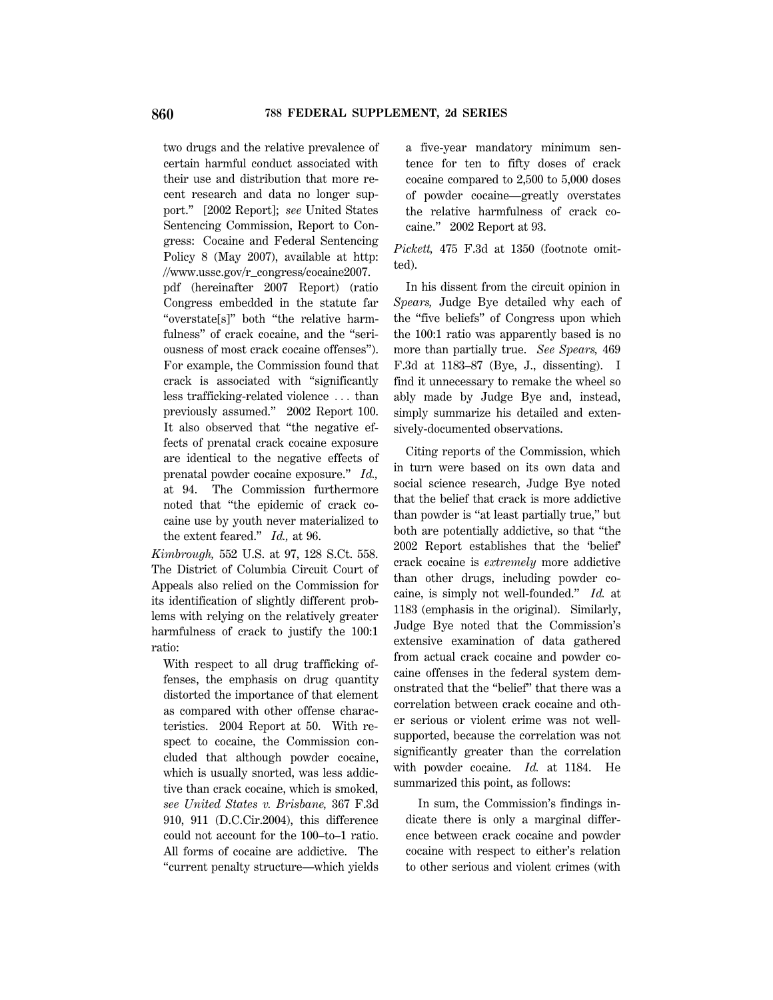two drugs and the relative prevalence of certain harmful conduct associated with their use and distribution that more recent research and data no longer support.'' [2002 Report]; *see* United States Sentencing Commission, Report to Congress: Cocaine and Federal Sentencing Policy 8 (May 2007), available at http: //www.ussc.gov/r\_congress/cocaine2007. pdf (hereinafter 2007 Report) (ratio Congress embedded in the statute far "overstate[s]" both "the relative harm-

fulness" of crack cocaine, and the "seriousness of most crack cocaine offenses''). For example, the Commission found that crack is associated with ''significantly less trafficking-related violence  $\ldots$  than previously assumed.'' 2002 Report 100. It also observed that ''the negative effects of prenatal crack cocaine exposure are identical to the negative effects of prenatal powder cocaine exposure.'' *Id.,* at 94. The Commission furthermore noted that ''the epidemic of crack cocaine use by youth never materialized to the extent feared.'' *Id.,* at 96.

*Kimbrough,* 552 U.S. at 97, 128 S.Ct. 558. The District of Columbia Circuit Court of Appeals also relied on the Commission for its identification of slightly different problems with relying on the relatively greater harmfulness of crack to justify the 100:1 ratio:

With respect to all drug trafficking offenses, the emphasis on drug quantity distorted the importance of that element as compared with other offense characteristics. 2004 Report at 50. With respect to cocaine, the Commission concluded that although powder cocaine, which is usually snorted, was less addictive than crack cocaine, which is smoked, *see United States v. Brisbane,* 367 F.3d 910, 911 (D.C.Cir.2004), this difference could not account for the 100–to–1 ratio. All forms of cocaine are addictive. The ''current penalty structure—which yields a five-year mandatory minimum sentence for ten to fifty doses of crack cocaine compared to 2,500 to 5,000 doses of powder cocaine—greatly overstates the relative harmfulness of crack cocaine.'' 2002 Report at 93.

*Pickett,* 475 F.3d at 1350 (footnote omitted).

In his dissent from the circuit opinion in *Spears,* Judge Bye detailed why each of the ''five beliefs'' of Congress upon which the 100:1 ratio was apparently based is no more than partially true. *See Spears,* 469 F.3d at 1183–87 (Bye, J., dissenting). I find it unnecessary to remake the wheel so ably made by Judge Bye and, instead, simply summarize his detailed and extensively-documented observations.

Citing reports of the Commission, which in turn were based on its own data and social science research, Judge Bye noted that the belief that crack is more addictive than powder is "at least partially true," but both are potentially addictive, so that ''the 2002 Report establishes that the 'belief' crack cocaine is *extremely* more addictive than other drugs, including powder cocaine, is simply not well-founded.'' *Id.* at 1183 (emphasis in the original). Similarly, Judge Bye noted that the Commission's extensive examination of data gathered from actual crack cocaine and powder cocaine offenses in the federal system demonstrated that the ''belief'' that there was a correlation between crack cocaine and other serious or violent crime was not wellsupported, because the correlation was not significantly greater than the correlation with powder cocaine. *Id.* at 1184. He summarized this point, as follows:

In sum, the Commission's findings indicate there is only a marginal difference between crack cocaine and powder cocaine with respect to either's relation to other serious and violent crimes (with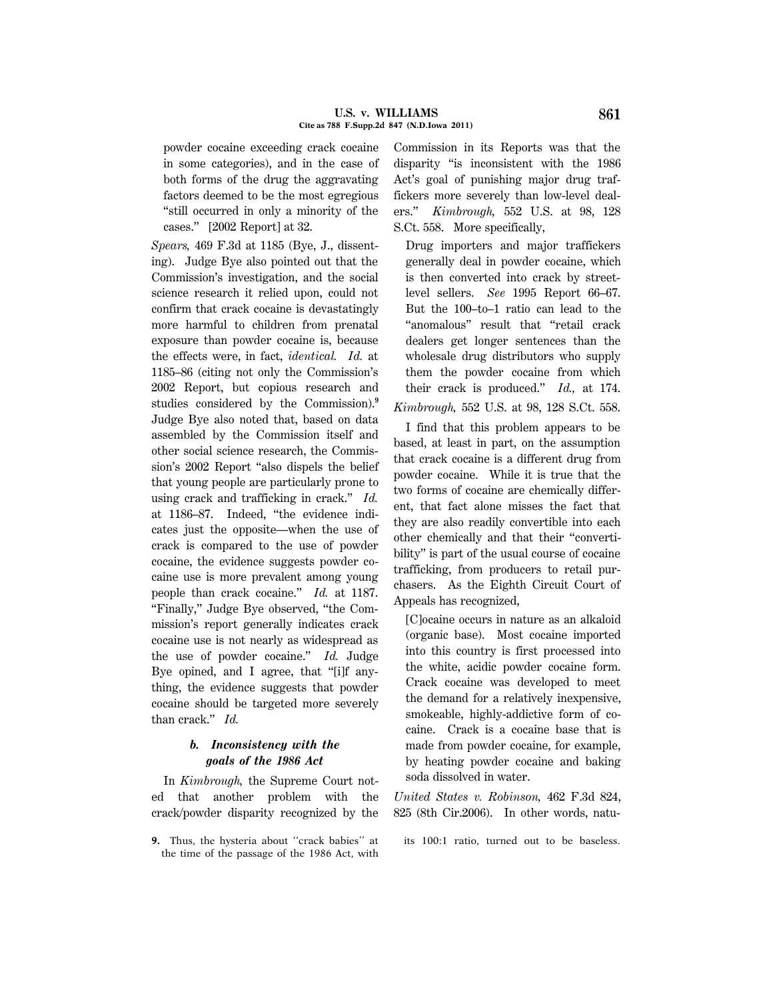powder cocaine exceeding crack cocaine in some categories), and in the case of both forms of the drug the aggravating factors deemed to be the most egregious ''still occurred in only a minority of the cases.'' [2002 Report] at 32.

*Spears,* 469 F.3d at 1185 (Bye, J., dissenting). Judge Bye also pointed out that the Commission's investigation, and the social science research it relied upon, could not confirm that crack cocaine is devastatingly more harmful to children from prenatal exposure than powder cocaine is, because the effects were, in fact, *identical. Id.* at 1185–86 (citing not only the Commission's 2002 Report, but copious research and studies considered by the Commission).**<sup>9</sup>** Judge Bye also noted that, based on data assembled by the Commission itself and other social science research, the Commission's 2002 Report ''also dispels the belief that young people are particularly prone to using crack and trafficking in crack.'' *Id.* at 1186–87. Indeed, ''the evidence indicates just the opposite—when the use of crack is compared to the use of powder cocaine, the evidence suggests powder cocaine use is more prevalent among young people than crack cocaine.'' *Id.* at 1187. ''Finally,'' Judge Bye observed, ''the Commission's report generally indicates crack cocaine use is not nearly as widespread as the use of powder cocaine.'' *Id.* Judge Bye opined, and I agree, that "[i]f anything, the evidence suggests that powder cocaine should be targeted more severely than crack.'' *Id.*

# *b. Inconsistency with the goals of the 1986 Act*

In *Kimbrough,* the Supreme Court noted that another problem with the crack/powder disparity recognized by the

**9.** Thus, the hysteria about ''crack babies'' at the time of the passage of the 1986 Act, with Commission in its Reports was that the disparity ''is inconsistent with the 1986 Act's goal of punishing major drug traffickers more severely than low-level dealers.'' *Kimbrough,* 552 U.S. at 98, 128 S.Ct. 558. More specifically,

Drug importers and major traffickers generally deal in powder cocaine, which is then converted into crack by streetlevel sellers. *See* 1995 Report 66–67. But the 100–to–1 ratio can lead to the ''anomalous'' result that ''retail crack dealers get longer sentences than the wholesale drug distributors who supply them the powder cocaine from which their crack is produced.'' *Id.,* at 174.

*Kimbrough,* 552 U.S. at 98, 128 S.Ct. 558.

I find that this problem appears to be based, at least in part, on the assumption that crack cocaine is a different drug from powder cocaine. While it is true that the two forms of cocaine are chemically different, that fact alone misses the fact that they are also readily convertible into each other chemically and that their ''convertibility'' is part of the usual course of cocaine trafficking, from producers to retail purchasers. As the Eighth Circuit Court of Appeals has recognized,

[C]ocaine occurs in nature as an alkaloid (organic base). Most cocaine imported into this country is first processed into the white, acidic powder cocaine form. Crack cocaine was developed to meet the demand for a relatively inexpensive, smokeable, highly-addictive form of cocaine. Crack is a cocaine base that is made from powder cocaine, for example, by heating powder cocaine and baking soda dissolved in water.

*United States v. Robinson,* 462 F.3d 824, 825 (8th Cir.2006). In other words, natu-

its 100:1 ratio, turned out to be baseless.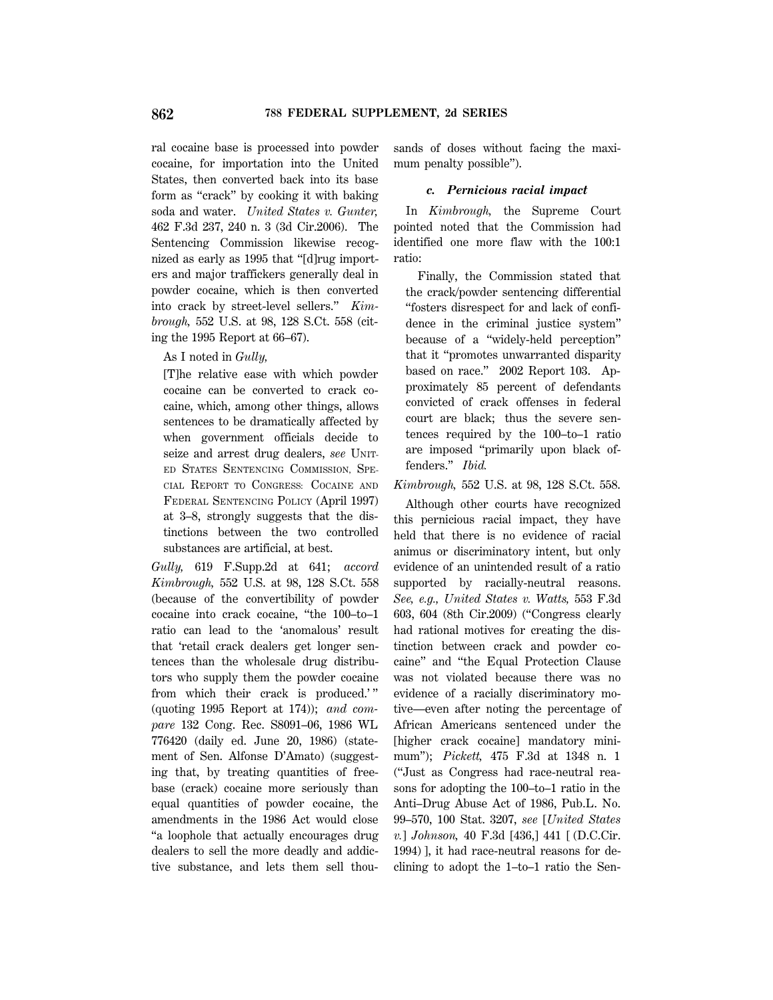ral cocaine base is processed into powder cocaine, for importation into the United States, then converted back into its base form as ''crack'' by cooking it with baking soda and water. *United States v. Gunter,* 462 F.3d 237, 240 n. 3 (3d Cir.2006). The Sentencing Commission likewise recognized as early as 1995 that ''[d]rug importers and major traffickers generally deal in powder cocaine, which is then converted into crack by street-level sellers.'' *Kimbrough,* 552 U.S. at 98, 128 S.Ct. 558 (citing the 1995 Report at 66–67).

As I noted in *Gully,*

[T]he relative ease with which powder cocaine can be converted to crack cocaine, which, among other things, allows sentences to be dramatically affected by when government officials decide to seize and arrest drug dealers, *see* UNIT-ED STATES SENTENCING COMMISSION, SPE-CIAL REPORT TO CONGRESS: COCAINE AND FEDERAL SENTENCING POLICY (April 1997) at 3–8, strongly suggests that the distinctions between the two controlled substances are artificial, at best.

*Gully,* 619 F.Supp.2d at 641; *accord Kimbrough,* 552 U.S. at 98, 128 S.Ct. 558 (because of the convertibility of powder cocaine into crack cocaine, ''the 100–to–1 ratio can lead to the 'anomalous' result that 'retail crack dealers get longer sentences than the wholesale drug distributors who supply them the powder cocaine from which their crack is produced.'" (quoting 1995 Report at 174)); *and compare* 132 Cong. Rec. S8091–06, 1986 WL 776420 (daily ed. June 20, 1986) (statement of Sen. Alfonse D'Amato) (suggesting that, by treating quantities of freebase (crack) cocaine more seriously than equal quantities of powder cocaine, the amendments in the 1986 Act would close ''a loophole that actually encourages drug dealers to sell the more deadly and addictive substance, and lets them sell thousands of doses without facing the maximum penalty possible'').

### *c. Pernicious racial impact*

In *Kimbrough,* the Supreme Court pointed noted that the Commission had identified one more flaw with the 100:1 ratio:

Finally, the Commission stated that the crack/powder sentencing differential ''fosters disrespect for and lack of confidence in the criminal justice system'' because of a ''widely-held perception'' that it ''promotes unwarranted disparity based on race.'' 2002 Report 103. Approximately 85 percent of defendants convicted of crack offenses in federal court are black; thus the severe sentences required by the 100–to–1 ratio are imposed ''primarily upon black offenders.'' *Ibid.*

*Kimbrough,* 552 U.S. at 98, 128 S.Ct. 558.

Although other courts have recognized this pernicious racial impact, they have held that there is no evidence of racial animus or discriminatory intent, but only evidence of an unintended result of a ratio supported by racially-neutral reasons. *See, e.g., United States v. Watts,* 553 F.3d 603, 604 (8th Cir.2009) (''Congress clearly had rational motives for creating the distinction between crack and powder cocaine'' and ''the Equal Protection Clause was not violated because there was no evidence of a racially discriminatory motive—even after noting the percentage of African Americans sentenced under the [higher crack cocaine] mandatory minimum''); *Pickett,* 475 F.3d at 1348 n. 1 (''Just as Congress had race-neutral reasons for adopting the 100–to–1 ratio in the Anti–Drug Abuse Act of 1986, Pub.L. No. 99–570, 100 Stat. 3207, *see* [*United States v.*] *Johnson,* 40 F.3d [436,] 441 [ (D.C.Cir. 1994) ], it had race-neutral reasons for declining to adopt the 1–to–1 ratio the Sen-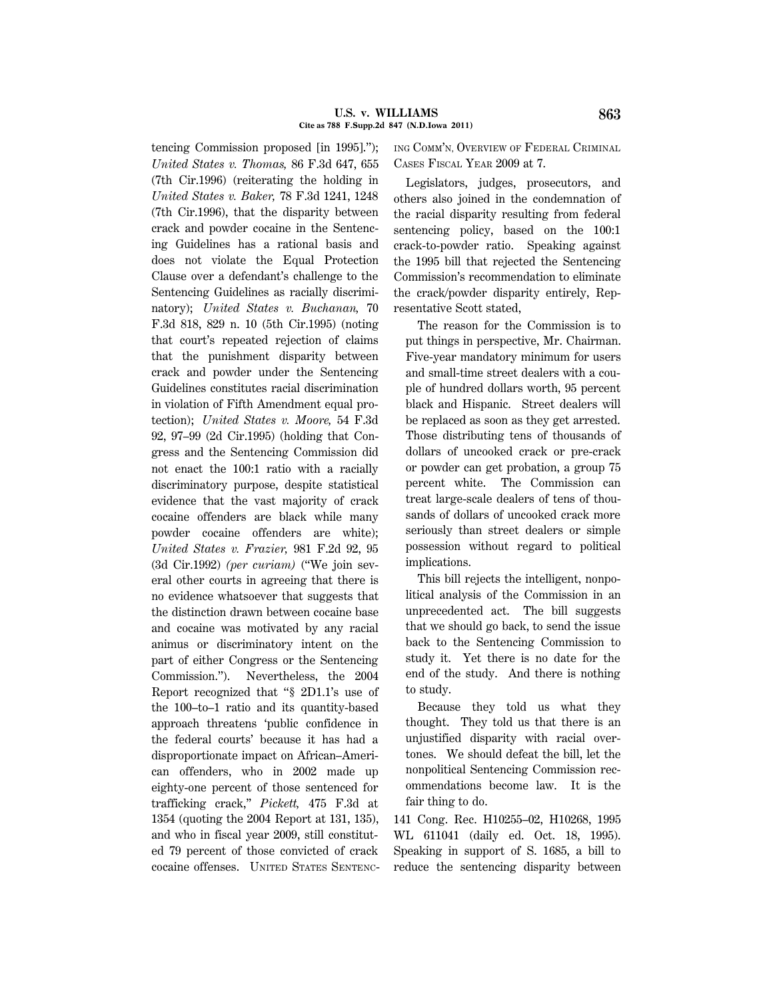tencing Commission proposed [in 1995].''); *United States v. Thomas,* 86 F.3d 647, 655 (7th Cir.1996) (reiterating the holding in *United States v. Baker,* 78 F.3d 1241, 1248 (7th Cir.1996), that the disparity between crack and powder cocaine in the Sentencing Guidelines has a rational basis and does not violate the Equal Protection Clause over a defendant's challenge to the Sentencing Guidelines as racially discriminatory); *United States v. Buchanan,* 70 F.3d 818, 829 n. 10 (5th Cir.1995) (noting that court's repeated rejection of claims that the punishment disparity between crack and powder under the Sentencing Guidelines constitutes racial discrimination in violation of Fifth Amendment equal protection); *United States v. Moore,* 54 F.3d 92, 97–99 (2d Cir.1995) (holding that Congress and the Sentencing Commission did not enact the 100:1 ratio with a racially discriminatory purpose, despite statistical evidence that the vast majority of crack cocaine offenders are black while many powder cocaine offenders are white); *United States v. Frazier,* 981 F.2d 92, 95 (3d Cir.1992) *(per curiam)* (''We join several other courts in agreeing that there is no evidence whatsoever that suggests that the distinction drawn between cocaine base and cocaine was motivated by any racial animus or discriminatory intent on the part of either Congress or the Sentencing Commission.''). Nevertheless, the 2004 Report recognized that ''§ 2D1.1's use of the 100–to–1 ratio and its quantity-based approach threatens 'public confidence in the federal courts' because it has had a disproportionate impact on African–American offenders, who in 2002 made up eighty-one percent of those sentenced for trafficking crack,'' *Pickett,* 475 F.3d at 1354 (quoting the 2004 Report at 131, 135), and who in fiscal year 2009, still constituted 79 percent of those convicted of crack cocaine offenses. UNITED STATES SENTENC- ING COMM'N, OVERVIEW OF FEDERAL CRIMINAL CASES FISCAL YEAR 2009 at 7.

Legislators, judges, prosecutors, and others also joined in the condemnation of the racial disparity resulting from federal sentencing policy, based on the 100:1 crack-to-powder ratio. Speaking against the 1995 bill that rejected the Sentencing Commission's recommendation to eliminate the crack/powder disparity entirely, Representative Scott stated,

The reason for the Commission is to put things in perspective, Mr. Chairman. Five-year mandatory minimum for users and small-time street dealers with a couple of hundred dollars worth, 95 percent black and Hispanic. Street dealers will be replaced as soon as they get arrested. Those distributing tens of thousands of dollars of uncooked crack or pre-crack or powder can get probation, a group 75 percent white. The Commission can treat large-scale dealers of tens of thousands of dollars of uncooked crack more seriously than street dealers or simple possession without regard to political implications.

This bill rejects the intelligent, nonpolitical analysis of the Commission in an unprecedented act. The bill suggests that we should go back, to send the issue back to the Sentencing Commission to study it. Yet there is no date for the end of the study. And there is nothing to study.

Because they told us what they thought. They told us that there is an unjustified disparity with racial overtones. We should defeat the bill, let the nonpolitical Sentencing Commission recommendations become law. It is the fair thing to do.

141 Cong. Rec. H10255–02, H10268, 1995 WL 611041 (daily ed. Oct. 18, 1995). Speaking in support of S. 1685, a bill to reduce the sentencing disparity between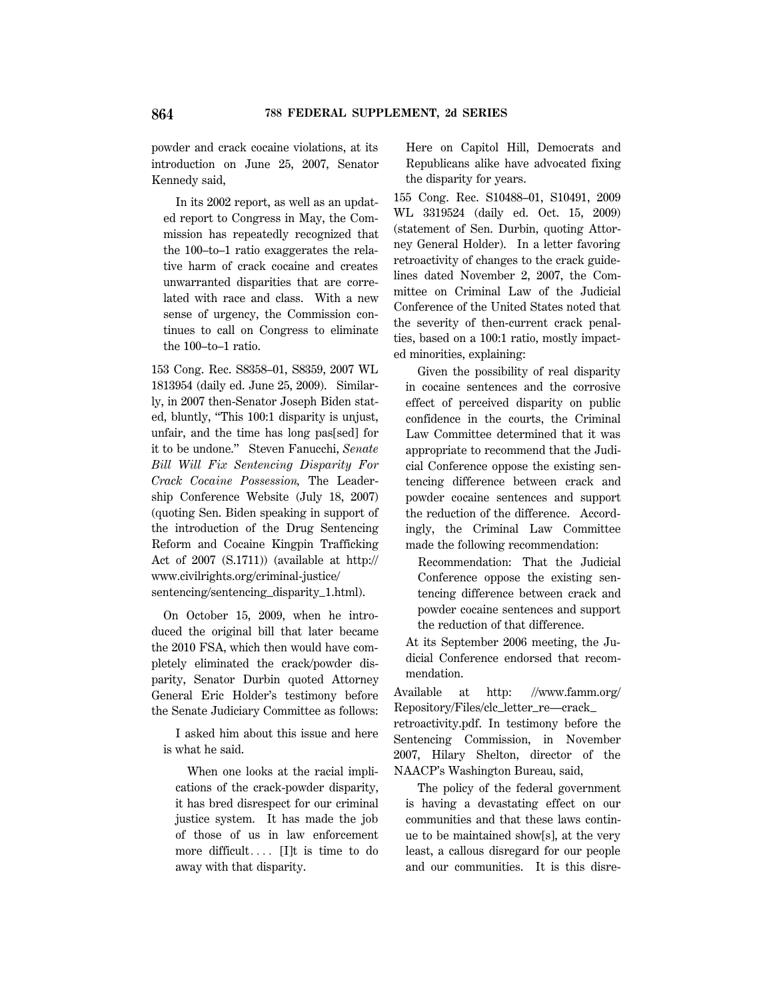powder and crack cocaine violations, at its introduction on June 25, 2007, Senator Kennedy said,

In its 2002 report, as well as an updated report to Congress in May, the Commission has repeatedly recognized that the 100–to–1 ratio exaggerates the relative harm of crack cocaine and creates unwarranted disparities that are correlated with race and class. With a new sense of urgency, the Commission continues to call on Congress to eliminate the 100–to–1 ratio.

153 Cong. Rec. S8358–01, S8359, 2007 WL 1813954 (daily ed. June 25, 2009). Similarly, in 2007 then-Senator Joseph Biden stated, bluntly, ''This 100:1 disparity is unjust, unfair, and the time has long pas[sed] for it to be undone.'' Steven Fanucchi, *Senate Bill Will Fix Sentencing Disparity For Crack Cocaine Possession,* The Leadership Conference Website (July 18, 2007) (quoting Sen. Biden speaking in support of the introduction of the Drug Sentencing Reform and Cocaine Kingpin Trafficking Act of 2007 (S.1711)) (available at http:// www.civilrights.org/criminal-justice/ sentencing/sentencing\_disparity\_1.html).

On October 15, 2009, when he introduced the original bill that later became the 2010 FSA, which then would have completely eliminated the crack/powder disparity, Senator Durbin quoted Attorney General Eric Holder's testimony before the Senate Judiciary Committee as follows:

I asked him about this issue and here is what he said.

When one looks at the racial implications of the crack-powder disparity, it has bred disrespect for our criminal justice system. It has made the job of those of us in law enforcement more difficult....  $[I]$ t is time to do away with that disparity.

Here on Capitol Hill, Democrats and Republicans alike have advocated fixing the disparity for years.

155 Cong. Rec. S10488–01, S10491, 2009 WL 3319524 (daily ed. Oct. 15, 2009) (statement of Sen. Durbin, quoting Attorney General Holder). In a letter favoring retroactivity of changes to the crack guidelines dated November 2, 2007, the Committee on Criminal Law of the Judicial Conference of the United States noted that the severity of then-current crack penalties, based on a 100:1 ratio, mostly impacted minorities, explaining:

Given the possibility of real disparity in cocaine sentences and the corrosive effect of perceived disparity on public confidence in the courts, the Criminal Law Committee determined that it was appropriate to recommend that the Judicial Conference oppose the existing sentencing difference between crack and powder cocaine sentences and support the reduction of the difference. Accordingly, the Criminal Law Committee made the following recommendation:

Recommendation: That the Judicial Conference oppose the existing sentencing difference between crack and powder cocaine sentences and support the reduction of that difference.

At its September 2006 meeting, the Judicial Conference endorsed that recommendation.

Available at http: //www.famm.org/ Repository/Files/clc\_letter\_re—crack\_ retroactivity.pdf. In testimony before the Sentencing Commission, in November 2007, Hilary Shelton, director of the NAACP's Washington Bureau, said,

The policy of the federal government is having a devastating effect on our communities and that these laws continue to be maintained show[s], at the very least, a callous disregard for our people and our communities. It is this disre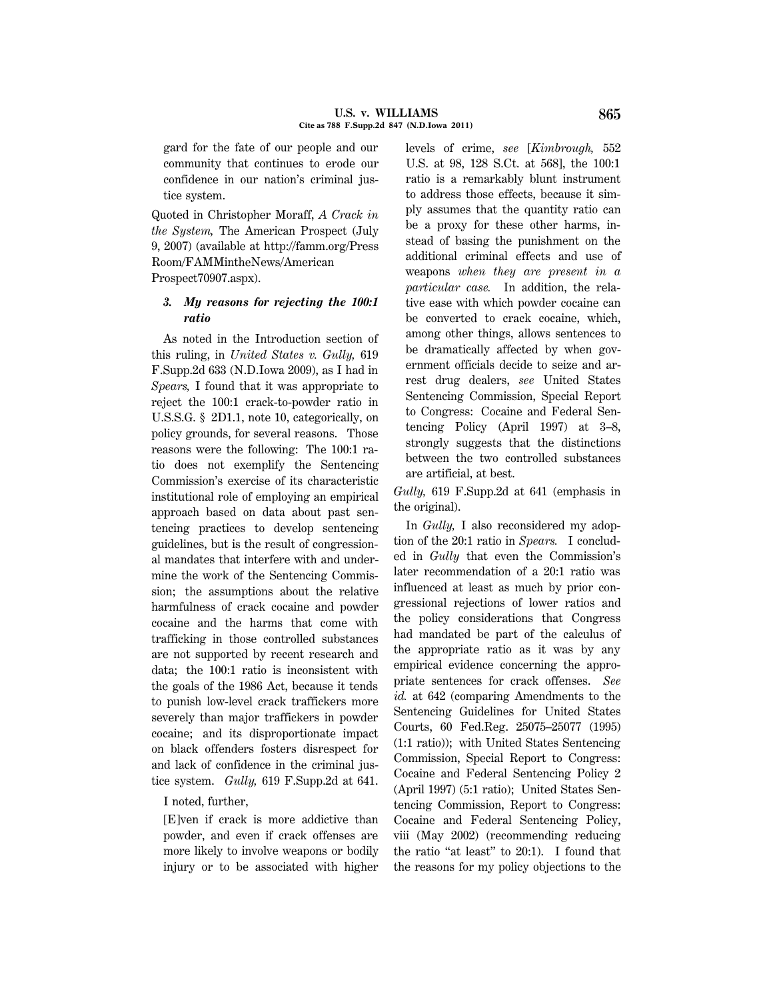gard for the fate of our people and our community that continues to erode our confidence in our nation's criminal justice system.

Quoted in Christopher Moraff, *A Crack in the System,* The American Prospect (July 9, 2007) (available at http://famm.org/Press Room/FAMMintheNews/American Prospect70907.aspx).

## *3. My reasons for rejecting the 100:1 ratio*

As noted in the Introduction section of this ruling, in *United States v. Gully,* 619 F.Supp.2d 633 (N.D.Iowa 2009), as I had in *Spears,* I found that it was appropriate to reject the 100:1 crack-to-powder ratio in U.S.S.G. § 2D1.1, note 10, categorically, on policy grounds, for several reasons. Those reasons were the following: The 100:1 ratio does not exemplify the Sentencing Commission's exercise of its characteristic institutional role of employing an empirical approach based on data about past sentencing practices to develop sentencing guidelines, but is the result of congressional mandates that interfere with and undermine the work of the Sentencing Commission; the assumptions about the relative harmfulness of crack cocaine and powder cocaine and the harms that come with trafficking in those controlled substances are not supported by recent research and data; the 100:1 ratio is inconsistent with the goals of the 1986 Act, because it tends to punish low-level crack traffickers more severely than major traffickers in powder cocaine; and its disproportionate impact on black offenders fosters disrespect for and lack of confidence in the criminal justice system. *Gully,* 619 F.Supp.2d at 641.

## I noted, further,

[E]ven if crack is more addictive than powder, and even if crack offenses are more likely to involve weapons or bodily injury or to be associated with higher levels of crime, *see* [*Kimbrough,* 552 U.S. at 98, 128 S.Ct. at 568], the 100:1 ratio is a remarkably blunt instrument to address those effects, because it simply assumes that the quantity ratio can be a proxy for these other harms, instead of basing the punishment on the additional criminal effects and use of weapons *when they are present in a particular case.* In addition, the relative ease with which powder cocaine can be converted to crack cocaine, which, among other things, allows sentences to be dramatically affected by when government officials decide to seize and arrest drug dealers, *see* United States Sentencing Commission, Special Report to Congress: Cocaine and Federal Sentencing Policy (April 1997) at 3–8, strongly suggests that the distinctions between the two controlled substances are artificial, at best.

*Gully,* 619 F.Supp.2d at 641 (emphasis in the original).

In *Gully,* I also reconsidered my adoption of the 20:1 ratio in *Spears.* I concluded in *Gully* that even the Commission's later recommendation of a 20:1 ratio was influenced at least as much by prior congressional rejections of lower ratios and the policy considerations that Congress had mandated be part of the calculus of the appropriate ratio as it was by any empirical evidence concerning the appropriate sentences for crack offenses. *See id.* at 642 (comparing Amendments to the Sentencing Guidelines for United States Courts, 60 Fed.Reg. 25075–25077 (1995) (1:1 ratio)); with United States Sentencing Commission, Special Report to Congress: Cocaine and Federal Sentencing Policy 2 (April 1997) (5:1 ratio); United States Sentencing Commission, Report to Congress: Cocaine and Federal Sentencing Policy, viii (May 2002) (recommending reducing the ratio "at least" to  $20:1$ ). I found that the reasons for my policy objections to the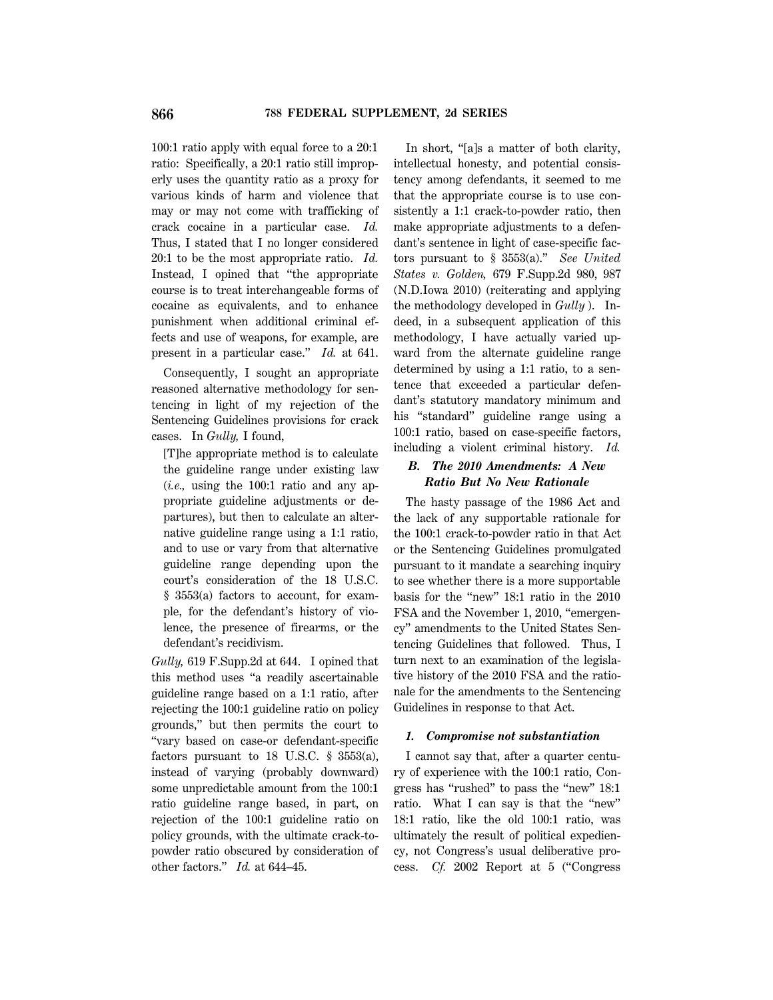100:1 ratio apply with equal force to a 20:1 ratio: Specifically, a 20:1 ratio still improperly uses the quantity ratio as a proxy for various kinds of harm and violence that may or may not come with trafficking of crack cocaine in a particular case. *Id.* Thus, I stated that I no longer considered 20:1 to be the most appropriate ratio. *Id.* Instead, I opined that ''the appropriate course is to treat interchangeable forms of cocaine as equivalents, and to enhance punishment when additional criminal effects and use of weapons, for example, are present in a particular case.'' *Id.* at 641.

Consequently, I sought an appropriate reasoned alternative methodology for sentencing in light of my rejection of the Sentencing Guidelines provisions for crack cases. In *Gully,* I found,

[T]he appropriate method is to calculate the guideline range under existing law (*i.e.,* using the 100:1 ratio and any appropriate guideline adjustments or departures), but then to calculate an alternative guideline range using a 1:1 ratio, and to use or vary from that alternative guideline range depending upon the court's consideration of the 18 U.S.C. § 3553(a) factors to account, for example, for the defendant's history of violence, the presence of firearms, or the defendant's recidivism.

*Gully,* 619 F.Supp.2d at 644. I opined that this method uses ''a readily ascertainable guideline range based on a 1:1 ratio, after rejecting the 100:1 guideline ratio on policy grounds,'' but then permits the court to ''vary based on case-or defendant-specific factors pursuant to 18 U.S.C.  $\S$  3553(a), instead of varying (probably downward) some unpredictable amount from the 100:1 ratio guideline range based, in part, on rejection of the 100:1 guideline ratio on policy grounds, with the ultimate crack-topowder ratio obscured by consideration of other factors.'' *Id.* at 644–45.

In short, "[a]s a matter of both clarity, intellectual honesty, and potential consistency among defendants, it seemed to me that the appropriate course is to use consistently a 1:1 crack-to-powder ratio, then make appropriate adjustments to a defendant's sentence in light of case-specific factors pursuant to § 3553(a).'' *See United States v. Golden,* 679 F.Supp.2d 980, 987 (N.D.Iowa 2010) (reiterating and applying the methodology developed in *Gully* ). Indeed, in a subsequent application of this methodology, I have actually varied upward from the alternate guideline range determined by using a 1:1 ratio, to a sentence that exceeded a particular defendant's statutory mandatory minimum and his ''standard'' guideline range using a 100:1 ratio, based on case-specific factors, including a violent criminal history. *Id.*

# *B. The 2010 Amendments: A New Ratio But No New Rationale*

The hasty passage of the 1986 Act and the lack of any supportable rationale for the 100:1 crack-to-powder ratio in that Act or the Sentencing Guidelines promulgated pursuant to it mandate a searching inquiry to see whether there is a more supportable basis for the "new" 18:1 ratio in the 2010 FSA and the November 1, 2010, "emergency'' amendments to the United States Sentencing Guidelines that followed. Thus, I turn next to an examination of the legislative history of the 2010 FSA and the rationale for the amendments to the Sentencing Guidelines in response to that Act.

### *1. Compromise not substantiation*

I cannot say that, after a quarter century of experience with the 100:1 ratio, Congress has ''rushed'' to pass the ''new'' 18:1 ratio. What I can say is that the "new" 18:1 ratio, like the old 100:1 ratio, was ultimately the result of political expediency, not Congress's usual deliberative process. *Cf.* 2002 Report at 5 (''Congress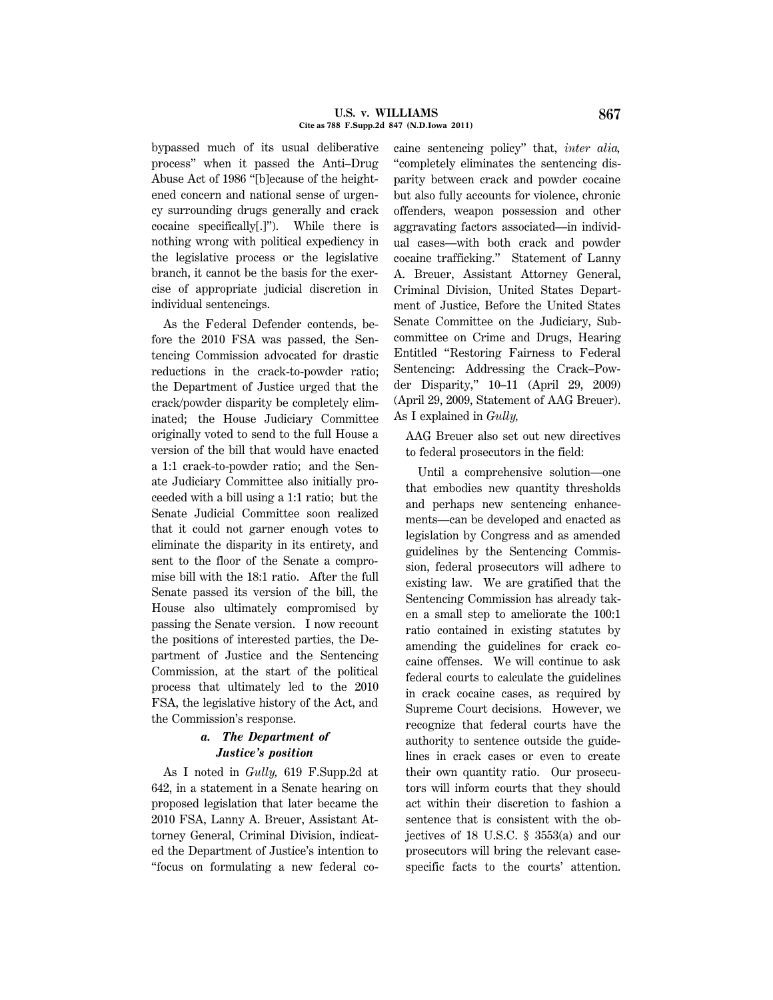#### U.S. v. WILLIAMS 867 **Cite as 788 F.Supp.2d 847 (N.D.Iowa 2011)**

bypassed much of its usual deliberative process'' when it passed the Anti–Drug Abuse Act of 1986 ''[b]ecause of the heightened concern and national sense of urgency surrounding drugs generally and crack cocaine specifically[.]''). While there is nothing wrong with political expediency in the legislative process or the legislative branch, it cannot be the basis for the exercise of appropriate judicial discretion in individual sentencings.

As the Federal Defender contends, before the 2010 FSA was passed, the Sentencing Commission advocated for drastic reductions in the crack-to-powder ratio; the Department of Justice urged that the crack/powder disparity be completely eliminated; the House Judiciary Committee originally voted to send to the full House a version of the bill that would have enacted a 1:1 crack-to-powder ratio; and the Senate Judiciary Committee also initially proceeded with a bill using a 1:1 ratio; but the Senate Judicial Committee soon realized that it could not garner enough votes to eliminate the disparity in its entirety, and sent to the floor of the Senate a compromise bill with the 18:1 ratio. After the full Senate passed its version of the bill, the House also ultimately compromised by passing the Senate version. I now recount the positions of interested parties, the Department of Justice and the Sentencing Commission, at the start of the political process that ultimately led to the 2010 FSA, the legislative history of the Act, and the Commission's response.

# *a. The Department of Justice's position*

As I noted in *Gully,* 619 F.Supp.2d at 642, in a statement in a Senate hearing on proposed legislation that later became the 2010 FSA, Lanny A. Breuer, Assistant Attorney General, Criminal Division, indicated the Department of Justice's intention to ''focus on formulating a new federal cocaine sentencing policy'' that, *inter alia,* ''completely eliminates the sentencing disparity between crack and powder cocaine but also fully accounts for violence, chronic offenders, weapon possession and other aggravating factors associated—in individual cases—with both crack and powder cocaine trafficking.'' Statement of Lanny A. Breuer, Assistant Attorney General, Criminal Division, United States Department of Justice, Before the United States Senate Committee on the Judiciary, Subcommittee on Crime and Drugs, Hearing Entitled ''Restoring Fairness to Federal Sentencing: Addressing the Crack–Powder Disparity,'' 10–11 (April 29, 2009) (April 29, 2009, Statement of AAG Breuer). As I explained in *Gully,*

AAG Breuer also set out new directives to federal prosecutors in the field:

Until a comprehensive solution—one that embodies new quantity thresholds and perhaps new sentencing enhancements—can be developed and enacted as legislation by Congress and as amended guidelines by the Sentencing Commission, federal prosecutors will adhere to existing law. We are gratified that the Sentencing Commission has already taken a small step to ameliorate the 100:1 ratio contained in existing statutes by amending the guidelines for crack cocaine offenses. We will continue to ask federal courts to calculate the guidelines in crack cocaine cases, as required by Supreme Court decisions. However, we recognize that federal courts have the authority to sentence outside the guidelines in crack cases or even to create their own quantity ratio. Our prosecutors will inform courts that they should act within their discretion to fashion a sentence that is consistent with the objectives of 18 U.S.C. § 3553(a) and our prosecutors will bring the relevant casespecific facts to the courts' attention.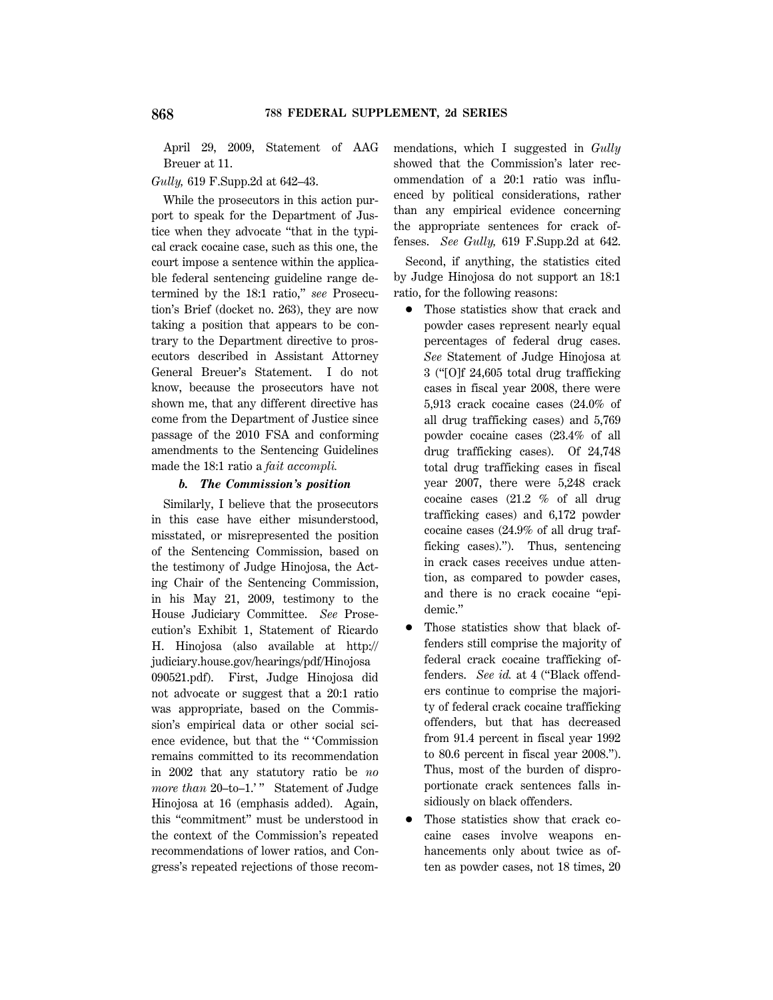April 29, 2009, Statement of AAG Breuer at 11.

## *Gully,* 619 F.Supp.2d at 642–43.

While the prosecutors in this action purport to speak for the Department of Justice when they advocate ''that in the typical crack cocaine case, such as this one, the court impose a sentence within the applicable federal sentencing guideline range determined by the 18:1 ratio,'' *see* Prosecution's Brief (docket no. 263), they are now taking a position that appears to be contrary to the Department directive to prosecutors described in Assistant Attorney General Breuer's Statement. I do not know, because the prosecutors have not shown me, that any different directive has come from the Department of Justice since passage of the 2010 FSA and conforming amendments to the Sentencing Guidelines made the 18:1 ratio a *fait accompli.*

### *b. The Commission's position*

Similarly, I believe that the prosecutors in this case have either misunderstood, misstated, or misrepresented the position of the Sentencing Commission, based on the testimony of Judge Hinojosa, the Acting Chair of the Sentencing Commission, in his May 21, 2009, testimony to the House Judiciary Committee. *See* Prosecution's Exhibit 1, Statement of Ricardo H. Hinojosa (also available at http:// judiciary.house.gov/hearings/pdf/Hinojosa 090521.pdf). First, Judge Hinojosa did not advocate or suggest that a 20:1 ratio was appropriate, based on the Commission's empirical data or other social science evidence, but that the '' 'Commission remains committed to its recommendation in 2002 that any statutory ratio be *no more than* 20–to–1.'" Statement of Judge Hinojosa at 16 (emphasis added). Again, this ''commitment'' must be understood in the context of the Commission's repeated recommendations of lower ratios, and Congress's repeated rejections of those recommendations, which I suggested in *Gully* showed that the Commission's later recommendation of a 20:1 ratio was influenced by political considerations, rather than any empirical evidence concerning the appropriate sentences for crack offenses. *See Gully,* 619 F.Supp.2d at 642.

Second, if anything, the statistics cited by Judge Hinojosa do not support an 18:1 ratio, for the following reasons:

- Those statistics show that crack and powder cases represent nearly equal percentages of federal drug cases. *See* Statement of Judge Hinojosa at 3 (''[O]f 24,605 total drug trafficking cases in fiscal year 2008, there were 5,913 crack cocaine cases (24.0% of all drug trafficking cases) and 5,769 powder cocaine cases (23.4% of all drug trafficking cases). Of 24,748 total drug trafficking cases in fiscal year 2007, there were 5,248 crack cocaine cases (21.2 % of all drug trafficking cases) and 6,172 powder cocaine cases (24.9% of all drug trafficking cases).''). Thus, sentencing in crack cases receives undue attention, as compared to powder cases, and there is no crack cocaine ''epidemic.''
- 1 Those statistics show that black offenders still comprise the majority of federal crack cocaine trafficking offenders. *See id.* at 4 (''Black offenders continue to comprise the majority of federal crack cocaine trafficking offenders, but that has decreased from 91.4 percent in fiscal year 1992 to 80.6 percent in fiscal year 2008.''). Thus, most of the burden of disproportionate crack sentences falls insidiously on black offenders.
- 1 Those statistics show that crack cocaine cases involve weapons enhancements only about twice as often as powder cases, not 18 times, 20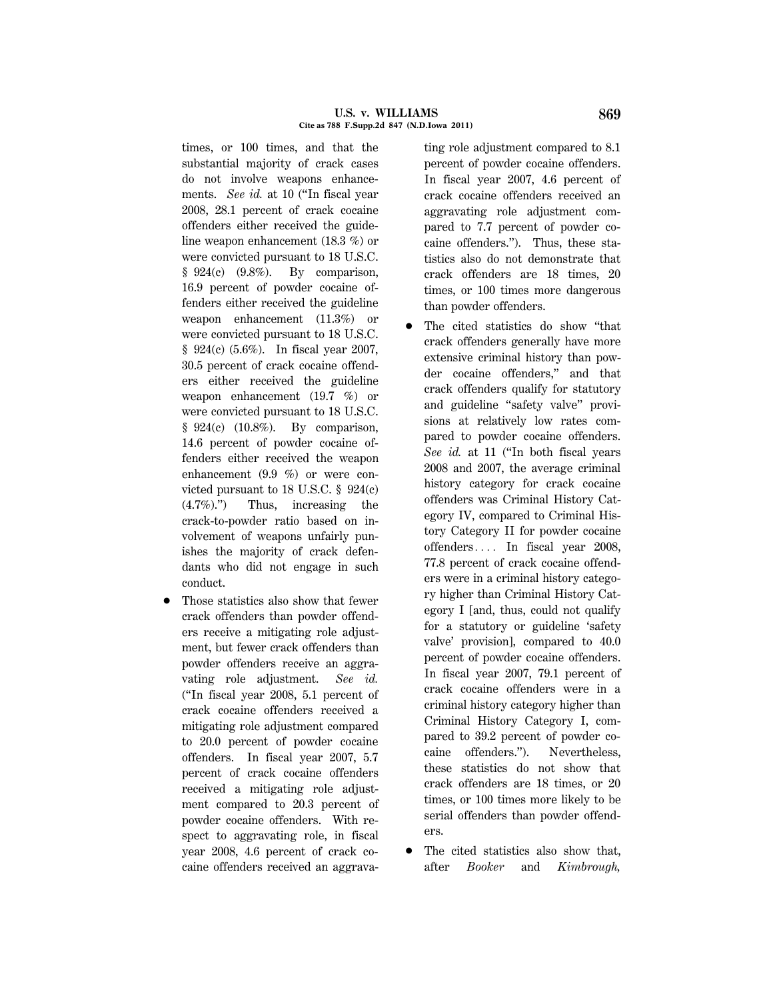#### **U.S. v. WILLIAMS 869 Cite as 788 F.Supp.2d 847 (N.D.Iowa 2011)**

times, or 100 times, and that the substantial majority of crack cases do not involve weapons enhancements. *See id.* at 10 ("In fiscal year 2008, 28.1 percent of crack cocaine offenders either received the guideline weapon enhancement (18.3 %) or were convicted pursuant to 18 U.S.C.  $§$  924(c) (9.8%). By comparison, 16.9 percent of powder cocaine offenders either received the guideline weapon enhancement (11.3%) or were convicted pursuant to 18 U.S.C. § 924(c) (5.6%). In fiscal year 2007, 30.5 percent of crack cocaine offenders either received the guideline weapon enhancement (19.7 %) or were convicted pursuant to 18 U.S.C. § 924(c) (10.8%). By comparison, 14.6 percent of powder cocaine offenders either received the weapon enhancement (9.9 %) or were convicted pursuant to 18 U.S.C. § 924(c) (4.7%).'') Thus, increasing the crack-to-powder ratio based on involvement of weapons unfairly punishes the majority of crack defendants who did not engage in such conduct.

1 Those statistics also show that fewer crack offenders than powder offenders receive a mitigating role adjustment, but fewer crack offenders than powder offenders receive an aggravating role adjustment. *See id.* (''In fiscal year 2008, 5.1 percent of crack cocaine offenders received a mitigating role adjustment compared to 20.0 percent of powder cocaine offenders. In fiscal year 2007, 5.7 percent of crack cocaine offenders received a mitigating role adjustment compared to 20.3 percent of powder cocaine offenders. With respect to aggravating role, in fiscal year 2008, 4.6 percent of crack cocaine offenders received an aggrava-

ting role adjustment compared to 8.1 percent of powder cocaine offenders. In fiscal year 2007, 4.6 percent of crack cocaine offenders received an aggravating role adjustment compared to 7.7 percent of powder cocaine offenders.''). Thus, these statistics also do not demonstrate that crack offenders are 18 times, 20 times, or 100 times more dangerous than powder offenders.

- 1 The cited statistics do show ''that crack offenders generally have more extensive criminal history than powder cocaine offenders,'' and that crack offenders qualify for statutory and guideline ''safety valve'' provisions at relatively low rates compared to powder cocaine offenders. *See id.* at 11 (''In both fiscal years 2008 and 2007, the average criminal history category for crack cocaine offenders was Criminal History Category IV, compared to Criminal History Category II for powder cocaine offenders.... In fiscal year 2008, 77.8 percent of crack cocaine offenders were in a criminal history category higher than Criminal History Category I [and, thus, could not qualify for a statutory or guideline 'safety valve' provision], compared to 40.0 percent of powder cocaine offenders. In fiscal year 2007, 79.1 percent of crack cocaine offenders were in a criminal history category higher than Criminal History Category I, compared to 39.2 percent of powder cocaine offenders.''). Nevertheless, these statistics do not show that crack offenders are 18 times, or 20 times, or 100 times more likely to be serial offenders than powder offenders.
- 1 The cited statistics also show that, after *Booker* and *Kimbrough,*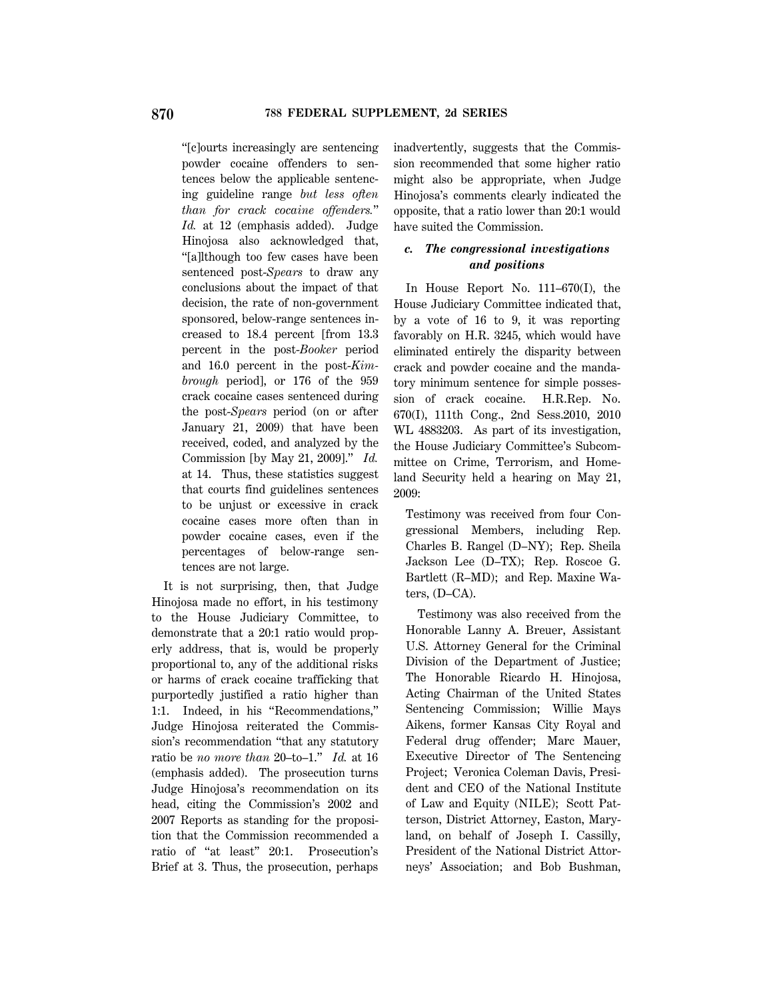''[c]ourts increasingly are sentencing powder cocaine offenders to sentences below the applicable sentencing guideline range *but less often than for crack cocaine offenders.*'' *Id.* at 12 (emphasis added). Judge Hinojosa also acknowledged that, ''[a]lthough too few cases have been sentenced post-*Spears* to draw any conclusions about the impact of that decision, the rate of non-government sponsored, below-range sentences increased to 18.4 percent [from 13.3 percent in the post-*Booker* period and 16.0 percent in the post-*Kimbrough* period], or 176 of the 959 crack cocaine cases sentenced during the post-*Spears* period (on or after January 21, 2009) that have been received, coded, and analyzed by the Commission [by May 21, 2009].'' *Id.* at 14. Thus, these statistics suggest that courts find guidelines sentences to be unjust or excessive in crack cocaine cases more often than in powder cocaine cases, even if the percentages of below-range sentences are not large.

It is not surprising, then, that Judge Hinojosa made no effort, in his testimony to the House Judiciary Committee, to demonstrate that a 20:1 ratio would properly address, that is, would be properly proportional to, any of the additional risks or harms of crack cocaine trafficking that purportedly justified a ratio higher than 1:1. Indeed, in his ''Recommendations,'' Judge Hinojosa reiterated the Commission's recommendation ''that any statutory ratio be *no more than* 20–to–1.'' *Id.* at 16 (emphasis added). The prosecution turns Judge Hinojosa's recommendation on its head, citing the Commission's 2002 and 2007 Reports as standing for the proposition that the Commission recommended a ratio of ''at least'' 20:1. Prosecution's Brief at 3. Thus, the prosecution, perhaps inadvertently, suggests that the Commission recommended that some higher ratio might also be appropriate, when Judge Hinojosa's comments clearly indicated the opposite, that a ratio lower than 20:1 would have suited the Commission.

# *c. The congressional investigations and positions*

In House Report No. 111–670(I), the House Judiciary Committee indicated that, by a vote of 16 to 9, it was reporting favorably on H.R. 3245, which would have eliminated entirely the disparity between crack and powder cocaine and the mandatory minimum sentence for simple possession of crack cocaine. H.R.Rep. No. 670(I), 111th Cong., 2nd Sess.2010, 2010 WL 4883203. As part of its investigation, the House Judiciary Committee's Subcommittee on Crime, Terrorism, and Homeland Security held a hearing on May 21, 2009:

Testimony was received from four Congressional Members, including Rep. Charles B. Rangel (D–NY); Rep. Sheila Jackson Lee (D–TX); Rep. Roscoe G. Bartlett (R–MD); and Rep. Maxine Waters, (D–CA).

Testimony was also received from the Honorable Lanny A. Breuer, Assistant U.S. Attorney General for the Criminal Division of the Department of Justice; The Honorable Ricardo H. Hinojosa, Acting Chairman of the United States Sentencing Commission; Willie Mays Aikens, former Kansas City Royal and Federal drug offender; Marc Mauer, Executive Director of The Sentencing Project; Veronica Coleman Davis, President and CEO of the National Institute of Law and Equity (NILE); Scott Patterson, District Attorney, Easton, Maryland, on behalf of Joseph I. Cassilly, President of the National District Attorneys' Association; and Bob Bushman,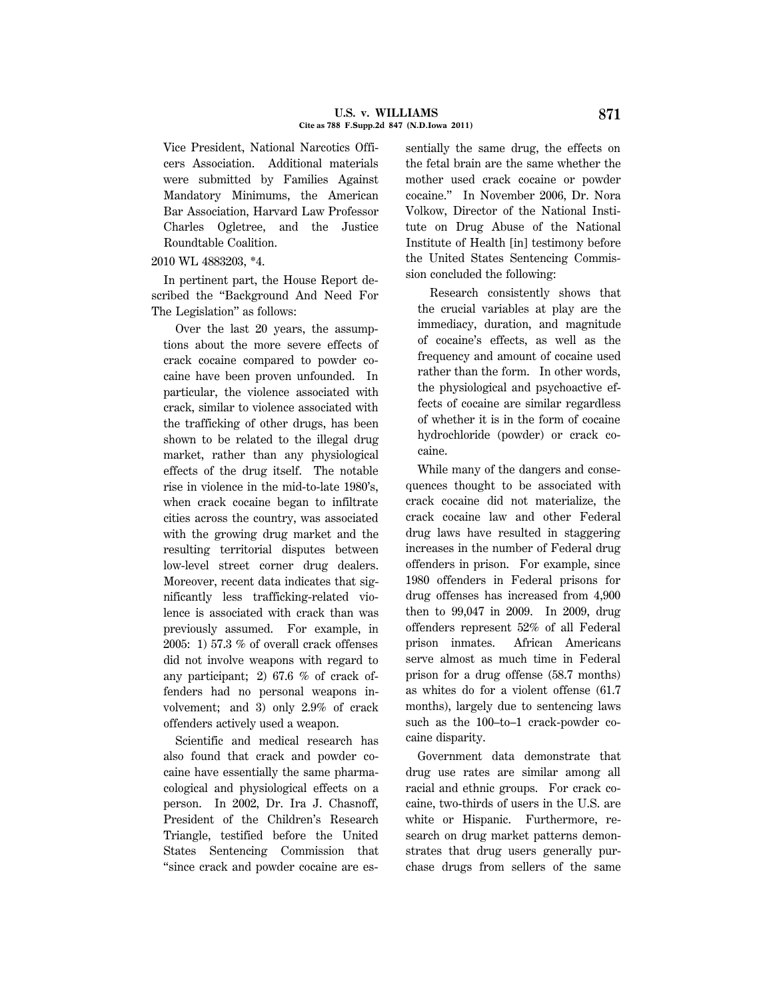#### **U.S. v. WILLIAMS 871 Cite as 788 F.Supp.2d 847 (N.D.Iowa 2011)**

Vice President, National Narcotics Officers Association. Additional materials were submitted by Families Against Mandatory Minimums, the American Bar Association, Harvard Law Professor Charles Ogletree, and the Justice Roundtable Coalition.

## 2010 WL 4883203, \*4.

In pertinent part, the House Report described the ''Background And Need For The Legislation'' as follows:

Over the last 20 years, the assumptions about the more severe effects of crack cocaine compared to powder cocaine have been proven unfounded. In particular, the violence associated with crack, similar to violence associated with the trafficking of other drugs, has been shown to be related to the illegal drug market, rather than any physiological effects of the drug itself. The notable rise in violence in the mid-to-late 1980's, when crack cocaine began to infiltrate cities across the country, was associated with the growing drug market and the resulting territorial disputes between low-level street corner drug dealers. Moreover, recent data indicates that significantly less trafficking-related violence is associated with crack than was previously assumed. For example, in 2005: 1) 57.3 % of overall crack offenses did not involve weapons with regard to any participant; 2) 67.6 % of crack offenders had no personal weapons involvement; and 3) only 2.9% of crack offenders actively used a weapon.

Scientific and medical research has also found that crack and powder cocaine have essentially the same pharmacological and physiological effects on a person. In 2002, Dr. Ira J. Chasnoff, President of the Children's Research Triangle, testified before the United States Sentencing Commission that ''since crack and powder cocaine are es-

sentially the same drug, the effects on the fetal brain are the same whether the mother used crack cocaine or powder cocaine.'' In November 2006, Dr. Nora Volkow, Director of the National Institute on Drug Abuse of the National Institute of Health [in] testimony before the United States Sentencing Commission concluded the following:

Research consistently shows that the crucial variables at play are the immediacy, duration, and magnitude of cocaine's effects, as well as the frequency and amount of cocaine used rather than the form. In other words, the physiological and psychoactive effects of cocaine are similar regardless of whether it is in the form of cocaine hydrochloride (powder) or crack cocaine.

While many of the dangers and consequences thought to be associated with crack cocaine did not materialize, the crack cocaine law and other Federal drug laws have resulted in staggering increases in the number of Federal drug offenders in prison. For example, since 1980 offenders in Federal prisons for drug offenses has increased from 4,900 then to 99,047 in 2009. In 2009, drug offenders represent 52% of all Federal prison inmates. African Americans serve almost as much time in Federal prison for a drug offense (58.7 months) as whites do for a violent offense (61.7 months), largely due to sentencing laws such as the 100–to–1 crack-powder cocaine disparity.

Government data demonstrate that drug use rates are similar among all racial and ethnic groups. For crack cocaine, two-thirds of users in the U.S. are white or Hispanic. Furthermore, research on drug market patterns demonstrates that drug users generally purchase drugs from sellers of the same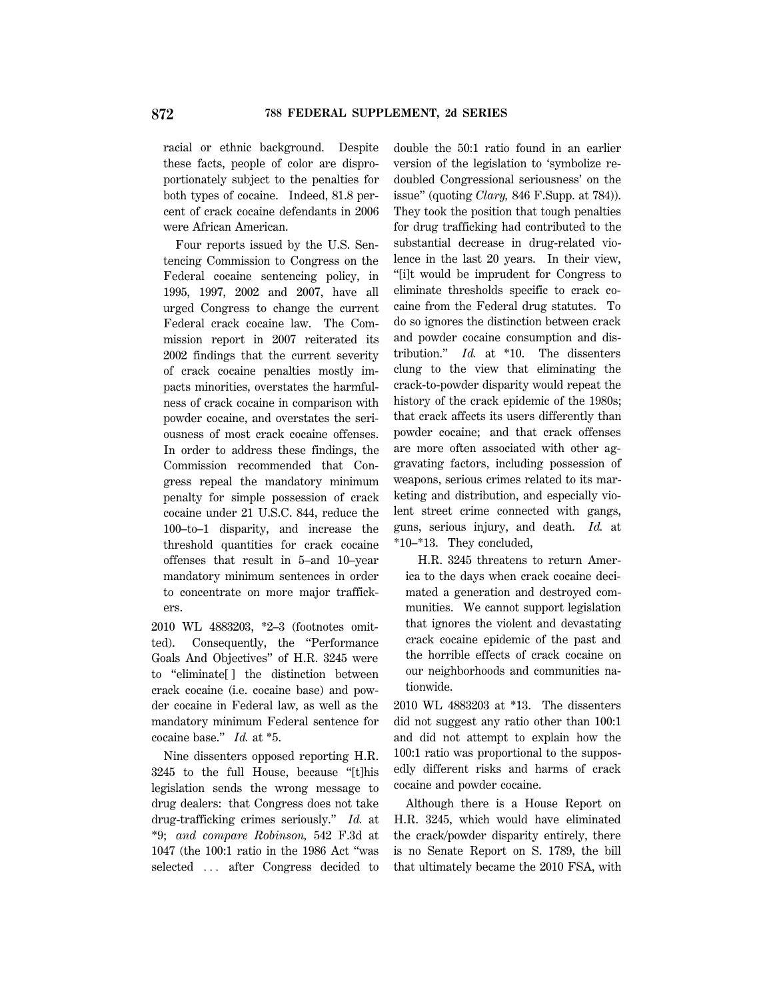racial or ethnic background. Despite these facts, people of color are disproportionately subject to the penalties for both types of cocaine. Indeed, 81.8 percent of crack cocaine defendants in 2006 were African American.

Four reports issued by the U.S. Sentencing Commission to Congress on the Federal cocaine sentencing policy, in 1995, 1997, 2002 and 2007, have all urged Congress to change the current Federal crack cocaine law. The Commission report in 2007 reiterated its 2002 findings that the current severity of crack cocaine penalties mostly impacts minorities, overstates the harmfulness of crack cocaine in comparison with powder cocaine, and overstates the seriousness of most crack cocaine offenses. In order to address these findings, the Commission recommended that Congress repeal the mandatory minimum penalty for simple possession of crack cocaine under 21 U.S.C. 844, reduce the 100–to–1 disparity, and increase the threshold quantities for crack cocaine offenses that result in 5–and 10–year mandatory minimum sentences in order to concentrate on more major traffickers.

2010 WL 4883203, \*2–3 (footnotes omitted). Consequently, the ''Performance Goals And Objectives'' of H.R. 3245 were to ''eliminate[ ] the distinction between crack cocaine (i.e. cocaine base) and powder cocaine in Federal law, as well as the mandatory minimum Federal sentence for cocaine base.'' *Id.* at \*5.

Nine dissenters opposed reporting H.R. 3245 to the full House, because ''[t]his legislation sends the wrong message to drug dealers: that Congress does not take drug-trafficking crimes seriously.'' *Id.* at \*9; *and compare Robinson,* 542 F.3d at 1047 (the 100:1 ratio in the 1986 Act ''was selected ... after Congress decided to double the 50:1 ratio found in an earlier version of the legislation to 'symbolize redoubled Congressional seriousness' on the issue'' (quoting *Clary,* 846 F.Supp. at 784)). They took the position that tough penalties for drug trafficking had contributed to the substantial decrease in drug-related violence in the last 20 years. In their view, ''[i]t would be imprudent for Congress to eliminate thresholds specific to crack cocaine from the Federal drug statutes. To do so ignores the distinction between crack and powder cocaine consumption and distribution.'' *Id.* at \*10. The dissenters clung to the view that eliminating the crack-to-powder disparity would repeat the history of the crack epidemic of the 1980s; that crack affects its users differently than powder cocaine; and that crack offenses are more often associated with other aggravating factors, including possession of weapons, serious crimes related to its marketing and distribution, and especially violent street crime connected with gangs, guns, serious injury, and death. *Id.* at \*10–\*13. They concluded,

H.R. 3245 threatens to return America to the days when crack cocaine decimated a generation and destroyed communities. We cannot support legislation that ignores the violent and devastating crack cocaine epidemic of the past and the horrible effects of crack cocaine on our neighborhoods and communities nationwide.

2010 WL 4883203 at \*13. The dissenters did not suggest any ratio other than 100:1 and did not attempt to explain how the 100:1 ratio was proportional to the supposedly different risks and harms of crack cocaine and powder cocaine.

Although there is a House Report on H.R. 3245, which would have eliminated the crack/powder disparity entirely, there is no Senate Report on S. 1789, the bill that ultimately became the 2010 FSA, with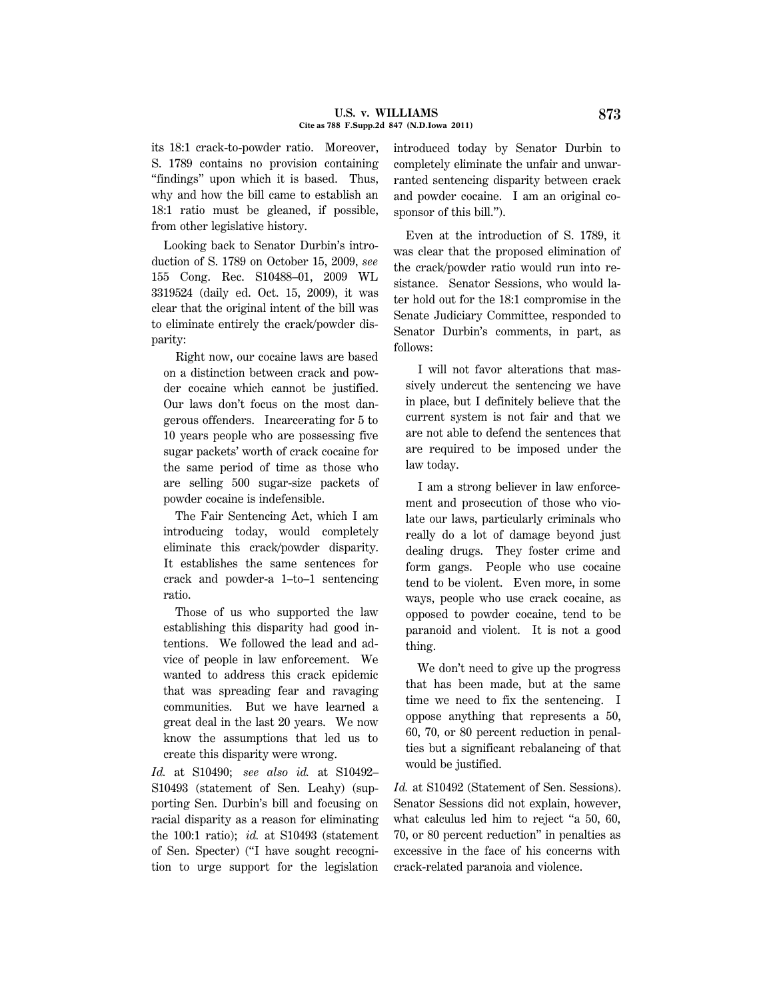#### **U.S. v. WILLIAMS 873 Cite as 788 F.Supp.2d 847 (N.D.Iowa 2011)**

its 18:1 crack-to-powder ratio. Moreover, S. 1789 contains no provision containing ''findings'' upon which it is based. Thus, why and how the bill came to establish an 18:1 ratio must be gleaned, if possible, from other legislative history.

Looking back to Senator Durbin's introduction of S. 1789 on October 15, 2009, *see* 155 Cong. Rec. S10488–01, 2009 WL 3319524 (daily ed. Oct. 15, 2009), it was clear that the original intent of the bill was to eliminate entirely the crack/powder disparity:

Right now, our cocaine laws are based on a distinction between crack and powder cocaine which cannot be justified. Our laws don't focus on the most dangerous offenders. Incarcerating for 5 to 10 years people who are possessing five sugar packets' worth of crack cocaine for the same period of time as those who are selling 500 sugar-size packets of powder cocaine is indefensible.

The Fair Sentencing Act, which I am introducing today, would completely eliminate this crack/powder disparity. It establishes the same sentences for crack and powder-a 1–to–1 sentencing ratio.

Those of us who supported the law establishing this disparity had good intentions. We followed the lead and advice of people in law enforcement. We wanted to address this crack epidemic that was spreading fear and ravaging communities. But we have learned a great deal in the last 20 years. We now know the assumptions that led us to create this disparity were wrong.

*Id.* at S10490; *see also id.* at S10492– S10493 (statement of Sen. Leahy) (supporting Sen. Durbin's bill and focusing on racial disparity as a reason for eliminating the 100:1 ratio); *id.* at S10493 (statement of Sen. Specter) (''I have sought recognition to urge support for the legislation introduced today by Senator Durbin to completely eliminate the unfair and unwarranted sentencing disparity between crack and powder cocaine. I am an original cosponsor of this bill.'').

Even at the introduction of S. 1789, it was clear that the proposed elimination of the crack/powder ratio would run into resistance. Senator Sessions, who would later hold out for the 18:1 compromise in the Senate Judiciary Committee, responded to Senator Durbin's comments, in part, as follows:

I will not favor alterations that massively undercut the sentencing we have in place, but I definitely believe that the current system is not fair and that we are not able to defend the sentences that are required to be imposed under the law today.

I am a strong believer in law enforcement and prosecution of those who violate our laws, particularly criminals who really do a lot of damage beyond just dealing drugs. They foster crime and form gangs. People who use cocaine tend to be violent. Even more, in some ways, people who use crack cocaine, as opposed to powder cocaine, tend to be paranoid and violent. It is not a good thing.

We don't need to give up the progress that has been made, but at the same time we need to fix the sentencing. I oppose anything that represents a 50, 60, 70, or 80 percent reduction in penalties but a significant rebalancing of that would be justified.

*Id.* at S10492 (Statement of Sen. Sessions). Senator Sessions did not explain, however, what calculus led him to reject "a 50, 60, 70, or 80 percent reduction'' in penalties as excessive in the face of his concerns with crack-related paranoia and violence.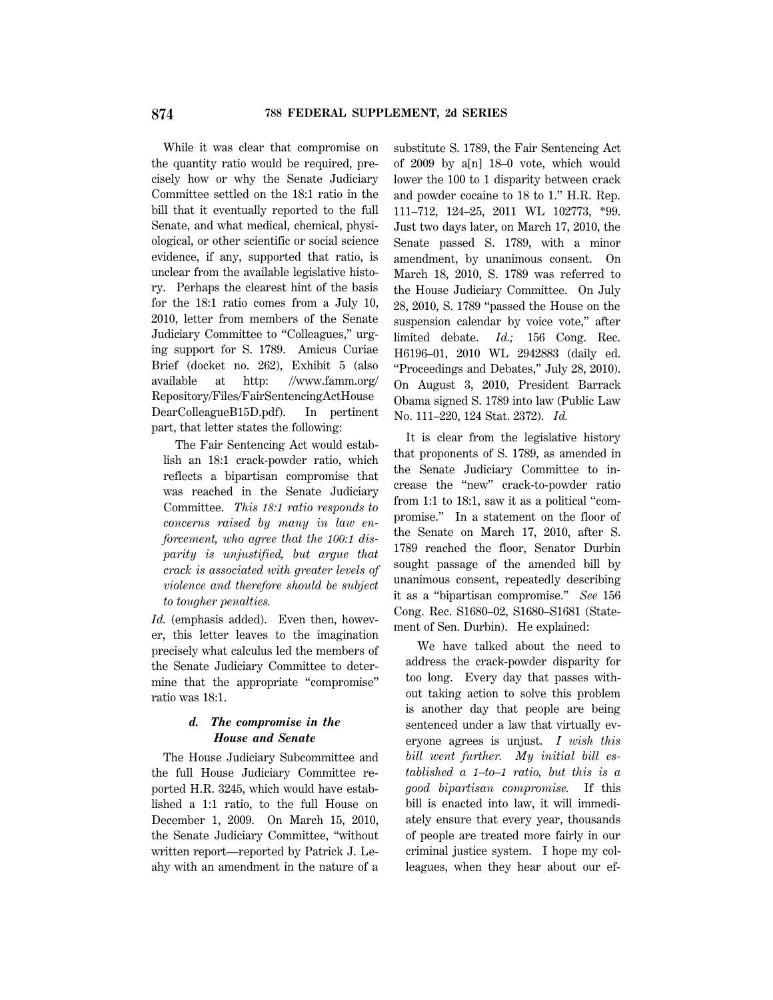While it was clear that compromise on the quantity ratio would be required, precisely how or why the Senate Judiciary Committee settled on the 18:1 ratio in the bill that it eventually reported to the full Senate, and what medical, chemical, physiological, or other scientific or social science evidence, if any, supported that ratio, is unclear from the available legislative history. Perhaps the clearest hint of the basis for the 18:1 ratio comes from a July 10, 2010, letter from members of the Senate Judiciary Committee to "Colleagues," urging support for S. 1789. Amicus Curiae Brief (docket no. 262), Exhibit 5 (also available at http: //www.famm.org/ Repository/Files/FairSentencingActHouse DearColleagueB15D.pdf). In pertinent part, that letter states the following:

The Fair Sentencing Act would establish an 18:1 crack-powder ratio, which reflects a bipartisan compromise that was reached in the Senate Judiciary Committee. *This 18:1 ratio responds to concerns raised by many in law enforcement, who agree that the 100:1 disparity is unjustified, but argue that crack is associated with greater levels of violence and therefore should be subject to tougher penalties.*

*Id.* (emphasis added). Even then, however, this letter leaves to the imagination precisely what calculus led the members of the Senate Judiciary Committee to determine that the appropriate "compromise" ratio was 18:1.

# *d. The compromise in the House and Senate*

The House Judiciary Subcommittee and the full House Judiciary Committee reported H.R. 3245, which would have established a 1:1 ratio, to the full House on December 1, 2009. On March 15, 2010, the Senate Judiciary Committee, ''without written report—reported by Patrick J. Leahy with an amendment in the nature of a substitute S. 1789, the Fair Sentencing Act of 2009 by a[n] 18–0 vote, which would lower the 100 to 1 disparity between crack and powder cocaine to 18 to 1.'' H.R. Rep. 111–712, 124–25, 2011 WL 102773, \*99. Just two days later, on March 17, 2010, the Senate passed S. 1789, with a minor amendment, by unanimous consent. On March 18, 2010, S. 1789 was referred to the House Judiciary Committee. On July 28, 2010, S. 1789 ''passed the House on the suspension calendar by voice vote," after limited debate. *Id.;* 156 Cong. Rec. H6196–01, 2010 WL 2942883 (daily ed. ''Proceedings and Debates,'' July 28, 2010). On August 3, 2010, President Barrack Obama signed S. 1789 into law (Public Law No. 111–220, 124 Stat. 2372). *Id.*

It is clear from the legislative history that proponents of S. 1789, as amended in the Senate Judiciary Committee to increase the ''new'' crack-to-powder ratio from 1:1 to 18:1, saw it as a political "compromise.'' In a statement on the floor of the Senate on March 17, 2010, after S. 1789 reached the floor, Senator Durbin sought passage of the amended bill by unanimous consent, repeatedly describing it as a ''bipartisan compromise.'' *See* 156 Cong. Rec. S1680–02, S1680–S1681 (Statement of Sen. Durbin). He explained:

We have talked about the need to address the crack-powder disparity for too long. Every day that passes without taking action to solve this problem is another day that people are being sentenced under a law that virtually everyone agrees is unjust. *I wish this bill went further. My initial bill established a 1–to–1 ratio, but this is a good bipartisan compromise.* If this bill is enacted into law, it will immediately ensure that every year, thousands of people are treated more fairly in our criminal justice system. I hope my colleagues, when they hear about our ef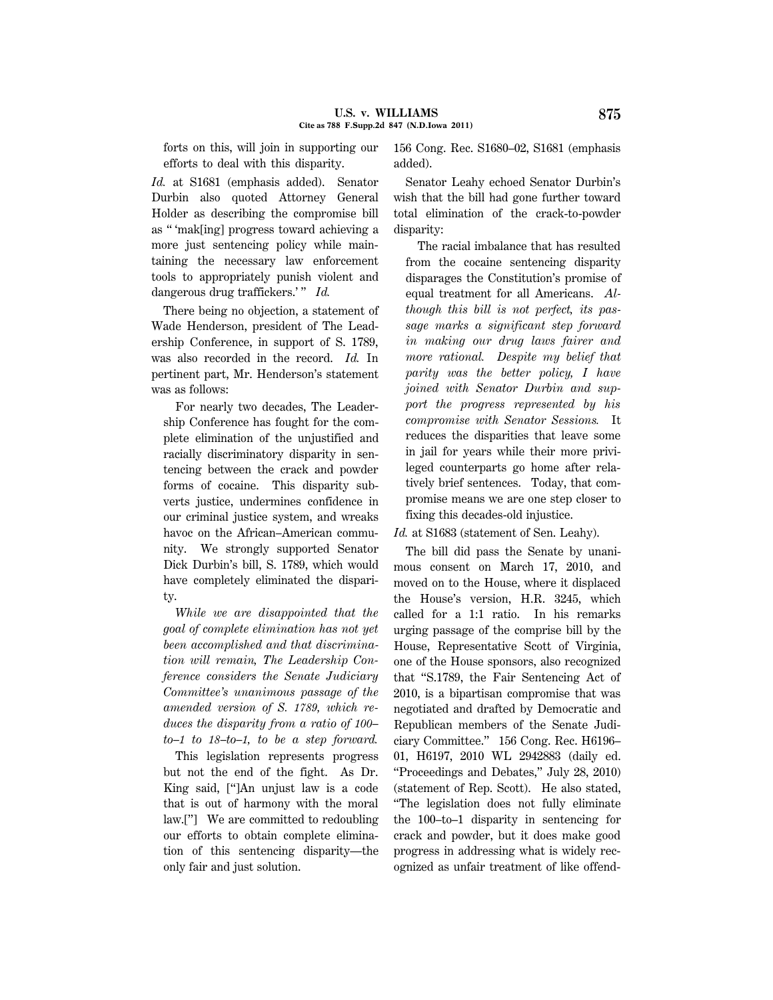forts on this, will join in supporting our efforts to deal with this disparity.

*Id.* at S1681 (emphasis added). Senator Durbin also quoted Attorney General Holder as describing the compromise bill as '' 'mak[ing] progress toward achieving a more just sentencing policy while maintaining the necessary law enforcement tools to appropriately punish violent and dangerous drug traffickers.'" *Id.* 

There being no objection, a statement of Wade Henderson, president of The Leadership Conference, in support of S. 1789, was also recorded in the record. *Id.* In pertinent part, Mr. Henderson's statement was as follows:

For nearly two decades, The Leadership Conference has fought for the complete elimination of the unjustified and racially discriminatory disparity in sentencing between the crack and powder forms of cocaine. This disparity subverts justice, undermines confidence in our criminal justice system, and wreaks havoc on the African–American community. We strongly supported Senator Dick Durbin's bill, S. 1789, which would have completely eliminated the disparity.

*While we are disappointed that the goal of complete elimination has not yet been accomplished and that discrimination will remain, The Leadership Conference considers the Senate Judiciary Committee's unanimous passage of the amended version of S. 1789, which reduces the disparity from a ratio of 100– to–1 to 18–to–1, to be a step forward.*

This legislation represents progress but not the end of the fight. As Dr. King said, ['']An unjust law is a code that is out of harmony with the moral law.[''] We are committed to redoubling our efforts to obtain complete elimination of this sentencing disparity—the only fair and just solution.

156 Cong. Rec. S1680–02, S1681 (emphasis added).

Senator Leahy echoed Senator Durbin's wish that the bill had gone further toward total elimination of the crack-to-powder disparity:

The racial imbalance that has resulted from the cocaine sentencing disparity disparages the Constitution's promise of equal treatment for all Americans. *Although this bill is not perfect, its passage marks a significant step forward in making our drug laws fairer and more rational. Despite my belief that parity was the better policy, I have joined with Senator Durbin and support the progress represented by his compromise with Senator Sessions.* It reduces the disparities that leave some in jail for years while their more privileged counterparts go home after relatively brief sentences. Today, that compromise means we are one step closer to fixing this decades-old injustice.

*Id.* at S1683 (statement of Sen. Leahy).

The bill did pass the Senate by unanimous consent on March 17, 2010, and moved on to the House, where it displaced the House's version, H.R. 3245, which called for a 1:1 ratio. In his remarks urging passage of the comprise bill by the House, Representative Scott of Virginia, one of the House sponsors, also recognized that ''S.1789, the Fair Sentencing Act of 2010, is a bipartisan compromise that was negotiated and drafted by Democratic and Republican members of the Senate Judiciary Committee.'' 156 Cong. Rec. H6196– 01, H6197, 2010 WL 2942883 (daily ed. ''Proceedings and Debates,'' July 28, 2010) (statement of Rep. Scott). He also stated, ''The legislation does not fully eliminate the 100–to–1 disparity in sentencing for crack and powder, but it does make good progress in addressing what is widely recognized as unfair treatment of like offend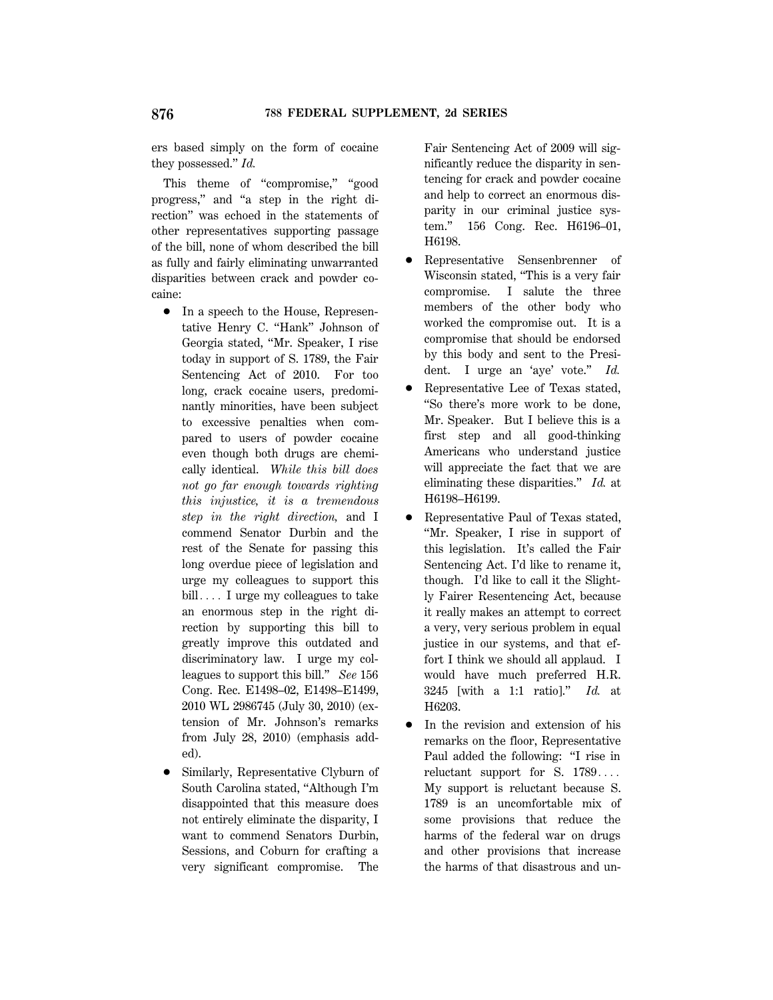ers based simply on the form of cocaine they possessed.'' *Id.*

This theme of "compromise," "good progress,'' and ''a step in the right direction'' was echoed in the statements of other representatives supporting passage of the bill, none of whom described the bill as fully and fairly eliminating unwarranted disparities between crack and powder cocaine:

- In a speech to the House, Representative Henry C. ''Hank'' Johnson of Georgia stated, ''Mr. Speaker, I rise today in support of S. 1789, the Fair Sentencing Act of 2010. For too long, crack cocaine users, predominantly minorities, have been subject to excessive penalties when compared to users of powder cocaine even though both drugs are chemically identical. *While this bill does not go far enough towards righting this injustice, it is a tremendous step in the right direction,* and I commend Senator Durbin and the rest of the Senate for passing this long overdue piece of legislation and urge my colleagues to support this  $\text{bill} \ldots$  I urge my colleagues to take an enormous step in the right direction by supporting this bill to greatly improve this outdated and discriminatory law. I urge my colleagues to support this bill.'' *See* 156 Cong. Rec. E1498–02, E1498–E1499, 2010 WL 2986745 (July 30, 2010) (extension of Mr. Johnson's remarks from July 28, 2010) (emphasis added).
- 1 Similarly, Representative Clyburn of South Carolina stated, ''Although I'm disappointed that this measure does not entirely eliminate the disparity, I want to commend Senators Durbin, Sessions, and Coburn for crafting a very significant compromise. The

Fair Sentencing Act of 2009 will significantly reduce the disparity in sentencing for crack and powder cocaine and help to correct an enormous disparity in our criminal justice system.'' 156 Cong. Rec. H6196–01, H6198.

- Representative Sensenbrenner of Wisconsin stated, ''This is a very fair compromise. I salute the three members of the other body who worked the compromise out. It is a compromise that should be endorsed by this body and sent to the President. I urge an 'aye' vote.'' *Id.*
- 1 Representative Lee of Texas stated, ''So there's more work to be done, Mr. Speaker. But I believe this is a first step and all good-thinking Americans who understand justice will appreciate the fact that we are eliminating these disparities.'' *Id.* at H6198–H6199.
- 1 Representative Paul of Texas stated, ''Mr. Speaker, I rise in support of this legislation. It's called the Fair Sentencing Act. I'd like to rename it, though. I'd like to call it the Slightly Fairer Resentencing Act, because it really makes an attempt to correct a very, very serious problem in equal justice in our systems, and that effort I think we should all applaud. I would have much preferred H.R. 3245 [with a 1:1 ratio].'' *Id.* at H6203.
- In the revision and extension of his remarks on the floor, Representative Paul added the following: ''I rise in reluctant support for S.  $1789\dots$ My support is reluctant because S. 1789 is an uncomfortable mix of some provisions that reduce the harms of the federal war on drugs and other provisions that increase the harms of that disastrous and un-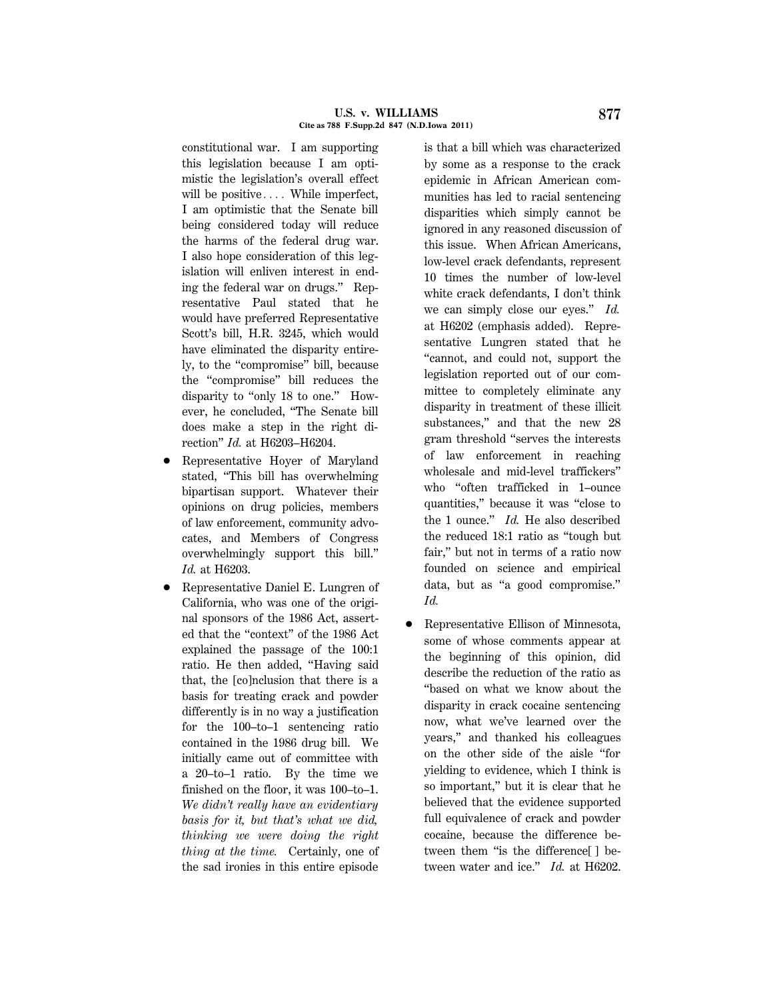#### **U.S. v. WILLIAMS 877 Cite as 788 F.Supp.2d 847 (N.D.Iowa 2011)**

constitutional war. I am supporting this legislation because I am optimistic the legislation's overall effect will be positive  $\ldots$ . While imperfect, I am optimistic that the Senate bill being considered today will reduce the harms of the federal drug war. I also hope consideration of this legislation will enliven interest in ending the federal war on drugs.'' Representative Paul stated that he would have preferred Representative Scott's bill, H.R. 3245, which would have eliminated the disparity entirely, to the ''compromise'' bill, because the ''compromise'' bill reduces the disparity to "only 18 to one." However, he concluded, ''The Senate bill does make a step in the right direction'' *Id.* at H6203–H6204.

- Representative Hoyer of Maryland stated, ''This bill has overwhelming bipartisan support. Whatever their opinions on drug policies, members of law enforcement, community advocates, and Members of Congress overwhelmingly support this bill.'' *Id.* at H6203.
- 1 Representative Daniel E. Lungren of California, who was one of the original sponsors of the 1986 Act, asserted that the ''context'' of the 1986 Act explained the passage of the 100:1 ratio. He then added, ''Having said that, the [co]nclusion that there is a basis for treating crack and powder differently is in no way a justification for the 100–to–1 sentencing ratio contained in the 1986 drug bill. We initially came out of committee with a 20–to–1 ratio. By the time we finished on the floor, it was 100–to–1. *We didn't really have an evidentiary basis for it, but that's what we did, thinking we were doing the right thing at the time.* Certainly, one of the sad ironies in this entire episode

is that a bill which was characterized by some as a response to the crack epidemic in African American communities has led to racial sentencing disparities which simply cannot be ignored in any reasoned discussion of this issue. When African Americans, low-level crack defendants, represent 10 times the number of low-level white crack defendants, I don't think we can simply close our eyes.'' *Id.* at H6202 (emphasis added). Representative Lungren stated that he ''cannot, and could not, support the legislation reported out of our committee to completely eliminate any disparity in treatment of these illicit substances," and that the new 28 gram threshold ''serves the interests of law enforcement in reaching wholesale and mid-level traffickers'' who ''often trafficked in 1–ounce quantities,'' because it was ''close to the 1 ounce.'' *Id.* He also described the reduced 18:1 ratio as ''tough but fair,'' but not in terms of a ratio now founded on science and empirical data, but as ''a good compromise.'' *Id.*

1 Representative Ellison of Minnesota, some of whose comments appear at the beginning of this opinion, did describe the reduction of the ratio as ''based on what we know about the disparity in crack cocaine sentencing now, what we've learned over the years,'' and thanked his colleagues on the other side of the aisle ''for yielding to evidence, which I think is so important,'' but it is clear that he believed that the evidence supported full equivalence of crack and powder cocaine, because the difference between them "is the difference[] between water and ice.'' *Id.* at H6202.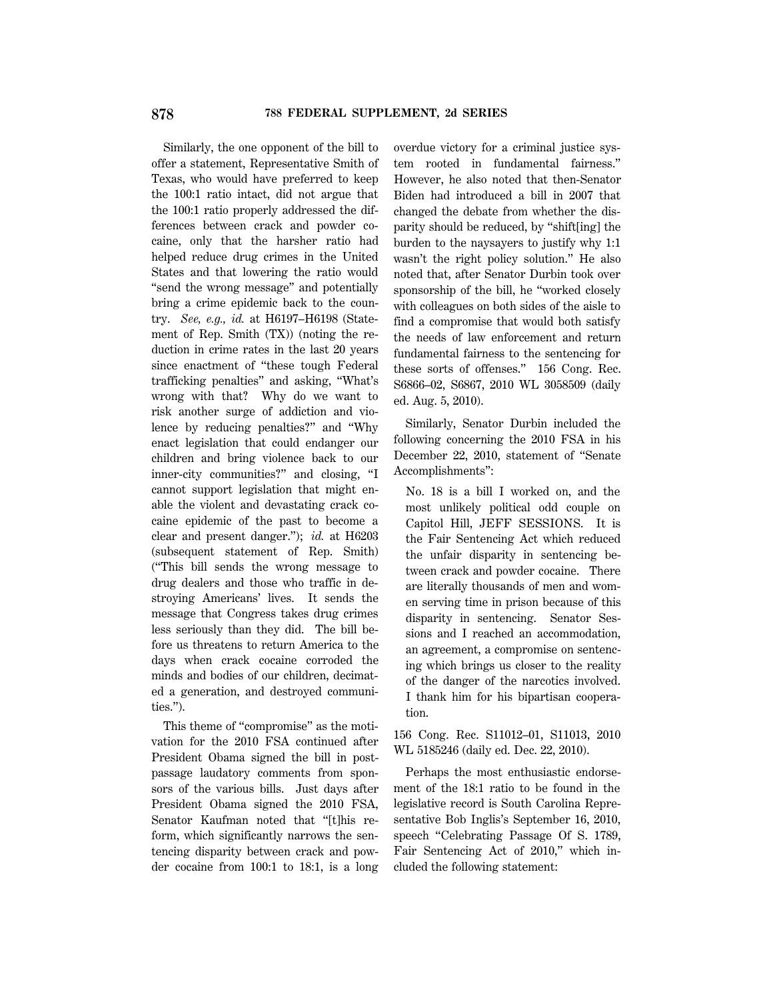Similarly, the one opponent of the bill to offer a statement, Representative Smith of Texas, who would have preferred to keep the 100:1 ratio intact, did not argue that the 100:1 ratio properly addressed the differences between crack and powder cocaine, only that the harsher ratio had helped reduce drug crimes in the United States and that lowering the ratio would ''send the wrong message'' and potentially bring a crime epidemic back to the country. *See, e.g., id.* at H6197–H6198 (Statement of Rep. Smith (TX)) (noting the reduction in crime rates in the last 20 years since enactment of ''these tough Federal trafficking penalties'' and asking, ''What's wrong with that? Why do we want to risk another surge of addiction and violence by reducing penalties?'' and ''Why enact legislation that could endanger our children and bring violence back to our inner-city communities?'' and closing, ''I cannot support legislation that might enable the violent and devastating crack cocaine epidemic of the past to become a clear and present danger.''); *id.* at H6203 (subsequent statement of Rep. Smith) (''This bill sends the wrong message to drug dealers and those who traffic in destroying Americans' lives. It sends the message that Congress takes drug crimes less seriously than they did. The bill before us threatens to return America to the days when crack cocaine corroded the minds and bodies of our children, decimated a generation, and destroyed communities.'').

This theme of "compromise" as the motivation for the 2010 FSA continued after President Obama signed the bill in postpassage laudatory comments from sponsors of the various bills. Just days after President Obama signed the 2010 FSA, Senator Kaufman noted that ''[t]his reform, which significantly narrows the sentencing disparity between crack and powder cocaine from 100:1 to 18:1, is a long overdue victory for a criminal justice system rooted in fundamental fairness.'' However, he also noted that then-Senator Biden had introduced a bill in 2007 that changed the debate from whether the disparity should be reduced, by ''shift[ing] the burden to the naysayers to justify why 1:1 wasn't the right policy solution.'' He also noted that, after Senator Durbin took over sponsorship of the bill, he ''worked closely with colleagues on both sides of the aisle to find a compromise that would both satisfy the needs of law enforcement and return fundamental fairness to the sentencing for these sorts of offenses.'' 156 Cong. Rec. S6866–02, S6867, 2010 WL 3058509 (daily ed. Aug. 5, 2010).

Similarly, Senator Durbin included the following concerning the 2010 FSA in his December 22, 2010, statement of ''Senate Accomplishments'':

No. 18 is a bill I worked on, and the most unlikely political odd couple on Capitol Hill, JEFF SESSIONS. It is the Fair Sentencing Act which reduced the unfair disparity in sentencing between crack and powder cocaine. There are literally thousands of men and women serving time in prison because of this disparity in sentencing. Senator Sessions and I reached an accommodation, an agreement, a compromise on sentencing which brings us closer to the reality of the danger of the narcotics involved. I thank him for his bipartisan cooperation.

156 Cong. Rec. S11012–01, S11013, 2010 WL 5185246 (daily ed. Dec. 22, 2010).

Perhaps the most enthusiastic endorsement of the 18:1 ratio to be found in the legislative record is South Carolina Representative Bob Inglis's September 16, 2010, speech ''Celebrating Passage Of S. 1789, Fair Sentencing Act of 2010," which included the following statement: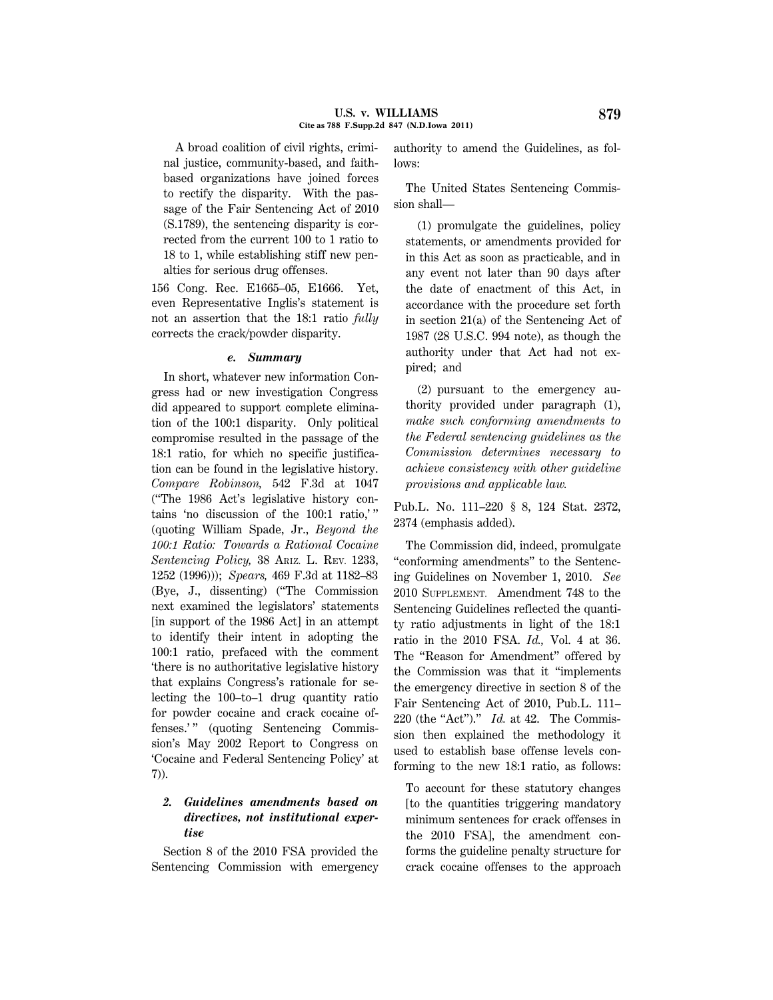A broad coalition of civil rights, criminal justice, community-based, and faithbased organizations have joined forces to rectify the disparity. With the passage of the Fair Sentencing Act of 2010 (S.1789), the sentencing disparity is corrected from the current 100 to 1 ratio to 18 to 1, while establishing stiff new penalties for serious drug offenses.

156 Cong. Rec. E1665–05, E1666. Yet, even Representative Inglis's statement is not an assertion that the 18:1 ratio *fully* corrects the crack/powder disparity.

## *e. Summary*

In short, whatever new information Congress had or new investigation Congress did appeared to support complete elimination of the 100:1 disparity. Only political compromise resulted in the passage of the 18:1 ratio, for which no specific justification can be found in the legislative history. *Compare Robinson,* 542 F.3d at 1047 (''The 1986 Act's legislative history contains 'no discussion of the 100:1 ratio,' '' (quoting William Spade, Jr., *Beyond the 100:1 Ratio: Towards a Rational Cocaine Sentencing Policy,* 38 ARIZ. L. REV. 1233, 1252 (1996))); *Spears,* 469 F.3d at 1182–83 (Bye, J., dissenting) (''The Commission next examined the legislators' statements [in support of the 1986 Act] in an attempt to identify their intent in adopting the 100:1 ratio, prefaced with the comment 'there is no authoritative legislative history that explains Congress's rationale for selecting the 100–to–1 drug quantity ratio for powder cocaine and crack cocaine offenses.'" (quoting Sentencing Commission's May 2002 Report to Congress on 'Cocaine and Federal Sentencing Policy' at 7)).

# *2. Guidelines amendments based on directives, not institutional expertise*

Section 8 of the 2010 FSA provided the Sentencing Commission with emergency authority to amend the Guidelines, as follows:

The United States Sentencing Commission shall—

(1) promulgate the guidelines, policy statements, or amendments provided for in this Act as soon as practicable, and in any event not later than 90 days after the date of enactment of this Act, in accordance with the procedure set forth in section 21(a) of the Sentencing Act of 1987 (28 U.S.C. 994 note), as though the authority under that Act had not expired; and

(2) pursuant to the emergency authority provided under paragraph (1), *make such conforming amendments to the Federal sentencing guidelines as the Commission determines necessary to achieve consistency with other guideline provisions and applicable law.*

Pub.L. No. 111–220 § 8, 124 Stat. 2372, 2374 (emphasis added).

The Commission did, indeed, promulgate ''conforming amendments'' to the Sentencing Guidelines on November 1, 2010. *See* 2010 SUPPLEMENT. Amendment 748 to the Sentencing Guidelines reflected the quantity ratio adjustments in light of the 18:1 ratio in the 2010 FSA. *Id.,* Vol. 4 at 36. The "Reason for Amendment" offered by the Commission was that it ''implements the emergency directive in section 8 of the Fair Sentencing Act of 2010, Pub.L. 111– 220 (the "Act")." *Id.* at 42. The Commission then explained the methodology it used to establish base offense levels conforming to the new 18:1 ratio, as follows:

To account for these statutory changes [to the quantities triggering mandatory minimum sentences for crack offenses in the 2010 FSA], the amendment conforms the guideline penalty structure for crack cocaine offenses to the approach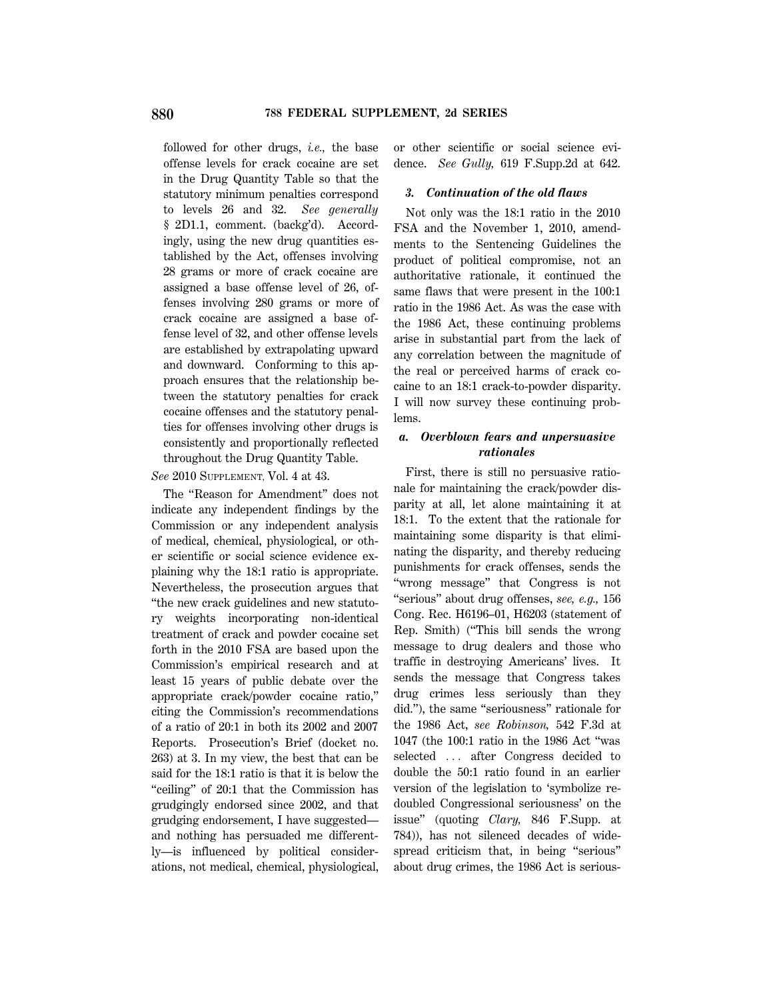followed for other drugs, *i.e.,* the base offense levels for crack cocaine are set in the Drug Quantity Table so that the statutory minimum penalties correspond to levels 26 and 32. *See generally* § 2D1.1, comment. (backg'd). Accordingly, using the new drug quantities established by the Act, offenses involving 28 grams or more of crack cocaine are assigned a base offense level of 26, offenses involving 280 grams or more of crack cocaine are assigned a base offense level of 32, and other offense levels are established by extrapolating upward and downward. Conforming to this approach ensures that the relationship between the statutory penalties for crack cocaine offenses and the statutory penalties for offenses involving other drugs is consistently and proportionally reflected throughout the Drug Quantity Table.

*See* 2010 SUPPLEMENT, Vol. 4 at 43.

The ''Reason for Amendment'' does not indicate any independent findings by the Commission or any independent analysis of medical, chemical, physiological, or other scientific or social science evidence explaining why the 18:1 ratio is appropriate. Nevertheless, the prosecution argues that ''the new crack guidelines and new statutory weights incorporating non-identical treatment of crack and powder cocaine set forth in the 2010 FSA are based upon the Commission's empirical research and at least 15 years of public debate over the appropriate crack/powder cocaine ratio,'' citing the Commission's recommendations of a ratio of 20:1 in both its 2002 and 2007 Reports. Prosecution's Brief (docket no. 263) at 3. In my view, the best that can be said for the 18:1 ratio is that it is below the "ceiling" of 20:1 that the Commission has grudgingly endorsed since 2002, and that grudging endorsement, I have suggested and nothing has persuaded me differently—is influenced by political considerations, not medical, chemical, physiological, or other scientific or social science evidence. *See Gully,* 619 F.Supp.2d at 642.

### *3. Continuation of the old flaws*

Not only was the 18:1 ratio in the 2010 FSA and the November 1, 2010, amendments to the Sentencing Guidelines the product of political compromise, not an authoritative rationale, it continued the same flaws that were present in the 100:1 ratio in the 1986 Act. As was the case with the 1986 Act, these continuing problems arise in substantial part from the lack of any correlation between the magnitude of the real or perceived harms of crack cocaine to an 18:1 crack-to-powder disparity. I will now survey these continuing problems.

## *a. Overblown fears and unpersuasive rationales*

First, there is still no persuasive rationale for maintaining the crack/powder disparity at all, let alone maintaining it at 18:1. To the extent that the rationale for maintaining some disparity is that eliminating the disparity, and thereby reducing punishments for crack offenses, sends the ''wrong message'' that Congress is not ''serious'' about drug offenses, *see, e.g.,* 156 Cong. Rec. H6196–01, H6203 (statement of Rep. Smith) (''This bill sends the wrong message to drug dealers and those who traffic in destroying Americans' lives. It sends the message that Congress takes drug crimes less seriously than they did.''), the same ''seriousness'' rationale for the 1986 Act, *see Robinson,* 542 F.3d at 1047 (the 100:1 ratio in the 1986 Act ''was selected ... after Congress decided to double the 50:1 ratio found in an earlier version of the legislation to 'symbolize redoubled Congressional seriousness' on the issue'' (quoting *Clary,* 846 F.Supp. at 784)), has not silenced decades of widespread criticism that, in being ''serious'' about drug crimes, the 1986 Act is serious-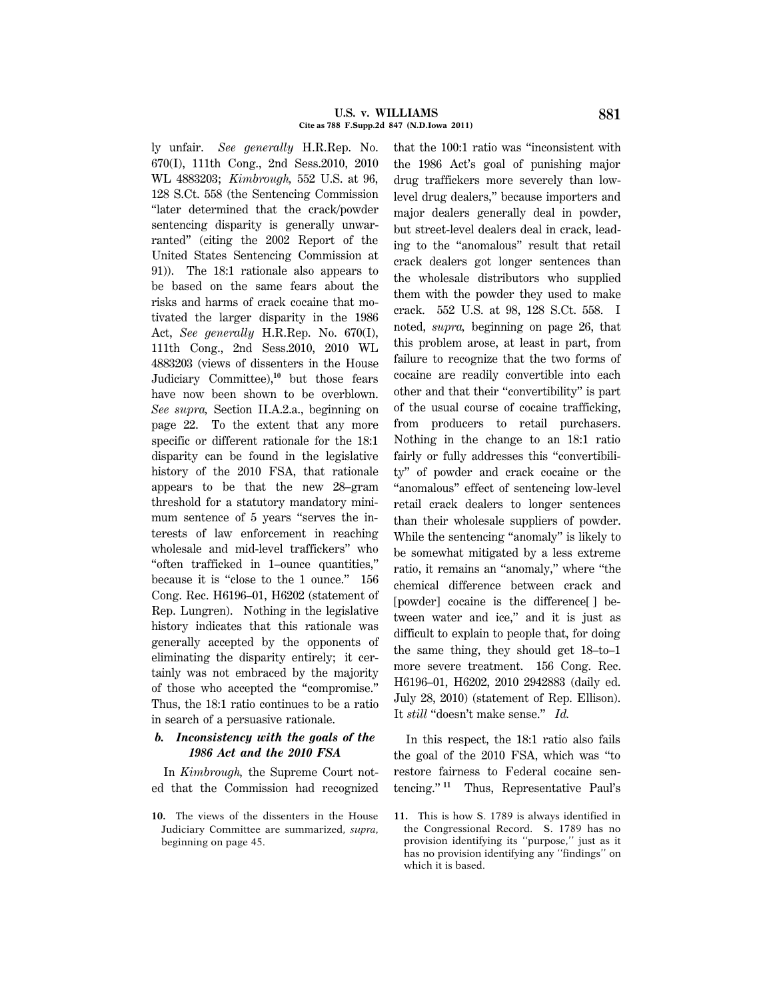#### **U.S. v. WILLIAMS 881 Cite as 788 F.Supp.2d 847 (N.D.Iowa 2011)**

ly unfair. *See generally* H.R.Rep. No. 670(I), 111th Cong., 2nd Sess.2010, 2010 WL 4883203; *Kimbrough,* 552 U.S. at 96, 128 S.Ct. 558 (the Sentencing Commission ''later determined that the crack/powder sentencing disparity is generally unwarranted'' (citing the 2002 Report of the United States Sentencing Commission at 91)). The 18:1 rationale also appears to be based on the same fears about the risks and harms of crack cocaine that motivated the larger disparity in the 1986 Act, *See generally* H.R.Rep. No. 670(I), 111th Cong., 2nd Sess.2010, 2010 WL 4883203 (views of dissenters in the House Judiciary Committee),**<sup>10</sup>** but those fears have now been shown to be overblown. *See supra,* Section II.A.2.a., beginning on page 22. To the extent that any more specific or different rationale for the 18:1 disparity can be found in the legislative history of the 2010 FSA, that rationale appears to be that the new 28–gram threshold for a statutory mandatory minimum sentence of 5 years "serves the interests of law enforcement in reaching wholesale and mid-level traffickers'' who ''often trafficked in 1–ounce quantities,'' because it is "close to the 1 ounce." 156 Cong. Rec. H6196–01, H6202 (statement of Rep. Lungren). Nothing in the legislative history indicates that this rationale was generally accepted by the opponents of eliminating the disparity entirely; it certainly was not embraced by the majority of those who accepted the ''compromise.'' Thus, the 18:1 ratio continues to be a ratio in search of a persuasive rationale.

# *b. Inconsistency with the goals of the 1986 Act and the 2010 FSA*

In *Kimbrough,* the Supreme Court noted that the Commission had recognized

**10.** The views of the dissenters in the House Judiciary Committee are summarized, *supra,* beginning on page 45.

that the 100:1 ratio was ''inconsistent with the 1986 Act's goal of punishing major drug traffickers more severely than lowlevel drug dealers,'' because importers and major dealers generally deal in powder, but street-level dealers deal in crack, leading to the ''anomalous'' result that retail crack dealers got longer sentences than the wholesale distributors who supplied them with the powder they used to make crack. 552 U.S. at 98, 128 S.Ct. 558. I noted, *supra,* beginning on page 26, that this problem arose, at least in part, from failure to recognize that the two forms of cocaine are readily convertible into each other and that their ''convertibility'' is part of the usual course of cocaine trafficking, from producers to retail purchasers. Nothing in the change to an 18:1 ratio fairly or fully addresses this ''convertibility'' of powder and crack cocaine or the ''anomalous'' effect of sentencing low-level retail crack dealers to longer sentences than their wholesale suppliers of powder. While the sentencing "anomaly" is likely to be somewhat mitigated by a less extreme ratio, it remains an "anomaly," where "the chemical difference between crack and [powder] cocaine is the difference<sup>[]</sup> between water and ice," and it is just as difficult to explain to people that, for doing the same thing, they should get 18–to–1 more severe treatment. 156 Cong. Rec. H6196–01, H6202, 2010 2942883 (daily ed. July 28, 2010) (statement of Rep. Ellison). It *still* ''doesn't make sense.'' *Id.*

In this respect, the 18:1 ratio also fails the goal of the 2010 FSA, which was ''to restore fairness to Federal cocaine sentencing.'' **<sup>11</sup>** Thus, Representative Paul's

**<sup>11.</sup>** This is how S. 1789 is always identified in the Congressional Record. S. 1789 has no provision identifying its ''purpose,'' just as it has no provision identifying any ''findings'' on which it is based.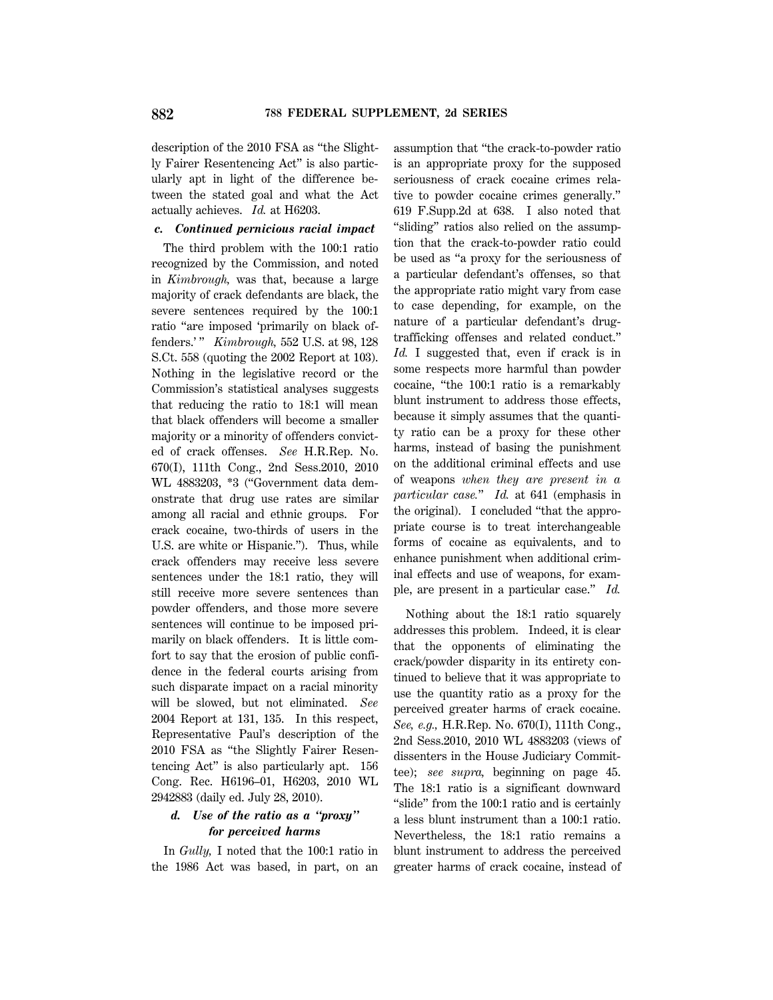description of the 2010 FSA as ''the Slightly Fairer Resentencing Act'' is also particularly apt in light of the difference between the stated goal and what the Act actually achieves. *Id.* at H6203.

## *c. Continued pernicious racial impact*

The third problem with the 100:1 ratio recognized by the Commission, and noted in *Kimbrough,* was that, because a large majority of crack defendants are black, the severe sentences required by the 100:1 ratio "are imposed 'primarily on black offenders.' '' *Kimbrough,* 552 U.S. at 98, 128 S.Ct. 558 (quoting the 2002 Report at 103). Nothing in the legislative record or the Commission's statistical analyses suggests that reducing the ratio to 18:1 will mean that black offenders will become a smaller majority or a minority of offenders convicted of crack offenses. *See* H.R.Rep. No. 670(I), 111th Cong., 2nd Sess.2010, 2010 WL 4883203, \*3 (''Government data demonstrate that drug use rates are similar among all racial and ethnic groups. For crack cocaine, two-thirds of users in the U.S. are white or Hispanic.''). Thus, while crack offenders may receive less severe sentences under the 18:1 ratio, they will still receive more severe sentences than powder offenders, and those more severe sentences will continue to be imposed primarily on black offenders. It is little comfort to say that the erosion of public confidence in the federal courts arising from such disparate impact on a racial minority will be slowed, but not eliminated. *See* 2004 Report at 131, 135. In this respect, Representative Paul's description of the 2010 FSA as ''the Slightly Fairer Resentencing Act'' is also particularly apt. 156 Cong. Rec. H6196–01, H6203, 2010 WL 2942883 (daily ed. July 28, 2010).

# *d. Use of the ratio as a ''proxy'' for perceived harms*

In *Gully,* I noted that the 100:1 ratio in the 1986 Act was based, in part, on an

assumption that ''the crack-to-powder ratio is an appropriate proxy for the supposed seriousness of crack cocaine crimes relative to powder cocaine crimes generally.'' 619 F.Supp.2d at 638. I also noted that "sliding" ratios also relied on the assumption that the crack-to-powder ratio could be used as ''a proxy for the seriousness of a particular defendant's offenses, so that the appropriate ratio might vary from case to case depending, for example, on the nature of a particular defendant's drugtrafficking offenses and related conduct.'' Id. I suggested that, even if crack is in some respects more harmful than powder cocaine, ''the 100:1 ratio is a remarkably blunt instrument to address those effects, because it simply assumes that the quantity ratio can be a proxy for these other harms, instead of basing the punishment on the additional criminal effects and use of weapons *when they are present in a particular case.*'' *Id.* at 641 (emphasis in the original). I concluded ''that the appropriate course is to treat interchangeable forms of cocaine as equivalents, and to enhance punishment when additional criminal effects and use of weapons, for example, are present in a particular case.'' *Id.*

Nothing about the 18:1 ratio squarely addresses this problem. Indeed, it is clear that the opponents of eliminating the crack/powder disparity in its entirety continued to believe that it was appropriate to use the quantity ratio as a proxy for the perceived greater harms of crack cocaine. *See, e.g.,* H.R.Rep. No. 670(I), 111th Cong., 2nd Sess.2010, 2010 WL 4883203 (views of dissenters in the House Judiciary Committee); *see supra,* beginning on page 45. The 18:1 ratio is a significant downward "slide" from the 100:1 ratio and is certainly a less blunt instrument than a 100:1 ratio. Nevertheless, the 18:1 ratio remains a blunt instrument to address the perceived greater harms of crack cocaine, instead of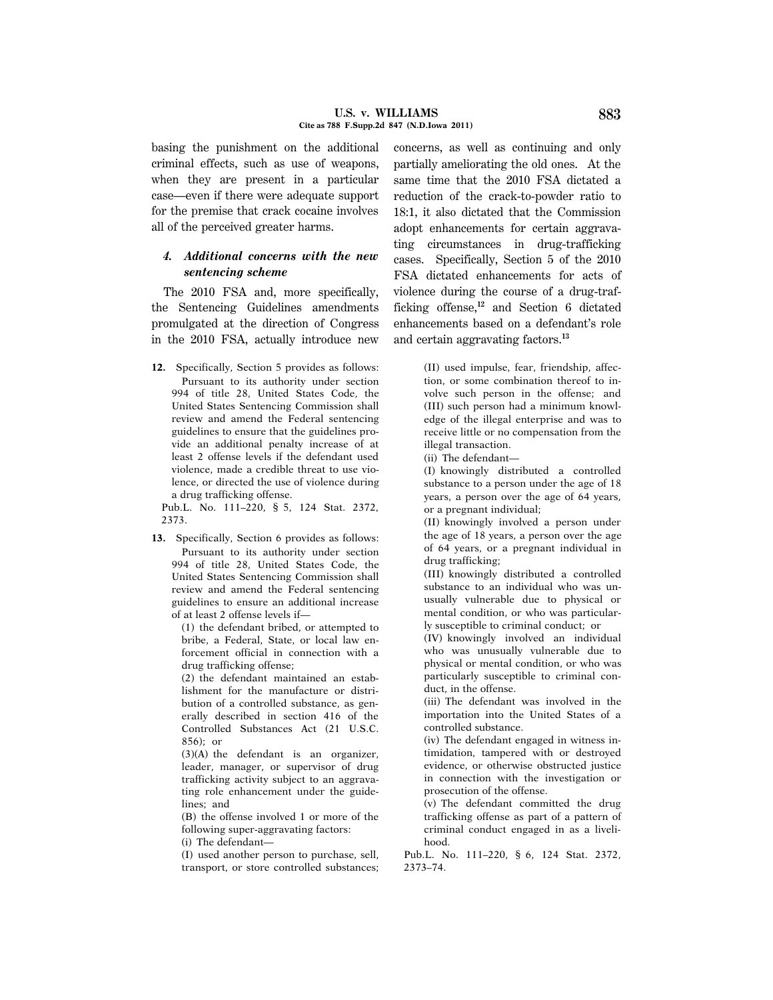basing the punishment on the additional criminal effects, such as use of weapons, when they are present in a particular case—even if there were adequate support for the premise that crack cocaine involves all of the perceived greater harms.

# *4. Additional concerns with the new sentencing scheme*

The 2010 FSA and, more specifically, the Sentencing Guidelines amendments promulgated at the direction of Congress in the 2010 FSA, actually introduce new

**12.** Specifically, Section 5 provides as follows: Pursuant to its authority under section 994 of title 28, United States Code, the United States Sentencing Commission shall review and amend the Federal sentencing guidelines to ensure that the guidelines provide an additional penalty increase of at least 2 offense levels if the defendant used violence, made a credible threat to use violence, or directed the use of violence during a drug trafficking offense.

Pub.L. No. 111–220, § 5, 124 Stat. 2372, 2373.

**13.** Specifically, Section 6 provides as follows: Pursuant to its authority under section 994 of title 28, United States Code, the United States Sentencing Commission shall review and amend the Federal sentencing guidelines to ensure an additional increase of at least 2 offense levels if—

> (1) the defendant bribed, or attempted to bribe, a Federal, State, or local law enforcement official in connection with a drug trafficking offense;

> (2) the defendant maintained an establishment for the manufacture or distribution of a controlled substance, as generally described in section 416 of the Controlled Substances Act (21 U.S.C. 856); or

> (3)(A) the defendant is an organizer, leader, manager, or supervisor of drug trafficking activity subject to an aggravating role enhancement under the guidelines: and

(B) the offense involved 1 or more of the following super-aggravating factors:

(i) The defendant—

(I) used another person to purchase, sell, transport, or store controlled substances; concerns, as well as continuing and only partially ameliorating the old ones. At the same time that the 2010 FSA dictated a reduction of the crack-to-powder ratio to 18:1, it also dictated that the Commission adopt enhancements for certain aggravating circumstances in drug-trafficking cases. Specifically, Section 5 of the 2010 FSA dictated enhancements for acts of violence during the course of a drug-trafficking offense,**<sup>12</sup>** and Section 6 dictated enhancements based on a defendant's role and certain aggravating factors.**<sup>13</sup>**

> (II) used impulse, fear, friendship, affection, or some combination thereof to involve such person in the offense; and (III) such person had a minimum knowledge of the illegal enterprise and was to receive little or no compensation from the illegal transaction.

(ii) The defendant—

(I) knowingly distributed a controlled substance to a person under the age of 18 years, a person over the age of 64 years, or a pregnant individual;

(II) knowingly involved a person under the age of 18 years, a person over the age of 64 years, or a pregnant individual in drug trafficking;

(III) knowingly distributed a controlled substance to an individual who was unusually vulnerable due to physical or mental condition, or who was particularly susceptible to criminal conduct; or

(IV) knowingly involved an individual who was unusually vulnerable due to physical or mental condition, or who was particularly susceptible to criminal conduct, in the offense.

(iii) The defendant was involved in the importation into the United States of a controlled substance.

(iv) The defendant engaged in witness intimidation, tampered with or destroyed evidence, or otherwise obstructed justice in connection with the investigation or prosecution of the offense.

(v) The defendant committed the drug trafficking offense as part of a pattern of criminal conduct engaged in as a livelihood.

Pub.L. No. 111–220, § 6, 124 Stat. 2372, 2373–74.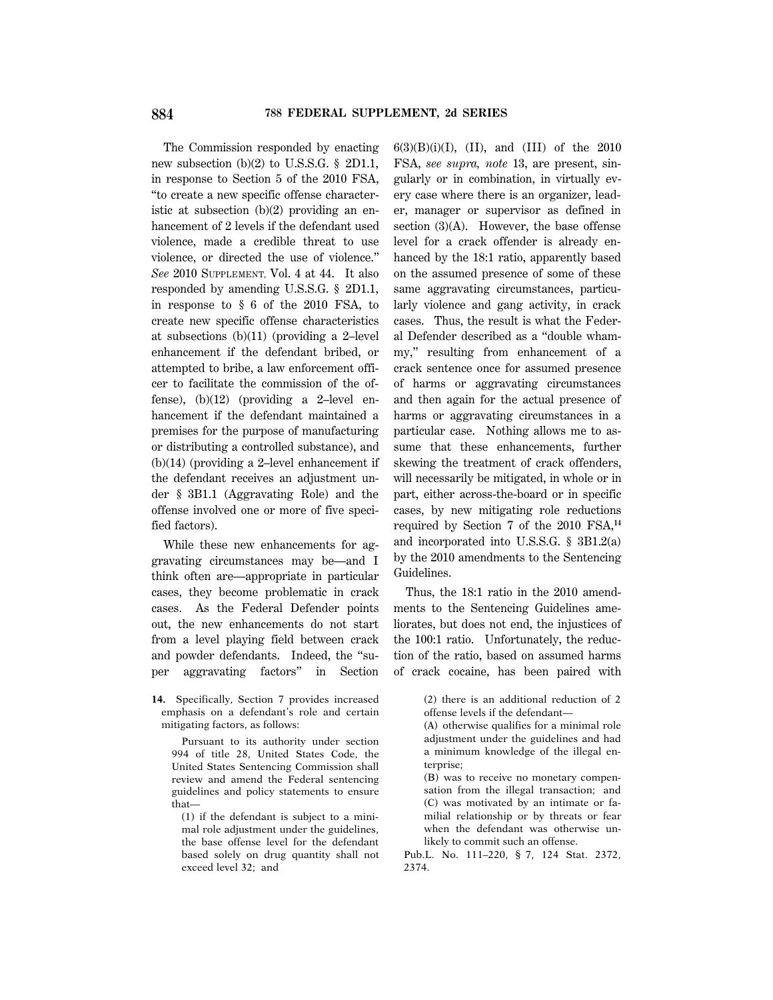The Commission responded by enacting new subsection (b)(2) to U.S.S.G. § 2D1.1, in response to Section 5 of the 2010 FSA, ''to create a new specific offense characteristic at subsection (b)(2) providing an enhancement of 2 levels if the defendant used violence, made a credible threat to use violence, or directed the use of violence.'' *See* 2010 SUPPLEMENT, Vol. 4 at 44. It also responded by amending U.S.S.G. § 2D1.1, in response to § 6 of the 2010 FSA, to create new specific offense characteristics at subsections (b)(11) (providing a 2–level enhancement if the defendant bribed, or attempted to bribe, a law enforcement officer to facilitate the commission of the offense), (b)(12) (providing a 2–level enhancement if the defendant maintained a premises for the purpose of manufacturing or distributing a controlled substance), and (b)(14) (providing a 2–level enhancement if the defendant receives an adjustment under § 3B1.1 (Aggravating Role) and the offense involved one or more of five specified factors).

While these new enhancements for aggravating circumstances may be—and I think often are—appropriate in particular cases, they become problematic in crack cases. As the Federal Defender points out, the new enhancements do not start from a level playing field between crack and powder defendants. Indeed, the ''super aggravating factors'' in Section

**14.** Specifically, Section 7 provides increased emphasis on a defendant's role and certain mitigating factors, as follows:

Pursuant to its authority under section 994 of title 28, United States Code, the United States Sentencing Commission shall review and amend the Federal sentencing guidelines and policy statements to ensure that—

(1) if the defendant is subject to a minimal role adjustment under the guidelines, the base offense level for the defendant based solely on drug quantity shall not exceed level 32; and

 $6(3)(B)(i)(I)$ , (II), and (III) of the 2010 FSA, *see supra, note* 13, are present, singularly or in combination, in virtually every case where there is an organizer, leader, manager or supervisor as defined in section (3)(A). However, the base offense level for a crack offender is already enhanced by the 18:1 ratio, apparently based on the assumed presence of some of these same aggravating circumstances, particularly violence and gang activity, in crack cases. Thus, the result is what the Federal Defender described as a ''double whammy,'' resulting from enhancement of a crack sentence once for assumed presence of harms or aggravating circumstances and then again for the actual presence of harms or aggravating circumstances in a particular case. Nothing allows me to assume that these enhancements, further skewing the treatment of crack offenders, will necessarily be mitigated, in whole or in part, either across-the-board or in specific cases, by new mitigating role reductions required by Section 7 of the 2010 FSA,**<sup>14</sup>** and incorporated into U.S.S.G. § 3B1.2(a) by the 2010 amendments to the Sentencing Guidelines.

Thus, the 18:1 ratio in the 2010 amendments to the Sentencing Guidelines ameliorates, but does not end, the injustices of the 100:1 ratio. Unfortunately, the reduction of the ratio, based on assumed harms of crack cocaine, has been paired with

(A) otherwise qualifies for a minimal role adjustment under the guidelines and had a minimum knowledge of the illegal enterprise;

(B) was to receive no monetary compensation from the illegal transaction; and (C) was motivated by an intimate or familial relationship or by threats or fear when the defendant was otherwise unlikely to commit such an offense.

Pub.L. No. 111–220, § 7, 124 Stat. 2372, 2374.

<sup>(2)</sup> there is an additional reduction of 2 offense levels if the defendant—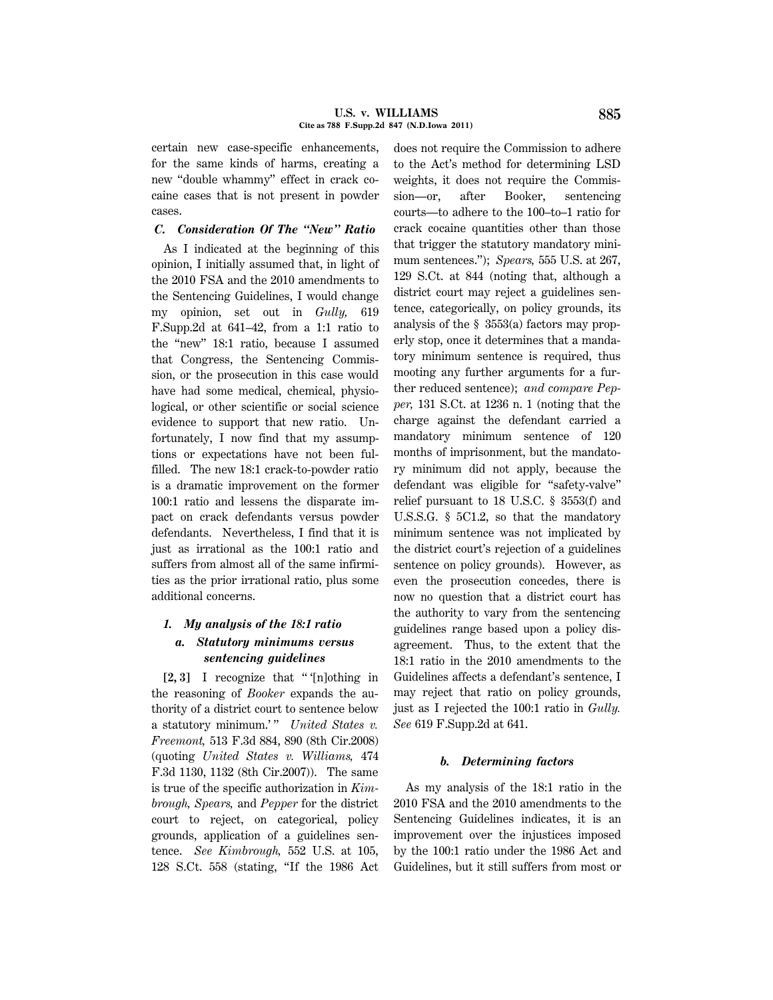#### **U.S. v. WILLIAMS 885 Cite as 788 F.Supp.2d 847 (N.D.Iowa 2011)**

certain new case-specific enhancements, for the same kinds of harms, creating a new ''double whammy'' effect in crack cocaine cases that is not present in powder cases.

## *C. Consideration Of The ''New'' Ratio*

As I indicated at the beginning of this opinion, I initially assumed that, in light of the 2010 FSA and the 2010 amendments to the Sentencing Guidelines, I would change my opinion, set out in *Gully,* 619 F.Supp.2d at 641–42, from a 1:1 ratio to the "new" 18:1 ratio, because I assumed that Congress, the Sentencing Commission, or the prosecution in this case would have had some medical, chemical, physiological, or other scientific or social science evidence to support that new ratio. Unfortunately, I now find that my assumptions or expectations have not been fulfilled. The new 18:1 crack-to-powder ratio is a dramatic improvement on the former 100:1 ratio and lessens the disparate impact on crack defendants versus powder defendants. Nevertheless, I find that it is just as irrational as the 100:1 ratio and suffers from almost all of the same infirmities as the prior irrational ratio, plus some additional concerns.

### *1. My analysis of the 18:1 ratio*

## *a. Statutory minimums versus sentencing guidelines*

**[2, 3]** I recognize that '' '[n]othing in the reasoning of *Booker* expands the authority of a district court to sentence below a statutory minimum.'" *United States v. Freemont,* 513 F.3d 884, 890 (8th Cir.2008) (quoting *United States v. Williams,* 474 F.3d 1130, 1132 (8th Cir.2007)). The same is true of the specific authorization in *Kimbrough, Spears,* and *Pepper* for the district court to reject, on categorical, policy grounds, application of a guidelines sentence. *See Kimbrough,* 552 U.S. at 105, 128 S.Ct. 558 (stating, ''If the 1986 Act does not require the Commission to adhere to the Act's method for determining LSD weights, it does not require the Commission—or, after Booker, sentencing courts—to adhere to the 100–to–1 ratio for crack cocaine quantities other than those that trigger the statutory mandatory minimum sentences.''); *Spears,* 555 U.S. at 267, 129 S.Ct. at 844 (noting that, although a district court may reject a guidelines sentence, categorically, on policy grounds, its analysis of the § 3553(a) factors may properly stop, once it determines that a mandatory minimum sentence is required, thus mooting any further arguments for a further reduced sentence); *and compare Pepper,* 131 S.Ct. at 1236 n. 1 (noting that the charge against the defendant carried a mandatory minimum sentence of 120 months of imprisonment, but the mandatory minimum did not apply, because the defendant was eligible for ''safety-valve'' relief pursuant to 18 U.S.C. § 3553(f) and U.S.S.G. § 5C1.2, so that the mandatory minimum sentence was not implicated by the district court's rejection of a guidelines sentence on policy grounds). However, as even the prosecution concedes, there is now no question that a district court has the authority to vary from the sentencing guidelines range based upon a policy disagreement. Thus, to the extent that the 18:1 ratio in the 2010 amendments to the Guidelines affects a defendant's sentence, I may reject that ratio on policy grounds, just as I rejected the 100:1 ratio in *Gully. See* 619 F.Supp.2d at 641.

#### *b. Determining factors*

As my analysis of the 18:1 ratio in the 2010 FSA and the 2010 amendments to the Sentencing Guidelines indicates, it is an improvement over the injustices imposed by the 100:1 ratio under the 1986 Act and Guidelines, but it still suffers from most or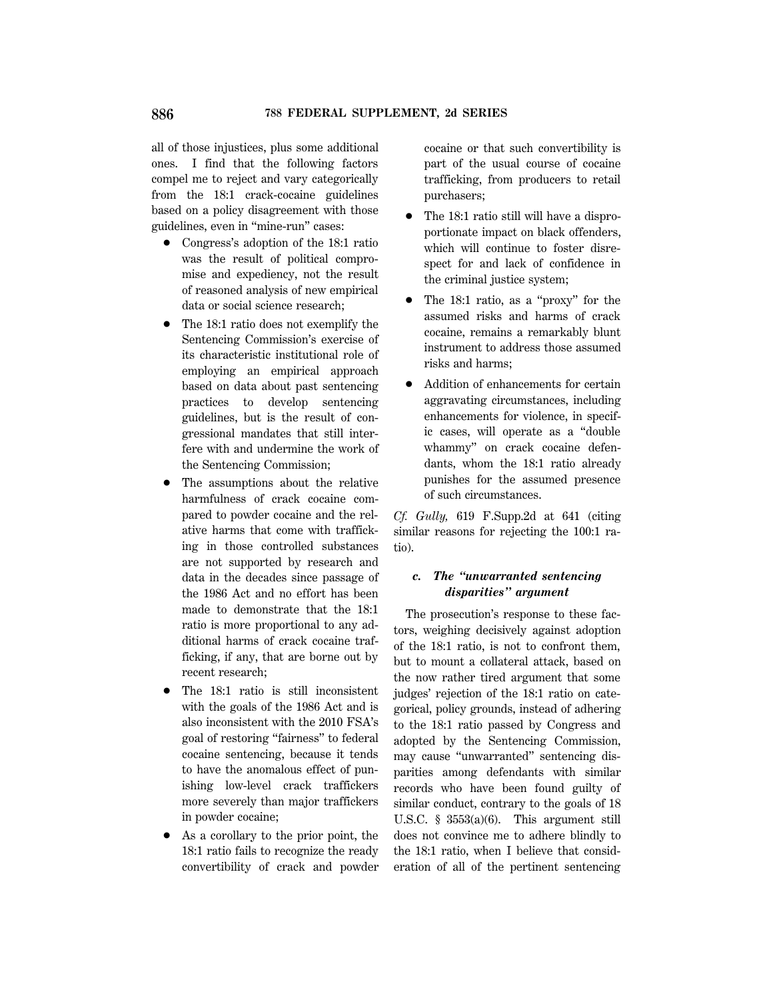all of those injustices, plus some additional ones. I find that the following factors compel me to reject and vary categorically from the 18:1 crack-cocaine guidelines based on a policy disagreement with those guidelines, even in ''mine-run'' cases:

- Congress's adoption of the 18:1 ratio was the result of political compromise and expediency, not the result of reasoned analysis of new empirical data or social science research;
- The 18:1 ratio does not exemplify the Sentencing Commission's exercise of its characteristic institutional role of employing an empirical approach based on data about past sentencing practices to develop sentencing guidelines, but is the result of congressional mandates that still interfere with and undermine the work of the Sentencing Commission;
- The assumptions about the relative harmfulness of crack cocaine compared to powder cocaine and the relative harms that come with trafficking in those controlled substances are not supported by research and data in the decades since passage of the 1986 Act and no effort has been made to demonstrate that the 18:1 ratio is more proportional to any additional harms of crack cocaine trafficking, if any, that are borne out by recent research;
- The 18:1 ratio is still inconsistent with the goals of the 1986 Act and is also inconsistent with the 2010 FSA's goal of restoring ''fairness'' to federal cocaine sentencing, because it tends to have the anomalous effect of punishing low-level crack traffickers more severely than major traffickers in powder cocaine;
- 1 As a corollary to the prior point, the 18:1 ratio fails to recognize the ready convertibility of crack and powder

cocaine or that such convertibility is part of the usual course of cocaine trafficking, from producers to retail purchasers;

- The 18:1 ratio still will have a disproportionate impact on black offenders, which will continue to foster disrespect for and lack of confidence in the criminal justice system;
- The 18:1 ratio, as a "proxy" for the assumed risks and harms of crack cocaine, remains a remarkably blunt instrument to address those assumed risks and harms;
- 1 Addition of enhancements for certain aggravating circumstances, including enhancements for violence, in specific cases, will operate as a ''double whammy'' on crack cocaine defendants, whom the 18:1 ratio already punishes for the assumed presence of such circumstances.

*Cf. Gully,* 619 F.Supp.2d at 641 (citing similar reasons for rejecting the 100:1 ratio).

# *c. The ''unwarranted sentencing disparities'' argument*

The prosecution's response to these factors, weighing decisively against adoption of the 18:1 ratio, is not to confront them, but to mount a collateral attack, based on the now rather tired argument that some judges' rejection of the 18:1 ratio on categorical, policy grounds, instead of adhering to the 18:1 ratio passed by Congress and adopted by the Sentencing Commission, may cause ''unwarranted'' sentencing disparities among defendants with similar records who have been found guilty of similar conduct, contrary to the goals of 18 U.S.C. § 3553(a)(6). This argument still does not convince me to adhere blindly to the 18:1 ratio, when I believe that consideration of all of the pertinent sentencing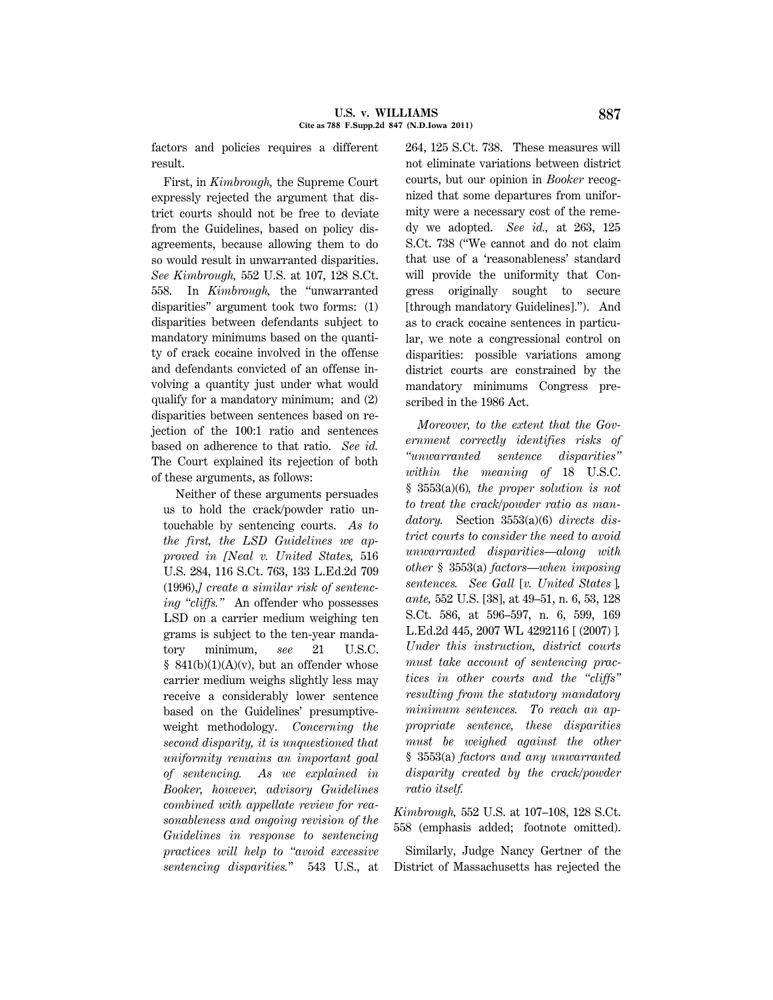factors and policies requires a different result.

First, in *Kimbrough,* the Supreme Court expressly rejected the argument that district courts should not be free to deviate from the Guidelines, based on policy disagreements, because allowing them to do so would result in unwarranted disparities. *See Kimbrough,* 552 U.S. at 107, 128 S.Ct. 558. In *Kimbrough,* the ''unwarranted disparities'' argument took two forms: (1) disparities between defendants subject to mandatory minimums based on the quantity of crack cocaine involved in the offense and defendants convicted of an offense involving a quantity just under what would qualify for a mandatory minimum; and (2) disparities between sentences based on rejection of the 100:1 ratio and sentences based on adherence to that ratio. *See id.* The Court explained its rejection of both of these arguments, as follows:

Neither of these arguments persuades us to hold the crack/powder ratio untouchable by sentencing courts. *As to the first, the LSD Guidelines we approved in [Neal v. United States,* 516 U.S. 284, 116 S.Ct. 763, 133 L.Ed.2d 709 (1996),*] create a similar risk of sentencing ''cliffs.''* An offender who possesses LSD on a carrier medium weighing ten grams is subject to the ten-year mandatory minimum, *see* 21 U.S.C.  $§$  841(b)(1)(A)(v), but an offender whose carrier medium weighs slightly less may receive a considerably lower sentence based on the Guidelines' presumptiveweight methodology. *Concerning the second disparity, it is unquestioned that uniformity remains an important goal of sentencing. As we explained in Booker, however, advisory Guidelines combined with appellate review for reasonableness and ongoing revision of the Guidelines in response to sentencing practices will help to ''avoid excessive sentencing disparities.*'' 543 U.S., at 264, 125 S.Ct. 738. These measures will not eliminate variations between district courts, but our opinion in *Booker* recognized that some departures from uniformity were a necessary cost of the remedy we adopted. *See id.,* at 263, 125 S.Ct. 738 (''We cannot and do not claim that use of a 'reasonableness' standard will provide the uniformity that Congress originally sought to secure [through mandatory Guidelines].''). And as to crack cocaine sentences in particular, we note a congressional control on disparities: possible variations among district courts are constrained by the mandatory minimums Congress prescribed in the 1986 Act.

*Moreover, to the extent that the Government correctly identifies risks of ''unwarranted sentence disparities'' within the meaning of* 18 U.S.C. § 3553(a)(6)*, the proper solution is not to treat the crack/powder ratio as mandatory.* Section 3553(a)(6) *directs district courts to consider the need to avoid unwarranted disparities—along with other* § 3553(a) *factors—when imposing sentences. See Gall* [*v. United States* ]*, ante,* 552 U.S. [38], at 49–51, n. 6, 53, 128 S.Ct. 586, at 596–597, n. 6, 599, 169 L.Ed.2d 445, 2007 WL 4292116 [ (2007) ]*. Under this instruction, district courts must take account of sentencing practices in other courts and the ''cliffs'' resulting from the statutory mandatory minimum sentences. To reach an appropriate sentence, these disparities must be weighed against the other* § 3553(a) *factors and any unwarranted disparity created by the crack/powder ratio itself.*

*Kimbrough,* 552 U.S. at 107–108, 128 S.Ct. 558 (emphasis added; footnote omitted).

Similarly, Judge Nancy Gertner of the District of Massachusetts has rejected the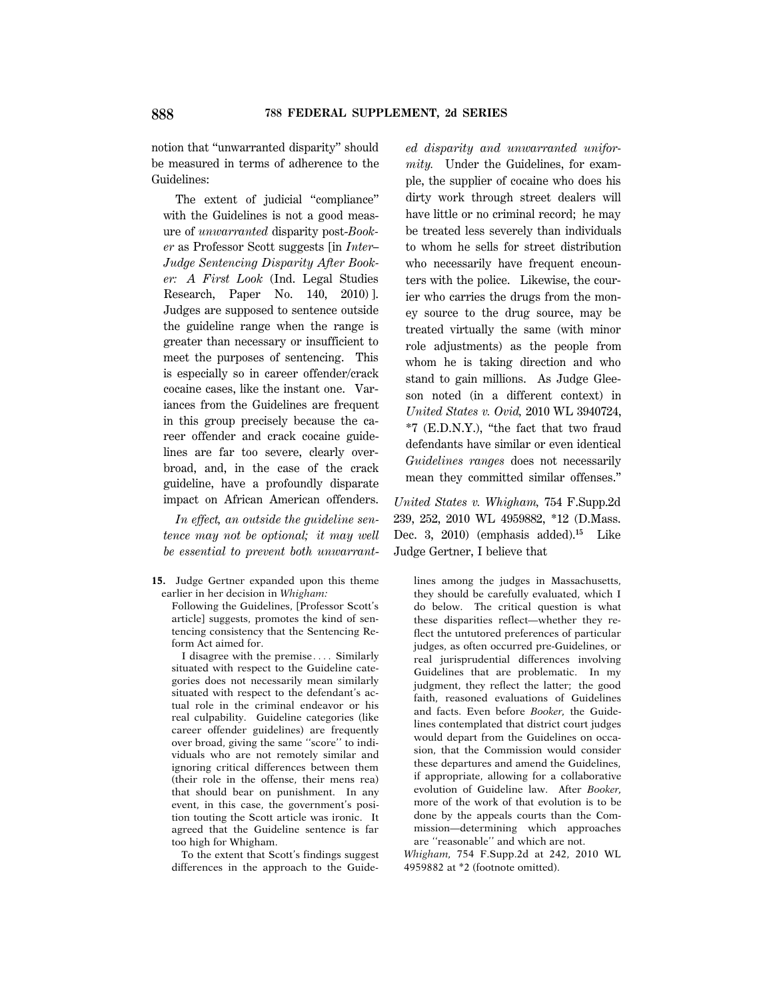notion that ''unwarranted disparity'' should be measured in terms of adherence to the Guidelines:

The extent of judicial "compliance" with the Guidelines is not a good measure of *unwarranted* disparity post-*Booker* as Professor Scott suggests [in *Inter– Judge Sentencing Disparity After Booker: A First Look* (Ind. Legal Studies Research, Paper No. 140, 2010) ]. Judges are supposed to sentence outside the guideline range when the range is greater than necessary or insufficient to meet the purposes of sentencing. This is especially so in career offender/crack cocaine cases, like the instant one. Variances from the Guidelines are frequent in this group precisely because the career offender and crack cocaine guidelines are far too severe, clearly overbroad, and, in the case of the crack guideline, have a profoundly disparate impact on African American offenders.

*In effect, an outside the guideline sentence may not be optional; it may well be essential to prevent both unwarrant*-

**15.** Judge Gertner expanded upon this theme earlier in her decision in *Whigham:*

Following the Guidelines, [Professor Scott's article] suggests, promotes the kind of sentencing consistency that the Sentencing Reform Act aimed for.

I disagree with the premise.... Similarly situated with respect to the Guideline categories does not necessarily mean similarly situated with respect to the defendant's actual role in the criminal endeavor or his real culpability. Guideline categories (like career offender guidelines) are frequently over broad, giving the same ''score'' to individuals who are not remotely similar and ignoring critical differences between them (their role in the offense, their mens rea) that should bear on punishment. In any event, in this case, the government's position touting the Scott article was ironic. It agreed that the Guideline sentence is far too high for Whigham.

To the extent that Scott's findings suggest differences in the approach to the Guide-

*ed disparity and unwarranted uniformity.* Under the Guidelines, for example, the supplier of cocaine who does his dirty work through street dealers will have little or no criminal record; he may be treated less severely than individuals to whom he sells for street distribution who necessarily have frequent encounters with the police. Likewise, the courier who carries the drugs from the money source to the drug source, may be treated virtually the same (with minor role adjustments) as the people from whom he is taking direction and who stand to gain millions. As Judge Gleeson noted (in a different context) in *United States v. Ovid,* 2010 WL 3940724, \*7 (E.D.N.Y.), ''the fact that two fraud defendants have similar or even identical *Guidelines ranges* does not necessarily mean they committed similar offenses.''

*United States v. Whigham,* 754 F.Supp.2d 239, 252, 2010 WL 4959882, \*12 (D.Mass. Dec. 3, 2010) (emphasis added).**<sup>15</sup>** Like Judge Gertner, I believe that

lines among the judges in Massachusetts, they should be carefully evaluated, which I do below. The critical question is what these disparities reflect—whether they reflect the untutored preferences of particular judges, as often occurred pre-Guidelines, or real jurisprudential differences involving Guidelines that are problematic. In my judgment, they reflect the latter; the good faith, reasoned evaluations of Guidelines and facts. Even before *Booker,* the Guidelines contemplated that district court judges would depart from the Guidelines on occasion, that the Commission would consider these departures and amend the Guidelines, if appropriate, allowing for a collaborative evolution of Guideline law. After *Booker,* more of the work of that evolution is to be done by the appeals courts than the Commission—determining which approaches are ''reasonable'' and which are not.

*Whigham,* 754 F.Supp.2d at 242, 2010 WL 4959882 at \*2 (footnote omitted).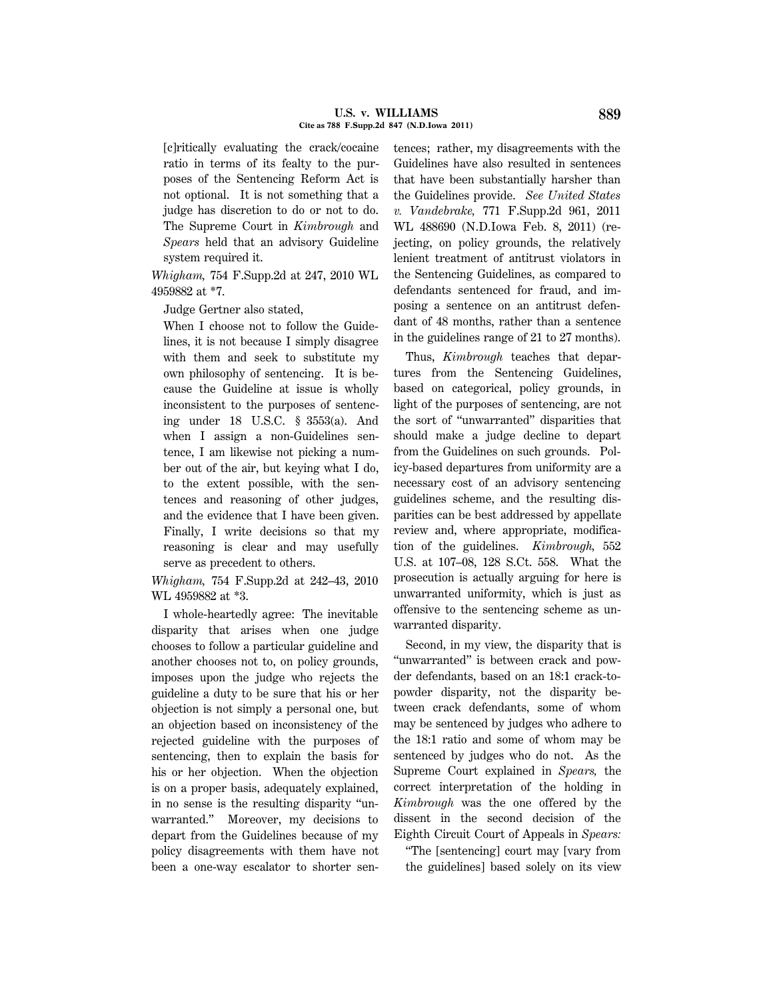#### **U.S. v. WILLIAMS 889 Cite as 788 F.Supp.2d 847 (N.D.Iowa 2011)**

[c]ritically evaluating the crack/cocaine ratio in terms of its fealty to the purposes of the Sentencing Reform Act is not optional. It is not something that a judge has discretion to do or not to do. The Supreme Court in *Kimbrough* and *Spears* held that an advisory Guideline system required it.

*Whigham,* 754 F.Supp.2d at 247, 2010 WL 4959882 at \*7.

Judge Gertner also stated,

When I choose not to follow the Guidelines, it is not because I simply disagree with them and seek to substitute my own philosophy of sentencing. It is because the Guideline at issue is wholly inconsistent to the purposes of sentencing under 18 U.S.C. § 3553(a). And when I assign a non-Guidelines sentence, I am likewise not picking a number out of the air, but keying what I do, to the extent possible, with the sentences and reasoning of other judges, and the evidence that I have been given. Finally, I write decisions so that my reasoning is clear and may usefully serve as precedent to others.

*Whigham,* 754 F.Supp.2d at 242–43, 2010 WL 4959882 at \*3.

I whole-heartedly agree: The inevitable disparity that arises when one judge chooses to follow a particular guideline and another chooses not to, on policy grounds, imposes upon the judge who rejects the guideline a duty to be sure that his or her objection is not simply a personal one, but an objection based on inconsistency of the rejected guideline with the purposes of sentencing, then to explain the basis for his or her objection. When the objection is on a proper basis, adequately explained, in no sense is the resulting disparity ''unwarranted.'' Moreover, my decisions to depart from the Guidelines because of my policy disagreements with them have not been a one-way escalator to shorter sen-

tences; rather, my disagreements with the Guidelines have also resulted in sentences that have been substantially harsher than the Guidelines provide. *See United States v. Vandebrake,* 771 F.Supp.2d 961, 2011 WL 488690 (N.D.Iowa Feb. 8, 2011) (rejecting, on policy grounds, the relatively lenient treatment of antitrust violators in the Sentencing Guidelines, as compared to defendants sentenced for fraud, and imposing a sentence on an antitrust defendant of 48 months, rather than a sentence in the guidelines range of 21 to 27 months).

Thus, *Kimbrough* teaches that departures from the Sentencing Guidelines, based on categorical, policy grounds, in light of the purposes of sentencing, are not the sort of ''unwarranted'' disparities that should make a judge decline to depart from the Guidelines on such grounds. Policy-based departures from uniformity are a necessary cost of an advisory sentencing guidelines scheme, and the resulting disparities can be best addressed by appellate review and, where appropriate, modification of the guidelines. *Kimbrough,* 552 U.S. at 107–08, 128 S.Ct. 558. What the prosecution is actually arguing for here is unwarranted uniformity, which is just as offensive to the sentencing scheme as unwarranted disparity.

Second, in my view, the disparity that is "unwarranted" is between crack and powder defendants, based on an 18:1 crack-topowder disparity, not the disparity between crack defendants, some of whom may be sentenced by judges who adhere to the 18:1 ratio and some of whom may be sentenced by judges who do not. As the Supreme Court explained in *Spears,* the correct interpretation of the holding in *Kimbrough* was the one offered by the dissent in the second decision of the Eighth Circuit Court of Appeals in *Spears:*

''The [sentencing] court may [vary from the guidelines] based solely on its view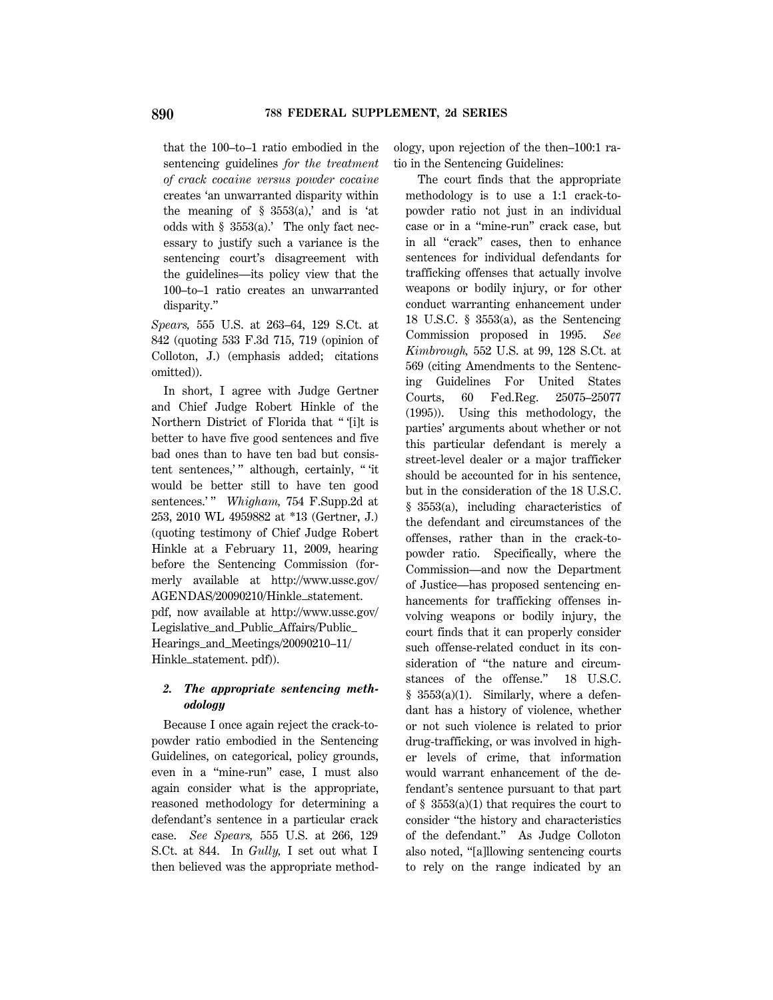that the 100–to–1 ratio embodied in the sentencing guidelines *for the treatment of crack cocaine versus powder cocaine* creates 'an unwarranted disparity within the meaning of  $\S$  3553(a),' and is 'at odds with § 3553(a).' The only fact necessary to justify such a variance is the sentencing court's disagreement with the guidelines—its policy view that the 100–to–1 ratio creates an unwarranted disparity.''

*Spears,* 555 U.S. at 263–64, 129 S.Ct. at 842 (quoting 533 F.3d 715, 719 (opinion of Colloton, J.) (emphasis added; citations omitted)).

In short, I agree with Judge Gertner and Chief Judge Robert Hinkle of the Northern District of Florida that '' '[i]t is better to have five good sentences and five bad ones than to have ten bad but consistent sentences,'" although, certainly, "'it would be better still to have ten good sentences.'" *Whigham*, 754 F.Supp.2d at 253, 2010 WL 4959882 at \*13 (Gertner, J.) (quoting testimony of Chief Judge Robert Hinkle at a February 11, 2009, hearing before the Sentencing Commission (formerly available at http://www.ussc.gov/ AGENDAS/20090210/Hinkle\_statement. pdf, now available at http://www.ussc.gov/ Legislative and Public Affairs/Public Hearings and Meetings/20090210–11/ Hinkle\_statement. pdf)).

## *2. The appropriate sentencing methodology*

Because I once again reject the crack-topowder ratio embodied in the Sentencing Guidelines, on categorical, policy grounds, even in a ''mine-run'' case, I must also again consider what is the appropriate, reasoned methodology for determining a defendant's sentence in a particular crack case. *See Spears,* 555 U.S. at 266, 129 S.Ct. at 844. In *Gully,* I set out what I then believed was the appropriate methodology, upon rejection of the then–100:1 ratio in the Sentencing Guidelines:

The court finds that the appropriate methodology is to use a 1:1 crack-topowder ratio not just in an individual case or in a ''mine-run'' crack case, but in all ''crack'' cases, then to enhance sentences for individual defendants for trafficking offenses that actually involve weapons or bodily injury, or for other conduct warranting enhancement under 18 U.S.C. § 3553(a), as the Sentencing Commission proposed in 1995. *See Kimbrough,* 552 U.S. at 99, 128 S.Ct. at 569 (citing Amendments to the Sentencing Guidelines For United States Courts, 60 Fed.Reg. 25075–25077 (1995)). Using this methodology, the parties' arguments about whether or not this particular defendant is merely a street-level dealer or a major trafficker should be accounted for in his sentence, but in the consideration of the 18 U.S.C. § 3553(a), including characteristics of the defendant and circumstances of the offenses, rather than in the crack-topowder ratio. Specifically, where the Commission—and now the Department of Justice—has proposed sentencing enhancements for trafficking offenses involving weapons or bodily injury, the court finds that it can properly consider such offense-related conduct in its consideration of ''the nature and circumstances of the offense.'' 18 U.S.C. § 3553(a)(1). Similarly, where a defendant has a history of violence, whether or not such violence is related to prior drug-trafficking, or was involved in higher levels of crime, that information would warrant enhancement of the defendant's sentence pursuant to that part of  $\S$  3553(a)(1) that requires the court to consider ''the history and characteristics of the defendant.'' As Judge Colloton also noted, ''[a]llowing sentencing courts to rely on the range indicated by an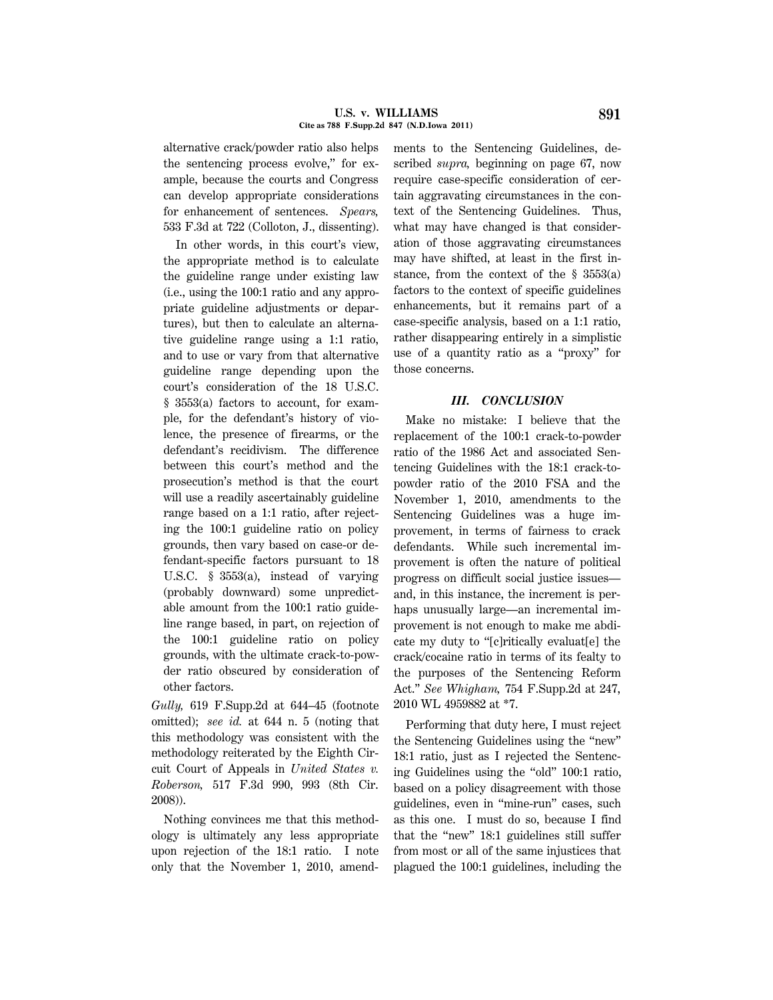alternative crack/powder ratio also helps the sentencing process evolve,'' for example, because the courts and Congress can develop appropriate considerations for enhancement of sentences. *Spears,* 533 F.3d at 722 (Colloton, J., dissenting).

In other words, in this court's view, the appropriate method is to calculate the guideline range under existing law (i.e., using the 100:1 ratio and any appropriate guideline adjustments or departures), but then to calculate an alternative guideline range using a 1:1 ratio, and to use or vary from that alternative guideline range depending upon the court's consideration of the 18 U.S.C. § 3553(a) factors to account, for example, for the defendant's history of violence, the presence of firearms, or the defendant's recidivism. The difference between this court's method and the prosecution's method is that the court will use a readily ascertainably guideline range based on a 1:1 ratio, after rejecting the 100:1 guideline ratio on policy grounds, then vary based on case-or defendant-specific factors pursuant to 18 U.S.C. § 3553(a), instead of varying (probably downward) some unpredictable amount from the 100:1 ratio guideline range based, in part, on rejection of the 100:1 guideline ratio on policy grounds, with the ultimate crack-to-powder ratio obscured by consideration of other factors.

*Gully,* 619 F.Supp.2d at 644–45 (footnote omitted); *see id.* at 644 n. 5 (noting that this methodology was consistent with the methodology reiterated by the Eighth Circuit Court of Appeals in *United States v. Roberson,* 517 F.3d 990, 993 (8th Cir. 2008)).

Nothing convinces me that this methodology is ultimately any less appropriate upon rejection of the 18:1 ratio. I note only that the November 1, 2010, amendments to the Sentencing Guidelines, described *supra,* beginning on page 67, now require case-specific consideration of certain aggravating circumstances in the context of the Sentencing Guidelines. Thus, what may have changed is that consideration of those aggravating circumstances may have shifted, at least in the first instance, from the context of the § 3553(a) factors to the context of specific guidelines enhancements, but it remains part of a case-specific analysis, based on a 1:1 ratio, rather disappearing entirely in a simplistic use of a quantity ratio as a ''proxy'' for those concerns.

## *III. CONCLUSION*

Make no mistake: I believe that the replacement of the 100:1 crack-to-powder ratio of the 1986 Act and associated Sentencing Guidelines with the 18:1 crack-topowder ratio of the 2010 FSA and the November 1, 2010, amendments to the Sentencing Guidelines was a huge improvement, in terms of fairness to crack defendants. While such incremental improvement is often the nature of political progress on difficult social justice issues and, in this instance, the increment is perhaps unusually large—an incremental improvement is not enough to make me abdicate my duty to ''[c]ritically evaluat[e] the crack/cocaine ratio in terms of its fealty to the purposes of the Sentencing Reform Act.'' *See Whigham,* 754 F.Supp.2d at 247, 2010 WL 4959882 at \*7.

Performing that duty here, I must reject the Sentencing Guidelines using the ''new'' 18:1 ratio, just as I rejected the Sentencing Guidelines using the ''old'' 100:1 ratio, based on a policy disagreement with those guidelines, even in "mine-run" cases, such as this one. I must do so, because I find that the "new" 18:1 guidelines still suffer from most or all of the same injustices that plagued the 100:1 guidelines, including the